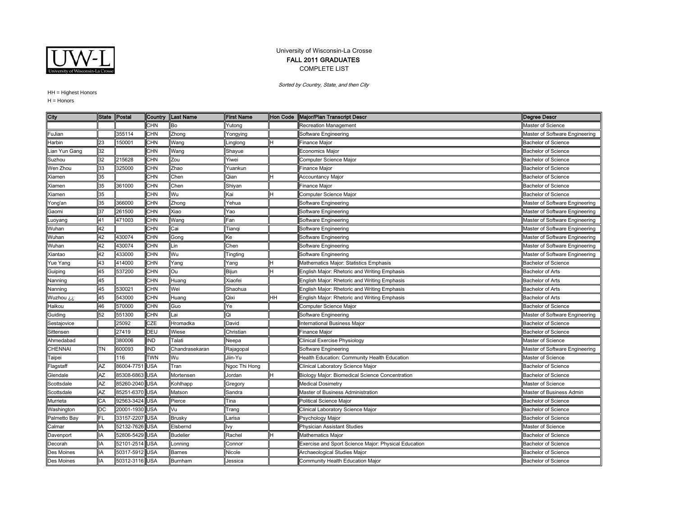

## University of Wisconsin-La Crosse FALL 2011 GRADUATES COMPLETE LIST

Sorted by Country, State, and then City

HH = Highest Honors

 $H =$  Honors

| City                  | <b>State</b> | Postal         | Country    | <b>Last Name</b> | <b>First Name</b> | <b>Hon Code</b> | Major/Plan Transcript Descr                          | <b>Degree Descr</b>            |
|-----------------------|--------------|----------------|------------|------------------|-------------------|-----------------|------------------------------------------------------|--------------------------------|
|                       |              |                | <b>CHN</b> | Bo               | Yutong            |                 | Recreation Management                                | Master of Science              |
| <sup>=</sup> uJian    |              | 355114         | CHN        | Zhong            | rongying          |                 | Software Engineering                                 | Master of Software Engineering |
| Harbin                | 23           | 150001         | <b>CHN</b> | Wang             | .inglong          |                 | Finance Major                                        | <b>Bachelor of Science</b>     |
| ian Yun Gang          | 32           |                | <b>CHN</b> | Wang             | Shayue            |                 | <b>Economics Major</b>                               | <b>Bachelor of Science</b>     |
| Suzhou                | 32           | 215628         | <b>CHN</b> | Zou              | Yiwei             |                 | Computer Science Maior                               | <b>Bachelor of Science</b>     |
| Wen Zhou              | 33           | 325000         | <b>CHN</b> | Zhao             | Yuankun           |                 | Finance Major                                        | <b>Bachelor of Science</b>     |
| Kiamen                | 35           |                | <b>CHN</b> | Chen             | Qian              |                 | <b>Accountancy Major</b>                             | <b>Bachelor of Science</b>     |
| Kiamen                | 35           | 361000         | <b>CHN</b> | Chen             | Shiyan            |                 | Finance Major                                        | <b>Bachelor of Science</b>     |
| Kiamen                | 35           |                | <b>CHN</b> | Wu               | Kai               |                 | Computer Science Major                               | <b>Bachelor of Science</b>     |
| rong'an               | 35           | 366000         | <b>CHN</b> | Zhong            | Yehua             |                 | Software Engineering                                 | Master of Software Engineering |
| Gaomi                 | 37           | 261500         | <b>CHN</b> | Xiao             | Yao               |                 | Software Engineering                                 | Master of Software Engineering |
| uoyang.               | 41           | 471003         | <b>CHN</b> | Wang             | Fan               |                 | Software Engineering                                 | Master of Software Engineering |
| Nuhan                 | 42           |                | <b>CHN</b> | Cai              | Tiangi            |                 | Software Engineering                                 | Master of Software Engineering |
| Wuhan                 | 42           | 430074         | <b>CHN</b> | Gong             | Ke                |                 | Software Engineering                                 | Master of Software Engineering |
| Nuhan                 | 42           | 430074         | <b>CHN</b> | Lin              | Chen              |                 | Software Engineering                                 | Master of Software Engineering |
| Kiantao               | 42           | 433000         | <b>CHN</b> | Wu               | Tingting          |                 | Software Engineering                                 | Master of Software Engineering |
| Yue Yang              | 43           | 414000         | <b>CHN</b> | Yang             | Yang              |                 | Mathematics Major: Statistics Emphasis               | <b>Bachelor of Science</b>     |
| Guiping               | 45           | 537200         | <b>CHN</b> | Ou               | Bijun             | H               | English Major: Rhetoric and Writing Emphasis         | Bachelor of Arts               |
| Vanning               | 45           |                | <b>CHN</b> | Huang            | Xiaofei           |                 | English Major: Rhetoric and Writing Emphasis         | Bachelor of Arts               |
| Nanning               | 45           | 530021         | <b>CHN</b> | Wei              | Shaohua           |                 | English Major: Rhetoric and Writing Emphasis         | <b>Bachelor of Arts</b>        |
| ن Wuzhou              | 45           | 543000         | <b>CHN</b> | Huang            | Qixi              | HH              | English Major: Rhetoric and Writing Emphasis         | <b>Bachelor of Arts</b>        |
| Haikou                | 46           | 570000         | <b>CHN</b> | Guo              | Ye                |                 | Computer Science Major                               | <b>Bachelor of Science</b>     |
| Guiding               | 52           | 551300         | <b>CHN</b> | Lai              | Qi                |                 | Software Engineering                                 | Master of Software Engineering |
| Sestajovice           |              | 25092          | CZE        | Hromadka         | David             |                 | nternational Business Major                          | <b>Bachelor of Science</b>     |
| Sittensen             |              | 27419          | DEU        | Wiese            | Christian         |                 | Finance Major                                        | <b>Bachelor of Science</b>     |
| Ahmedabad             |              | 380006         | <b>IND</b> | Talati           | Neepa             |                 | Clinical Exercise Physiology                         | Master of Science              |
| <b>HENNAI</b>         | TN           | 600093         | <b>IND</b> | Chandrasekaran   | Rajagopal         |                 | Software Engineering                                 | Master of Software Engineering |
| Гаіреі                |              | 116            | <b>TWN</b> | Wu               | Jiin-Yu           |                 | Health Education: Community Health Education         | Master of Science              |
| <sup>=</sup> lagstaff | AZ           | 86004-7751     | <b>USA</b> | Tran             | Ngoc Thi Hong     |                 | Clinical Laboratory Science Major                    | <b>Bachelor of Science</b>     |
| Glendale              | AZ           | 85308-6863 USA |            | Mortensen        | Jordan            | н               | Biology Major: Biomedical Science Concentration      | <b>Bachelor of Science</b>     |
| Scottsdale            | AZ           | 85260-2040 USA |            | Kohlhapp         | Gregory           |                 | <b>Medical Dosimetry</b>                             | Master of Science              |
| Scottsdale            | AZ           | 85251-6370 USA |            | Matson           | Sandra            |                 | Master of Business Administration                    | Master of Business Admin       |
| Murrieta              | СA           | 92563-3424 USA |            | Pierce           | Tina              |                 | <b>Political Science Major</b>                       | <b>Bachelor of Science</b>     |
| Washington            | DC           | 20001-1930 USA |            | Vu               | Trang             |                 | Clinical Laboratory Science Major                    | <b>Bachelor of Science</b>     |
| Palmetto Bay          | FL           | 33157-2207 USA |            | Brusky           | arisa.            |                 | Psychology Major                                     | <b>Bachelor of Science</b>     |
| Calmar                | IA           | 52132-7626 USA |            | Elsbernd         | lvy               |                 | <b>Physician Assistant Studies</b>                   | Master of Science              |
| Davenport             | IA           | 52806-5429 USA |            | <b>Budelier</b>  | Rachel            |                 | Mathematics Major                                    | <b>Bachelor of Science</b>     |
| Decorah               | IA           | 52101-2514 USA |            | _onning          | Connor            |                 | Exercise and Sport Science Major: Physical Education | <b>Bachelor of Science</b>     |
| Des Moines            | ΙA           | 50317-5912 USA |            | <b>Barnes</b>    | Nicole            |                 | Archaeological Studies Major                         | <b>Bachelor of Science</b>     |
| Des Moines            | IA           | 50312-3116 USA |            | Burnham          | Jessica           |                 | Community Health Education Major                     | <b>Bachelor of Science</b>     |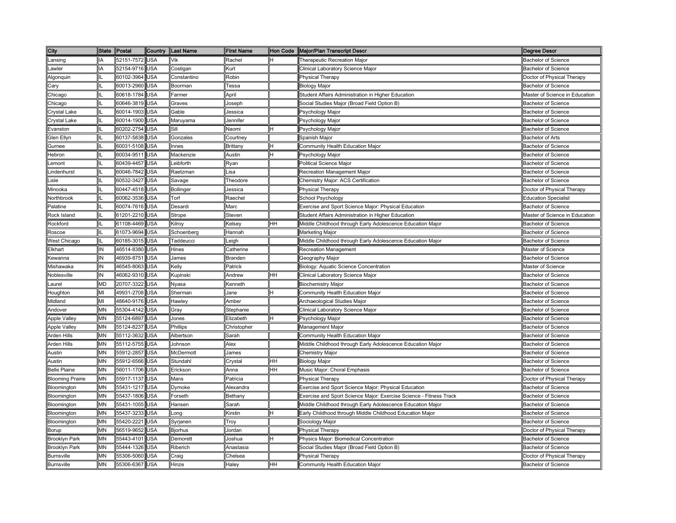| City                    | State Postal |                | Country    | <b>Last Name</b> | <b>First Name</b> |    | Hon Code   Major/Plan Transcript Descr                             | Degree Descr                   |
|-------------------------|--------------|----------------|------------|------------------|-------------------|----|--------------------------------------------------------------------|--------------------------------|
| Lansing                 |              | 52151-7572 USA |            | Vik              | Rachel            | Η  | Therapeutic Recreation Major                                       | <b>Bachelor of Science</b>     |
| Lawler                  |              | 52154-9716     | <b>USA</b> | Costigan         | Kurt              |    | Clinical Laboratory Science Major                                  | <b>Bachelor of Science</b>     |
| Algonquin               |              | 60102-3964     | <b>USA</b> | Constantino      | Robin             |    | Physical Therapy                                                   | Doctor of Physical Therapy     |
| Cary                    |              | 60013-2960     | <b>USA</b> | Boorman          | Гessa             |    | <b>Biology Major</b>                                               | <b>Bachelor of Science</b>     |
| Chicago                 |              | 60618-1784     | <b>USA</b> | Farmer           | April             |    | Student Affairs Administration in Higher Education                 | Master of Science in Education |
| Chicago                 |              | 60646-3819 USA |            | Graves           | Joseph            |    | Social Studies Major (Broad Field Option B)                        | <b>Bachelor of Science</b>     |
| Crystal Lake            |              | 60014-1903     | <b>USA</b> | Gable            | Jessica           |    | Psychology Major                                                   | <b>Bachelor of Science</b>     |
| Crystal Lake            |              | 60014-1900 USA |            | Maruyama         | Jennifer          |    | Psychology Major                                                   | <b>Bachelor of Science</b>     |
| Evanston                |              | 60202-2754 USA |            | Sill             | Naomi             | H  | Psychology Major                                                   | <b>Bachelor of Science</b>     |
| Glen Ellyn              |              | 60137-5838 USA |            | Gonzales         | Courtney          |    | Spanish Major                                                      | <b>Bachelor of Arts</b>        |
| Gurnee                  |              | 60031-5108 USA |            | Innes            | Brittany          | н  | Community Health Education Major                                   | <b>Bachelor of Science</b>     |
| Hebron                  |              | 60034-9511     | <b>USA</b> | Mackenzie        | Austin            | н  | Psychology Major                                                   | <b>Bachelor of Science</b>     |
| Lemont                  |              | 60439-4457     | <b>USA</b> | Leibforth        | Ryan              |    | Political Science Major                                            | <b>Bachelor of Science</b>     |
| Lindenhurst             |              | 60046-7842 USA |            | Raetzman         | Lisa              |    | Recreation Management Major                                        | <b>Bachelor of Science</b>     |
| Lisle                   |              | 60532-3427 USA |            | Savage           | Theodore          |    | Chemistry Major: ACS Certification                                 | <b>Bachelor of Science</b>     |
| Minooka                 |              | 60447-4518     | <b>USA</b> | <b>Bollinger</b> | Jessica           |    | Physical Therapy                                                   | Doctor of Physical Therapy     |
| Northbrook              |              | 60062-3536     | <b>USA</b> | Torf             | Raechel           |    | School Psychology                                                  | <b>Education Specialist</b>    |
| Palatine                |              | 60074-7616     | <b>USA</b> | Desardi          | Marc              |    | Exercise and Sport Science Major: Physical Education               | Bachelor of Science            |
| Rock Island             |              | 61201-2210     | <b>USA</b> | Strope           | Steven            |    | Student Affairs Administration in Higher Education                 | Master of Science in Education |
| Rockford                |              | 61108-4469     | <b>USA</b> | Kilroy           | Kelsey            | HН | Middle Childhood through Early Adolescence Education Major         | <b>Bachelor of Science</b>     |
| Roscoe                  |              | 61073-9694     | <b>USA</b> | Schoenberg       | Hannah            |    | Marketing Major                                                    | <b>Bachelor of Science</b>     |
| West Chicago            |              | 60185-3015     | <b>USA</b> | Taddeucci        | eigh.             |    | Middle Childhood through Early Adolescence Education Major         | <b>Bachelor of Science</b>     |
| Elkhart                 | IN           | 46514-8380     | <b>USA</b> | Hines            | Catherine         |    | Recreation Management                                              | Master of Science              |
| Kewanna                 | IN           | 46939-8751     | <b>USA</b> | James            | Branden           |    | Geography Major                                                    | <b>Bachelor of Science</b>     |
| Mishawaka               | IN           | 46545-8063     | <b>USA</b> | Kelly            | Patrick           |    | Biology: Aquatic Science Concentration                             | Master of Science              |
| Noblesville             | IN           | 46062-9310     | <b>USA</b> | Kupinski         | Andrew            | HH | Clinical Laboratory Science Major                                  | <b>Bachelor of Science</b>     |
| Laurel                  | MD           | 20707-3322     | <b>USA</b> | Nyasa            | Kenneth           |    | <b>Biochemistry Major</b>                                          | <b>Bachelor of Science</b>     |
| Houghton                | МІ           | 49931-2708     | <b>USA</b> | Sherman          | Jane              |    | Community Health Education Major                                   | <b>Bachelor of Science</b>     |
| Midland                 | MI           | 48640-9176     | <b>USA</b> | Hawley           | Amber             |    | Archaeological Studies Major                                       | <b>Bachelor of Science</b>     |
| Andover                 | MN           | 55304-4142 USA |            | Gray             | Stephanie         |    | Clinical Laboratory Science Major                                  | <b>Bachelor of Science</b>     |
| Apple Valley            | MN           | 55124-6897 USA |            | Jones            | Elizabeth         | Η  | Psychology Major                                                   | Bachelor of Science            |
| <b>Apple Valley</b>     | MN           | 55124-8237 USA |            | Phillips         | Christopher       |    | Management Major                                                   | <b>Bachelor of Science</b>     |
| Arden Hills             | MN           | 55112-3632     | <b>USA</b> | Albertson        | Sarah             |    | Community Health Education Major                                   | <b>Bachelor of Science</b>     |
| Arden Hills             | MΝ           | 55112-5755 USA |            | Johnson          | Alex              |    | Middle Childhood through Early Adolescence Education Major         | <b>Bachelor of Science</b>     |
| Austin                  | MN           | 55912-2857     | <b>USA</b> | McDermott        | James             |    | Chemistry Major                                                    | <b>Bachelor of Science</b>     |
| Austin                  | MN           | 55912-6566     | <b>USA</b> | Stundahl         | Crystal           | HН | <b>Biology Major</b>                                               | Bachelor of Science            |
| <b>Belle Plaine</b>     | <b>MN</b>    | 56011-1706     | <b>USA</b> | Erickson         | Anna              | HH | Music Major: Choral Emphasis                                       | <b>Bachelor of Science</b>     |
| <b>Blooming Prairie</b> | MΝ           | 55917-1137 USA |            | Mans             | Patricia          |    | <b>Physical Therapy</b>                                            | Doctor of Physical Therapy     |
| Bloomington             | <b>MN</b>    | 55431-1217 USA |            | Dymoke           | Alexandra         |    | Exercise and Sport Science Major: Physical Education               | <b>Bachelor of Science</b>     |
| Bloomington             | <b>MN</b>    | 55437-1806     | <b>USA</b> | Forseth          | Bethany           |    | Exercise and Sport Science Major: Exercise Science - Fitness Track | <b>Bachelor of Science</b>     |
| Bloomington             | <b>MN</b>    | 55431-1055     | <b>USA</b> | Hansen           | Sarah             |    | Middle Childhood through Early Adolescence Education Major         | <b>Bachelor of Science</b>     |
| Bloomington             | MΝ           | 55437-3233     | <b>USA</b> | Long             | Kirstin           | н  | Early Childhood through Middle Childhood Education Major           | <b>Bachelor of Science</b>     |
| Bloomington             | MN           | 55420-2221     | <b>USA</b> | Syrjanen         | Troy              |    | Sociology Major                                                    | <b>Bachelor of Science</b>     |
| Borup                   | MΝ           | 56519-9652     | <b>USA</b> | <b>Biorhus</b>   | Jordan            |    | Physical Therapy                                                   | Doctor of Physical Therapy     |
| <b>Brooklyn Park</b>    | MΝ           | 55443-4101     | <b>USA</b> | Demorett         | Joshua            | н  | Physics Major: Biomedical Concentration                            | <b>Bachelor of Science</b>     |
| <b>Brooklyn Park</b>    | MΝ           | 55444-1326     | <b>USA</b> | Riberich         | Anastasia         |    | Social Studies Major (Broad Field Option B)                        | <b>Bachelor of Science</b>     |
| <b>Burnsville</b>       | MΝ           | 55306-5060     | <b>USA</b> | Craig            | Chelsea           |    | Physical Therapy                                                   | Doctor of Physical Therapy     |
| Burnsville              | MΝ           | 55306-6367     | <b>USA</b> | Hinze            | Halev             | HH | Community Health Education Major                                   | <b>Bachelor of Science</b>     |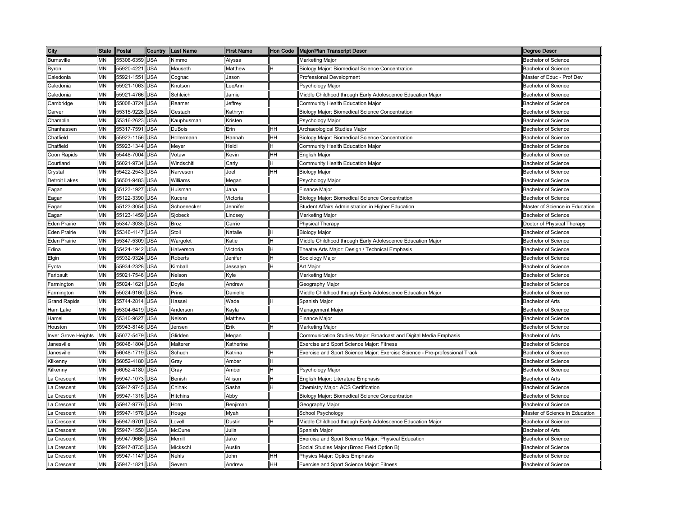| City                 | <b>State</b> | Postal         | Country    | Last Name       | <b>First Name</b> |           | Hon Code   Major/Plan Transcript Descr                                      | <b>Degree Descr</b>            |
|----------------------|--------------|----------------|------------|-----------------|-------------------|-----------|-----------------------------------------------------------------------------|--------------------------------|
| <b>Burnsville</b>    | MΝ           | 55306-6359 USA |            | Nimmo           | Alyssa            |           | Marketing Major                                                             | <b>Bachelor of Science</b>     |
| Byron                | MΝ           | 55920-4221     | <b>USA</b> | Mauseth         | Matthew           |           | Biology Major: Biomedical Science Concentration                             | <b>Bachelor of Science</b>     |
| Caledonia            | MΝ           | 55921-1551     | <b>USA</b> | Cognac          | Jason             |           | Professional Development                                                    | Master of Educ - Prof Dev      |
| Caledonia            | MΝ           | 55921-1063     | <b>USA</b> | Knutson         | LeeAnn            |           | <sup>2</sup> sychology Major                                                | <b>Bachelor of Science</b>     |
| Caledonia            | MΝ           | 55921-4766     | <b>USA</b> | Schleich        | Jamie             |           | Middle Childhood through Early Adolescence Education Major                  | <b>Bachelor of Science</b>     |
| Cambridge            | MN           | 55008-3724     | <b>USA</b> | Reamer          | Jeffrey           |           | Community Health Education Major                                            | <b>Bachelor of Science</b>     |
| Carver               | MN           | 55315-9228     | <b>USA</b> | Gestach         | Kathryn           |           | Biology Major: Biomedical Science Concentration                             | <b>Bachelor of Science</b>     |
| Champlin             | MN           | 55316-2623     | <b>USA</b> | Kauphusman      | Kristen           |           | Psychology Major                                                            | <b>Bachelor of Science</b>     |
| Chanhassen           | MN           | 55317-7591 USA |            | <b>DuBois</b>   | Erin              | HН        | Archaeological Studies Major                                                | <b>Bachelor of Science</b>     |
| Chatfield            | MN           | 55923-1156 USA |            | Hollermann      | Hannah            | HH        | Biology Major: Biomedical Science Concentration                             | <b>Bachelor of Science</b>     |
| Chatfield            | MΝ           | 55923-1344 USA |            | Meyer           | Heidi             | н         | Community Health Education Major                                            | <b>Bachelor of Science</b>     |
| Coon Rapids          | MN           | 55448-7004 USA |            | Votaw           | Kevin             | HH        | English Major                                                               | <b>Bachelor of Science</b>     |
| Courtland            | MN           | 56021-9734     | <b>USA</b> | Windschitl      | Carly             | н         | Community Health Education Major                                            | <b>Bachelor of Science</b>     |
| Crystal              | ΜN           | 55422-2543     | <b>USA</b> | Narveson        | Joel              | HH        | <b>Biology Major</b>                                                        | <b>Bachelor of Science</b>     |
| <b>Detroit Lakes</b> | MN           | 56501-9483     | <b>USA</b> | Williams        | Megan             |           | Psychology Major                                                            | <b>Bachelor of Science</b>     |
| Eagan                | MN           | 55123-1927     | <b>USA</b> | Huisman         | Jana              |           | <b>Finance Major</b>                                                        | <b>Bachelor of Science</b>     |
| Eagan                | MΝ           | 55122-3390     | <b>USA</b> | Kucera          | Victoria          |           | Biology Major: Biomedical Science Concentration                             | <b>Bachelor of Science</b>     |
| Eagan                | MN           | 55123-3054     | <b>USA</b> | Schoenecker     | Jennifer          |           | Student Affairs Administration in Higher Education                          | Master of Science in Education |
| Eagan                | MΝ           | 55123-1459     | <b>USA</b> | Sjobeck         | indsey            |           | Marketing Major                                                             | <b>Bachelor of Science</b>     |
| <b>Eden Prairie</b>  | MN           | 55347-3035     | <b>USA</b> | <b>Broz</b>     | Carrie            |           | <b>Physical Therapy</b>                                                     | Doctor of Physical Therapy     |
| Eden Prairie         | MΝ           | 55346-4147     | <b>USA</b> | Stoll           | Natalie           | н         | <b>Biology Major</b>                                                        | <b>Bachelor of Science</b>     |
| <b>Eden Prairie</b>  | MN           | 55347-5309     | <b>USA</b> | Wargolet        | Katie             | H         | Middle Childhood through Early Adolescence Education Major                  | <b>Bachelor of Science</b>     |
| Edina                | MΝ           | 55424-1942     | <b>USA</b> | Halverson       | Victoria          | H         | Theatre Arts Major: Design / Technical Emphasis                             | <b>Bachelor of Science</b>     |
| Elgin                | MN           | 55932-9324     | <b>USA</b> | Roberts         | Jenifer           | н         | Sociology Major                                                             | <b>Bachelor of Science</b>     |
| Eyota                | ΜN           | 55934-2328     | <b>USA</b> | Kimball         | Jessalyn          | н         | Art Major                                                                   | <b>Bachelor of Science</b>     |
| Faribault            | MΝ           | 55021-7546 USA |            | Nelson          | Kyle              |           | Marketing Major                                                             | <b>Bachelor of Science</b>     |
| Farmington           | MΝ           | 55024-1621 USA |            | Doyle           | Andrew            |           | Geography Major                                                             | <b>Bachelor of Science</b>     |
| Farmington           | MΝ           | 55024-9160 USA |            | Prins           | Danielle          |           | Middle Childhood through Early Adolescence Education Major                  | Bachelor of Science            |
| <b>Grand Rapids</b>  | ΜN           | 55744-2814 USA |            | Hassel          | Wade              | Η         | Spanish Major                                                               | <b>Bachelor of Arts</b>        |
| Ham Lake             | MΝ           | 55304-6419 USA |            | Anderson        | Kayla             |           | Management Major                                                            | <b>Bachelor of Science</b>     |
| Hamel                | MN           | 55340-9627 USA |            | Nelson          | Matthew           |           | Finance Major                                                               | <b>Bachelor of Science</b>     |
| Houston              | <b>MN</b>    | 55943-8146 USA |            | Jensen          | Erik              | H         | Marketing Major                                                             | <b>Bachelor of Science</b>     |
| Inver Grove Heights  | <b>IMN</b>   | 55077-5479 USA |            | Glidden         | Megan             |           | Communication Studies Major: Broadcast and Digital Media Emphasis           | <b>Bachelor of Arts</b>        |
| Janesville           | ΜN           | 56048-1804 USA |            | Malterer        | Katherine         |           | Exercise and Sport Science Major: Fitness                                   | <b>Bachelor of Science</b>     |
| Janesville           | ΜN           | 56048-1719 USA |            | Schuch          | Katrina           | lн        | Exercise and Sport Science Major: Exercise Science - Pre-professional Track | <b>Bachelor of Science</b>     |
| Kilkenny             | MΝ           | 56052-4180 USA |            | Gray            | Amber             | н         |                                                                             | <b>Bachelor of Science</b>     |
| Kilkenny             | MΝ           | 56052-4180     | <b>USA</b> | Gray            | Amber             | н         | Psychology Major                                                            | <b>Bachelor of Science</b>     |
| La Crescent          | MN           | 55947-1073     | <b>USA</b> | Benish          | Allison           | н         | English Major: Literature Emphasis                                          | Bachelor of Arts               |
| La Crescent          | MN           | 55947-9745     | <b>USA</b> | Chihak          | Sasha             | Η         | Chemistry Major: ACS Certification                                          | <b>Bachelor of Science</b>     |
| La Crescent          | MN           | 55947-1316 USA |            | <b>Hitchins</b> | Abby              |           | Biology Major: Biomedical Science Concentration                             | <b>Bachelor of Science</b>     |
| La Crescent          | <b>MN</b>    | 55947-9776 USA |            | Horn            | Benjiman          |           | Geography Major                                                             | <b>Bachelor of Science</b>     |
| La Crescent          | MN           | 55947-1578 USA |            | Houge           | Myah              |           | School Psychology                                                           | Master of Science in Education |
| La Crescent          | MΝ           | 55947-9701     | <b>USA</b> | Lovell          | Dustin            | н         | Middle Childhood through Early Adolescence Education Major                  | <b>Bachelor of Science</b>     |
| La Crescent          | MN           | 55947-1550     | <b>USA</b> | McCune          | Julia             |           | Spanish Major                                                               | <b>Bachelor of Arts</b>        |
| La Crescent          | MΝ           | 55947-9665     | <b>USA</b> | Merrill         | Jake              |           | Exercise and Sport Science Major: Physical Education                        | <b>Bachelor of Science</b>     |
| La Crescent          | MΝ           | 55947-8735     | <b>USA</b> | Mickschl        | Austin            |           | Social Studies Major (Broad Field Option B)                                 | <b>Bachelor of Science</b>     |
| La Crescent          | MΝ           | 55947-1147     | <b>USA</b> | <b>Nehls</b>    | John              | <b>HH</b> | Physics Major: Optics Emphasis                                              | <b>Bachelor of Science</b>     |
| La Crescent          | MN           | 55947-1821 USA |            | Severn          | Andrew            | HH        | Exercise and Sport Science Major: Fitness                                   | Bachelor of Science            |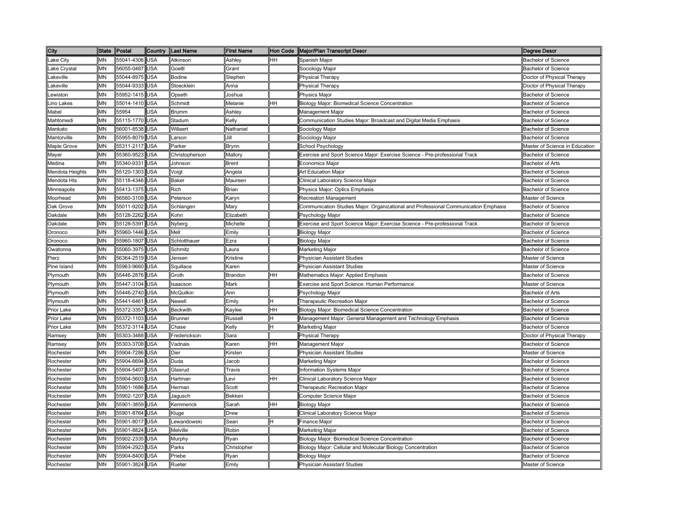| City                 | <b>State</b> | Postal     | Country    | <b>ILast Name</b> | <b>First Name</b>                                                                                                                           | Hon Code  | Major/Plan Transcript Descr                                                         | <b>Degree Descr</b>            |
|----------------------|--------------|------------|------------|-------------------|---------------------------------------------------------------------------------------------------------------------------------------------|-----------|-------------------------------------------------------------------------------------|--------------------------------|
| ake City             | MΝ           | 55041-4306 | USA        | Atkinson          | Ashley                                                                                                                                      | HH        | Spanish Major                                                                       | <b>Bachelor of Science</b>     |
| ake Crystal          | MN           | 56055-0487 | USA        | Goettl            | <b>Grant</b>                                                                                                                                |           | Sociology Major                                                                     | <b>Bachelor of Science</b>     |
| .akeville            | MN           | 55044-8975 | <b>JSA</b> | Bodine            | Stephen                                                                                                                                     |           | <b>Physical Therapy</b>                                                             | Doctor of Physical Therapy     |
| .akeville            | MΝ           | 55044-9333 | USA        | Stoecklein        | Anna                                                                                                                                        |           | Physical Therapy                                                                    | Doctor of Physical Therapy     |
| ewiston.             | MΝ           | 55952-1415 | USA        | Opseth            | Joshua                                                                                                                                      |           | Physics Major                                                                       | <b>Bachelor of Science</b>     |
| .ino Lakes           | MΝ           | 55014-1410 | <b>JSA</b> | Schmidt           | Melanie                                                                                                                                     | HH        | Biology Major: Biomedical Science Concentration                                     | <b>Bachelor of Science</b>     |
| Mabel                | MN           | 55954      | JSA        | <b>Brumm</b>      | Ashley                                                                                                                                      |           | Management Major                                                                    | <b>Bachelor of Science</b>     |
| Mahtomedi            | MN           | 55115-1770 | <b>JSA</b> | Stadum            | <elly< td=""><td></td><td>Communication Studies Major: Broadcast and Digital Media Emphasis</td><td><b>Bachelor of Science</b></td></elly<> |           | Communication Studies Major: Broadcast and Digital Media Emphasis                   | <b>Bachelor of Science</b>     |
| Mankato              | MΝ           | 56001-8538 | USA        | Willaert          | Nathaniel                                                                                                                                   |           | Sociology Major                                                                     | <b>Bachelor of Science</b>     |
| Mantorville          | MN           | 55955-8079 | USA        | _arson            | lill                                                                                                                                        |           | Sociology Major                                                                     | <b>Bachelor of Science</b>     |
| Maple Grove          | <b>MN</b>    | 55311-2117 | USA        | Parker            | Brynn                                                                                                                                       |           | School Psychology                                                                   | Master of Science in Education |
| Mayer                | MN           | 55360-9523 | USA        | Christopherson    | Mallory                                                                                                                                     |           | Exercise and Sport Science Major: Exercise Science - Pre-professional Track         | <b>Bachelor of Science</b>     |
| Medina               | MN           | 55340-9331 | USA        | Johnson           | Brent                                                                                                                                       |           | Economics Major                                                                     | <b>Bachelor of Arts</b>        |
| Mendota Heights      | MΝ           | 55120-1303 | USA        | Voigt             | Angela                                                                                                                                      |           | Art Education Major                                                                 | <b>Bachelor of Science</b>     |
| Mendota Hts          | MN           | 55118-4346 | <b>JSA</b> | <b>Baker</b>      | Maureen                                                                                                                                     |           | Clinical Laboratory Science Major                                                   | <b>Bachelor of Science</b>     |
| Minneapolis          | MN           | 55413-1375 | USA        | Rich              | Brian                                                                                                                                       |           | Physics Major: Optics Emphasis                                                      | <b>Bachelor of Science</b>     |
| Moorhead             | MN           | 56560-3109 | USA        | Peterson          | Karyn                                                                                                                                       |           | <b>Recreation Management</b>                                                        | Master of Science              |
| Oak Grove            | MΝ           | 55011-9202 | USA        | Schlangen         | Mary                                                                                                                                        |           | Communication Studies Major: Organizational and Professional Communication Emphasis | Bachelor of Science            |
| <b>Dakdale</b>       | MΝ           | 55128-2262 | USA        | Kohn              | Elizabeth                                                                                                                                   |           | Psychology Major                                                                    | Bachelor of Science            |
| <b>Dakdale</b>       | MΝ           | 55128-5391 | USA        | Nyberg            | Michelle                                                                                                                                    |           | Exercise and Sport Science Major: Exercise Science - Pre-professional Track         | <b>Bachelor of Science</b>     |
| Oronoco              | MN           | 55960-1446 | USA        | Mell              | Emily                                                                                                                                       |           | <b>Biology Major</b>                                                                | <b>Bachelor of Science</b>     |
| Oronoco              | MΝ           | 55960-1807 | USA        | Schlotthauer      | Ezra                                                                                                                                        |           | Biology Major                                                                       | <b>Bachelor of Science</b>     |
| Owatonna             | MΝ           | 55060-3975 | <b>JSA</b> | Schmitz           | aura                                                                                                                                        |           | Marketing Major                                                                     | <b>Bachelor of Science</b>     |
| Pierz                | <b>MN</b>    | 56364-2519 | <b>JSA</b> | Jensen            | <ristine< td=""><td></td><td>Physician Assistant Studies</td><td>Master of Science</td></ristine<>                                          |           | Physician Assistant Studies                                                         | Master of Science              |
| Pine Island          | MΝ           | 55963-9660 | USA        | Squillace         | <b>Karen</b>                                                                                                                                |           | Physician Assistant Studies                                                         | Master of Science              |
| Plymouth             | MΝ           | 55446-2876 | <b>JSA</b> | Groth             | Brandon                                                                                                                                     | HН        | Mathematics Major: Applied Emphasis                                                 | <b>Bachelor of Science</b>     |
| Plymouth             | MΝ           | 55447-3104 | USA        | Isaacson          | Mark                                                                                                                                        |           | Exercise and Sport Science: Human Performance                                       | Master of Science              |
| Plymouth             | MΝ           | 55446-2740 | USA        | McQuilkin         | Ann                                                                                                                                         |           | Psychology Major                                                                    | <b>Bachelor of Arts</b>        |
| <sup>2</sup> lymouth | MΝ           | 55441-6461 | <b>JSA</b> | Newell            | Emily                                                                                                                                       |           | Therapeutic Recreation Major                                                        | <b>Bachelor of Science</b>     |
| Prior Lake           | <b>MN</b>    | 55372-3357 | USA        | <b>Beckwith</b>   | Kaylee                                                                                                                                      | HH        | Biology Major: Biomedical Science Concentration                                     | <b>Bachelor of Science</b>     |
| Prior Lake           | MN           | 55372-1103 | USA        | <b>Brunner</b>    | Russell                                                                                                                                     |           | Management Major: General Management and Technology Emphasis                        | <b>Bachelor of Science</b>     |
| Prior Lake           | <b>MN</b>    | 55372-3114 | USA        | Chase             | Kelly                                                                                                                                       |           | Marketing Major                                                                     | <b>Bachelor of Science</b>     |
| Ramsey               | MN           | 55303-3488 | <b>JSA</b> | Frederickson      | Sara                                                                                                                                        |           | Physical Therapy                                                                    | Doctor of Physical Therapy     |
| Ramsey               | <b>MN</b>    | 55303-3708 | USA        | Vadnais           | Karen                                                                                                                                       | <b>HH</b> | Management Major                                                                    | <b>Bachelor of Science</b>     |
| Rochester            | MN           | 55904-7286 | USA        | Dier              | Kirsten                                                                                                                                     |           | Physician Assistant Studies                                                         | Master of Science              |
| Rochester            | MΝ           | 55904-6694 | USA        | Duda              | Jacob                                                                                                                                       |           | Marketing Major                                                                     | <b>Bachelor of Science</b>     |
| Rochester            | MΝ           | 55904-5407 | USA        | Glasrud           | Travis                                                                                                                                      |           | nformation Systems Major                                                            | <b>Bachelor of Science</b>     |
| Rochester            | MΝ           | 55904-5603 | USA        | Hartman           | .evi                                                                                                                                        | HH        | Clinical Laboratory Science Major                                                   | <b>Bachelor of Science</b>     |
| Rochester            | <b>MN</b>    | 55901-1686 | USA        | Herman            | Scott                                                                                                                                       |           | Therapeutic Recreation Major                                                        | <b>Bachelor of Science</b>     |
| रेochester           | MN           | 55902-1207 | USA        | Jagusch           | Bekken                                                                                                                                      |           | Computer Science Major                                                              | Bachelor of Science            |
| Rochester            | MN           | 55901-3859 | USA        | Kemmerick         | Sarah                                                                                                                                       | HH        | <b>Biology Major</b>                                                                | <b>Bachelor of Science</b>     |
| Rochester            | MN           | 55901-8764 | USA        | Kluge             | Drew                                                                                                                                        |           | Clinical Laboratory Science Major                                                   | <b>Bachelor of Science</b>     |
| Rochester            | MΝ           | 55901-8017 | USA        | _ewandowski       | Sean                                                                                                                                        |           | Finance Major                                                                       | <b>Bachelor of Science</b>     |
| Rochester            | MΝ           | 55901-8824 | <b>JSA</b> | Melville          | Robin                                                                                                                                       |           | Marketing Major                                                                     | <b>Bachelor of Science</b>     |
| Rochester            | MN           | 55902-2335 | JSA        | Murphy            | Ryan                                                                                                                                        |           | Biology Major: Biomedical Science Concentration                                     | <b>Bachelor of Science</b>     |
| Rochester            | MΝ           | 55904-2923 | <b>JSA</b> | Parks             | Christopher                                                                                                                                 |           | Biology Major: Cellular and Molecular Biology Concentration                         | <b>Bachelor of Science</b>     |
| Rochester            | MΝ           | 55904-8400 | <b>JSA</b> | Priebe            | २yan                                                                                                                                        |           | Biology Major                                                                       | <b>Bachelor of Science</b>     |
| Rochester            | MΝ           | 55901-3824 | <b>JSA</b> | Rueter            | Emilv                                                                                                                                       |           | Physician Assistant Studies                                                         | Master of Science              |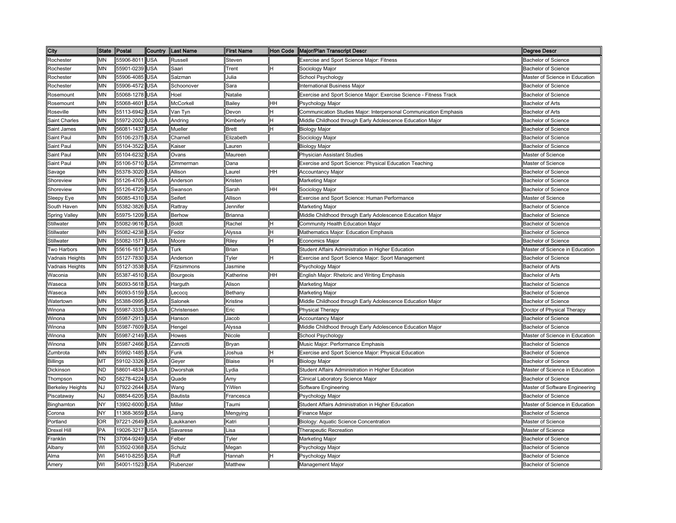| City                    | <b>State</b> | Postal         | Country    | Last Name       | <b>First Name</b> |           | Hon Code   Major/Plan Transcript Descr                             | Degree Descr                   |
|-------------------------|--------------|----------------|------------|-----------------|-------------------|-----------|--------------------------------------------------------------------|--------------------------------|
| Rochester               | MΝ           | 55906-8011 USA |            | Russell         | Steven            |           | <b>Exercise and Sport Science Major: Fitness</b>                   | <b>Bachelor of Science</b>     |
| Rochester               | MΝ           | 55901-0239     | <b>USA</b> | Saari           | Trent             |           | Sociology Major                                                    | <b>Bachelor of Science</b>     |
| Rochester               | MΝ           | 55906-4085     | <b>USA</b> | Salzman         | Julia             |           | School Psychology                                                  | Master of Science in Education |
| Rochester               | MN           | 55906-4572     | <b>USA</b> | Schoonover      | Sara              |           | nternational Business Major                                        | <b>Bachelor of Science</b>     |
| Rosemount               | MΝ           | 55068-1278     | <b>USA</b> | Hoel            | Natalie           |           | Exercise and Sport Science Major: Exercise Science - Fitness Track | <b>Bachelor of Science</b>     |
| Rosemount               | MN           | 55068-4601     | <b>USA</b> | McCorkell       | Bailey            | HH        | <sup>2</sup> sychology Major                                       | <b>Bachelor of Arts</b>        |
| Roseville               | <b>MN</b>    | 55113-6942     | <b>USA</b> | Van Tyn         | Devon             | н         | Communication Studies Major: Interpersonal Communication Emphasis  | <b>Bachelor of Arts</b>        |
| Saint Charles           | MN           | 55972-2002     | <b>USA</b> | Andring         | Kimberly          | н         | Middle Childhood through Early Adolescence Education Major         | <b>Bachelor of Science</b>     |
| Saint James             | МN           | 56081-1437 USA |            | Mueller         | <b>Brett</b>      | H         | <b>Biology Major</b>                                               | <b>Bachelor of Science</b>     |
| Saint Paul              | MΝ           | 55106-2375     | <b>USA</b> | Charnell        | Elizabeth         |           | Sociology Major                                                    | <b>Bachelor of Science</b>     |
| Saint Paul              | МN           | 55104-3522     | <b>USA</b> | Kaiser          | Lauren            |           | <b>Biology Major</b>                                               | <b>Bachelor of Science</b>     |
| Saint Paul              | ΜN           | 55104-6232     | <b>USA</b> | Ovans           | Maureen           |           | Physician Assistant Studies                                        | Master of Science              |
| Saint Paul              | MΝ           | 55106-5710 USA |            | Zimmerman       | Dana              |           | Exercise and Sport Science: Physical Education Teaching            | Master of Science              |
| Savage                  | ΜN           | 55378-3020 USA |            | Allison         | Laurel            | HH        | Accountancy Major                                                  | <b>Bachelor of Science</b>     |
| Shoreview               | ΜN           | 55126-4705 USA |            | Anderson        | Kristen           |           | Marketing Major                                                    | <b>Bachelor of Science</b>     |
| Shoreview               | MN           | 55126-4729     | <b>USA</b> | Swanson         | Sarah             | <b>HH</b> | Sociology Major                                                    | <b>Bachelor of Science</b>     |
| Sleepy Eye              | MΝ           | 56085-4310     | <b>USA</b> | Seifert         | Allison           |           | Exercise and Sport Science: Human Performance                      | Master of Science              |
| South Haven             | ΜN           | 55382-3826     | <b>USA</b> | Rattray         | Jennifer          |           | Marketing Major                                                    | <b>Bachelor of Science</b>     |
| Spring Valley           | MΝ           | 55975-1209     | <b>USA</b> | <b>Berhow</b>   | Brianna           |           | Middle Childhood through Early Adolescence Education Major         | <b>Bachelor of Science</b>     |
| Stillwater              | MN           | 55082-9616     | <b>USA</b> | <b>Boldt</b>    | Rachel            | Η         | Community Health Education Major                                   | <b>Bachelor of Science</b>     |
| Stillwater              | MΝ           | 55082-4238     | <b>USA</b> | Fedor           | Alyssa            | н         | Mathematics Major: Education Emphasis                              | <b>Bachelor of Science</b>     |
| Stillwater              | MN           | 55082-1571     | <b>USA</b> | Moore           | Riley             | Η         | Economics Major                                                    | <b>Bachelor of Science</b>     |
| Two Harbors             | MN           | 55616-1617     | <b>USA</b> | Turk            | Brian             |           | Student Affairs Administration in Higher Education                 | Master of Science in Education |
| Vadnais Heights         | <b>MN</b>    | 55127-7830     | <b>USA</b> | Anderson        | Tyler             | н         | Exercise and Sport Science Major: Sport Management                 | <b>Bachelor of Science</b>     |
| Vadnais Heights         | MN           | 55127-3538     | <b>USA</b> | Fitzsimmons     | Jasmine           |           | <sup>2</sup> sychology Major                                       | <b>Bachelor of Arts</b>        |
| Waconia                 | MΝ           | 55387-4510     | <b>USA</b> | Bourgeois       | Katherine         | HH        | English Major: Rhetoric and Writing Emphasis                       | <b>Bachelor of Arts</b>        |
| Waseca                  | MΝ           | 56093-5618     | <b>USA</b> | Harguth         | Alison            |           | Marketing Major                                                    | <b>Bachelor of Science</b>     |
| Waseca                  | MΝ           | 56093-5159     | <b>USA</b> | Lecocq          | Bethany           |           | <b>Marketing Major</b>                                             | <b>Bachelor of Science</b>     |
| Watertown               | MΝ           | 55388-0995     | <b>USA</b> | Salonek         | Kristine          |           | Middle Childhood through Early Adolescence Education Major         | <b>Bachelor of Science</b>     |
| Winona                  | MΝ           | 55987-3335     | <b>USA</b> | Christensen     | Eric              |           | <b>Physical Therapy</b>                                            | Doctor of Physical Therapy     |
| Winona                  | MN           | 55987-2913 USA |            | Hanson          | Jacob             |           | <b>Accountancy Major</b>                                           | Bachelor of Science            |
| Winona                  | MN           | 55987-7609 USA |            | Hengel          | Alyssa            |           | Middle Childhood through Early Adolescence Education Major         | <b>Bachelor of Science</b>     |
| Winona                  | MN           | 55987-2149 USA |            | Howes           | Nicole            |           | School Psychology                                                  | Master of Science in Education |
| Winona                  | MΝ           | 55987-2466 USA |            | Zannotti        | Bryan             |           | Music Major: Performance Emphasis                                  | <b>Bachelor of Science</b>     |
| Zumbrota                | MN           | 55992-1485 USA |            | Funk            | Joshua            | н         | Exercise and Sport Science Major: Physical Education               | <b>Bachelor of Science</b>     |
| <b>Billings</b>         | МΤ           | 59102-3326     | <b>USA</b> | Gever           | <b>Blaise</b>     | н         | <b>Biology Major</b>                                               | <b>Bachelor of Science</b>     |
| Dickinson               | <b>ND</b>    | 58601-4834     | <b>USA</b> | Dworshak        | ∟vdia             |           | Student Affairs Administration in Higher Education                 | Master of Science in Education |
| Thompson                | <b>ND</b>    | 58278-4224     | <b>USA</b> | Quade           | Amy               |           | Clinical Laboratory Science Major                                  | <b>Bachelor of Science</b>     |
| <b>Berkeley Heights</b> | <b>NJ</b>    | 07922-2644     | <b>USA</b> | Wang            | YiWen             |           | Software Engineering                                               | Master of Software Engineering |
| Piscataway              | <b>NJ</b>    | 08854-6205     | <b>USA</b> | <b>Bautista</b> | Francesca         |           | <sup>2</sup> sychology Major                                       | <b>Bachelor of Science</b>     |
| Binghamton              | <b>NY</b>    | 13902-6000     | <b>USA</b> | Miller          | Taumi             |           | Student Affairs Administration in Higher Education                 | Master of Science in Education |
| Corona                  | NΥ           | 11368-3659     | <b>USA</b> | Jiang           | Mengying          |           | Finance Major                                                      | <b>Bachelor of Science</b>     |
| Portland                | ΟR           | 97221-2649     | <b>USA</b> | Laukkanen       | Katri             |           | Biology: Aquatic Science Concentration                             | Master of Science              |
| <b>Drexel Hill</b>      | PA           | 19026-3217     | <b>USA</b> | Savarese        | Lisa              |           | Therapeutic Recreation                                             | Master of Science              |
| Franklin                | TΝ           | 37064-9249     | <b>USA</b> | Felber          | Tyler             |           | Marketing Major                                                    | <b>Bachelor of Science</b>     |
| Albany                  | WI           | 53502-0368     | <b>USA</b> | Schulz          | Megan             |           | <sup>2</sup> sychology Major                                       | <b>Bachelor of Science</b>     |
| Alma                    | WI           | 54610-8255     | <b>USA</b> | Ruff            | Hannah            |           | Psychology Major                                                   | <b>Bachelor of Science</b>     |
| Amerv                   | WI           | 54001-1523     | <b>USA</b> | Rubenzer        | Matthew           |           | Management Major                                                   | <b>Bachelor of Science</b>     |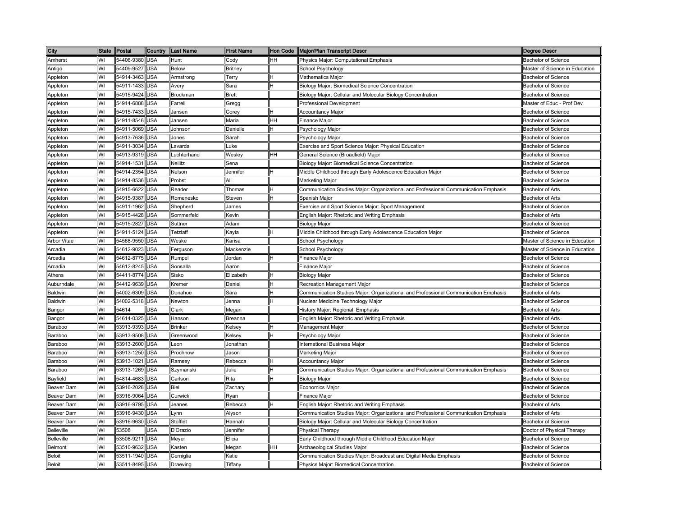| City              | <b>State</b> | Postal         | Country    | <b>ILast Name</b> | <b>First Name</b> | Hon Code | Major/Plan Transcript Descr                                                         | <b>Degree Descr</b>            |
|-------------------|--------------|----------------|------------|-------------------|-------------------|----------|-------------------------------------------------------------------------------------|--------------------------------|
| Amherst           | WI           | 54406-9380     | <b>USA</b> | Hunt              | Codv              | HН       | Physics Major: Computational Emphasis                                               | <b>Bachelor of Science</b>     |
| Antigo            | WI           | 54409-9527     | USA        | <b>Below</b>      | Britney           |          | School Psychology                                                                   | Master of Science in Education |
| Appleton          | WI           | 54914-3463     | <b>USA</b> | Armstrong         | Гerry             |          | <b>Mathematics Major</b>                                                            | <b>Bachelor of Science</b>     |
| Appleton          | WI           | 54911-1433     | USA        | Avery             | Sara              |          | Biology Major: Biomedical Science Concentration                                     | <b>Bachelor of Science</b>     |
| Appleton          | W١           | 54915-9424     | USA        | Brockman          | <b>Brett</b>      |          | Biology Major: Cellular and Molecular Biology Concentration                         | <b>Bachelor of Science</b>     |
| Appleton          | WI           | 54914-6888     | USA        | Farrell           | Gregg             |          | Professional Development                                                            | Master of Educ - Prof Dev      |
| Appleton          | WI           | 54915-7433 USA |            | Jansen            | Corey             |          | <b>Accountancy Major</b>                                                            | <b>Bachelor of Science</b>     |
| Appleton          | WI           | 54911-8546     | USA        | Jansen            | Maria             | HH       | Finance Major                                                                       | <b>Bachelor of Science</b>     |
| Appleton          | W١           | 54911-5069 USA |            | Johnson           | Danielle          |          | Psychology Major                                                                    | <b>Bachelor of Science</b>     |
| Appleton          | WI           | 54913-7636     | <b>USA</b> | Jones             | Sarah             |          | <sup>⊃</sup> sychology Major                                                        | <b>Bachelor of Science</b>     |
| Appleton          | W١           | 54911-3034     | <b>USA</b> | Lavarda           | uke.              |          | Exercise and Sport Science Major: Physical Education                                | <b>Bachelor of Science</b>     |
| Appleton          | WI           | 54913-9319 USA |            | uchterhand        | Wesley            | HH       | General Science (Broadfield) Major                                                  | <b>Bachelor of Science</b>     |
| Appleton          | WI           | 54914-1531     | <b>USA</b> | Neilitz           | Sena              |          | Biology Major: Biomedical Science Concentration                                     | <b>Bachelor of Science</b>     |
| Appleton          | WI           | 54914-2354     | <b>USA</b> | Nelson            | Jennifer          | H        | Middle Childhood through Early Adolescence Education Major                          | <b>Bachelor of Science</b>     |
| Appleton          | WI           | 54914-8536     | <b>USA</b> | Probst            | Ali               |          | Marketing Major                                                                     | <b>Bachelor of Science</b>     |
| Appleton          | WI           | 54915-6622     | <b>USA</b> | Reader            | Thomas            | н        | Communication Studies Major: Organizational and Professional Communication Emphasis | <b>Bachelor of Arts</b>        |
| Appleton          | WI           | 54915-9387     | <b>USA</b> | Romenesko         | Steven            |          | Spanish Major                                                                       | <b>Bachelor of Arts</b>        |
| Appleton          | WI           | 54911-1962     | USA        | Shepherd          | James             |          | Exercise and Sport Science Major: Sport Management                                  | <b>Bachelor of Science</b>     |
| Appleton          | WI           | 54915-4428     | <b>USA</b> | Sommerfeld        | Kevin             |          | English Major: Rhetoric and Writing Emphasis                                        | Bachelor of Arts               |
| Appleton          | WI           | 54915-2827     | USA        | Suttner           | Adam              |          | Biology Major                                                                       | <b>Bachelor of Science</b>     |
| Appleton          | W١           | 54911-5124     | USA        | Tetzlaff          | Kayla             |          | Middle Childhood through Early Adolescence Education Major                          | <b>Bachelor of Science</b>     |
| Arbor Vitae       | WI           | 54568-9550     | USA        | Weske             | Karisa            |          | School Psychology                                                                   | Master of Science in Education |
| Arcadia           | WI           | 54612-9023     | USA        | Ferguson          | Mackenzie         |          | School Psychology                                                                   | Master of Science in Education |
| Arcadia           | WI           | 54612-8775     | USA        | Rumpel            | Jordan            |          | Finance Major                                                                       | <b>Bachelor of Science</b>     |
| Arcadia           | WI           | 54612-8245     | USA        | Sonsalla          | Aaron             |          | Finance Major                                                                       | <b>Bachelor of Science</b>     |
| Athens            | WI           | 54411-8774     | USA        | Sisko             | Elizabeth         |          | <b>Biology Major</b>                                                                | <b>Bachelor of Science</b>     |
| Auburndale        | W١           | 54412-9639 USA |            | Kremer            | Daniel            |          | Recreation Management Major                                                         | <b>Bachelor of Science</b>     |
| Baldwin           | WI           | 54002-6309     | <b>USA</b> | Donahoe           | Sara              |          | Communication Studies Major: Organizational and Professional Communication Emphasis | <b>Bachelor of Arts</b>        |
| Baldwin           | WI           | 54002-5318 USA |            | Newton            | lenna             |          | Nuclear Medicine Technology Major                                                   | <b>Bachelor of Science</b>     |
| Bangor            | WI           | 54614          | USA        | Clark             | Megan             |          | History Major: Regional Emphasis                                                    | <b>Bachelor of Arts</b>        |
| Bangor            | WI           | 54614-0325 USA |            | Hanson            | Breanna           |          | English Major: Rhetoric and Writing Emphasis                                        | <b>Bachelor of Arts</b>        |
| Baraboo           | WI           | 53913-9393 USA |            | <b>Brinker</b>    | Kelsey            | н        | Management Major                                                                    | <b>Bachelor of Science</b>     |
| Baraboo           | WI           | 53913-9508     | USA        | Greenwood         | Kelsey            | Ή        | Psychology Major                                                                    | <b>Bachelor of Science</b>     |
| Baraboo           | WI           | 53913-2600     | <b>USA</b> | Leon              | Jonathan          |          | nternational Business Major                                                         | Bachelor of Science            |
| Baraboo           | WI           | 53913-1250     | <b>USA</b> | Prochnow          | Jason             |          | Marketing Major                                                                     | <b>Bachelor of Science</b>     |
| Baraboo           | WI           | 53913-1021     | USA        | Ramsey            | Rebecca           |          | <b>Accountancy Major</b>                                                            | <b>Bachelor of Science</b>     |
| Baraboo           | W١           | 53913-1269     | USA        | Szymanski         | Julie             |          | Communication Studies Major: Organizational and Professional Communication Emphasis | <b>Bachelor of Science</b>     |
| Bayfield          | WI           | 54814-4683     | <b>USA</b> | Carlson           | Rita              |          | <b>Biology Major</b>                                                                | <b>Bachelor of Science</b>     |
| Beaver Dam        | WI           | 53916-2028     | <b>USA</b> | Biel              | Zachary           |          | Economics Major                                                                     | <b>Bachelor of Science</b>     |
| Beaver Dam        | WI           | 53916-9064     | USA        | Curwick           | Ryan              |          | Finance Major                                                                       | Bachelor of Science            |
| Beaver Dam        | WI           | 53916-9795     | USA        | Jeanes            | Rebecca           |          | English Major: Rhetoric and Writing Emphasis                                        | <b>Bachelor of Arts</b>        |
| Beaver Dam        | WI           | 53916-9430     | <b>USA</b> | _ynn              | Alyson            |          | Communication Studies Major: Organizational and Professional Communication Emphasis | <b>Bachelor of Arts</b>        |
| Beaver Dam        | WI           | 53916-9630     | USA        | Stofflet          | Hannah            |          | Biology Major: Cellular and Molecular Biology Concentration                         | <b>Bachelor of Science</b>     |
| <b>Belleville</b> | WI           | 53508          | USA        | D'Orazio          | lennifer          |          | Physical Therapy                                                                    | Doctor of Physical Therapy     |
| <b>Belleville</b> | WI           | 53508-9211     | USA        | Meyer             | Elicia            |          | Early Childhood through Middle Childhood Education Major                            | <b>Bachelor of Science</b>     |
| Belmont           | WI           | 53510-9632     | <b>USA</b> | Kasten            | Megan             | HH       | Archaeological Studies Major                                                        | <b>Bachelor of Science</b>     |
| <b>Beloit</b>     | W١           | 53511-1940     | USA        | Cerniglia         | Katie             |          | Communication Studies Major: Broadcast and Digital Media Emphasis                   | <b>Bachelor of Science</b>     |
| <b>Beloit</b>     | WI           | 53511-8495 USA |            | Draeving          | Tiffany           |          | Physics Major: Biomedical Concentration                                             | <b>Bachelor of Science</b>     |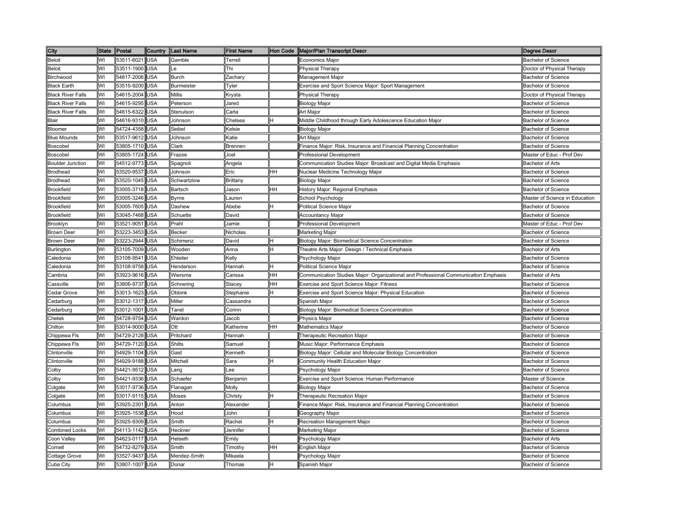| City                     | <b>State</b> | Postal         | Country    | <b>Last Name</b>  | <b>First Name</b> |           | Hon Code   Major/Plan Transcript Descr                                              | <b>Degree Descr</b>            |
|--------------------------|--------------|----------------|------------|-------------------|-------------------|-----------|-------------------------------------------------------------------------------------|--------------------------------|
| <b>Beloit</b>            | WI           | 53511-6021 USA |            | Gamble            | Terrell           |           | Economics Major                                                                     | <b>Bachelor of Science</b>     |
| <b>Beloit</b>            | WI           | 53511-1900     | <b>USA</b> | Le                | Thi               |           | Physical Therapy                                                                    | Doctor of Physical Therapy     |
| Birchwood                | WI           | 54817-2006     | <b>USA</b> | <b>Burch</b>      | Zachary           |           | Management Major                                                                    | <b>Bachelor of Science</b>     |
| <b>Black Earth</b>       | WI           | 53515-9200     | <b>USA</b> | <b>Burmeister</b> | Tyler             |           | Exercise and Sport Science Major: Sport Management                                  | <b>Bachelor of Science</b>     |
| <b>Black River Falls</b> | WI           | 54615-2004     | <b>USA</b> | <b>Millis</b>     | Krysta            |           | Physical Therapy                                                                    | Doctor of Physical Therapy     |
| <b>Black River Falls</b> | WI           | 54615-9295     | <b>USA</b> | Peterson          | Jared             |           | Biology Major                                                                       | <b>Bachelor of Science</b>     |
| <b>Black River Falls</b> | WI           | 54615-6322     | <b>USA</b> | Stenulson         | Carla             |           | Art Major                                                                           | <b>Bachelor of Science</b>     |
| Blair                    | WI           | 54616-9310 USA |            | Johnson           | Chelsea           | н         | Middle Childhood through Early Adolescence Education Major                          | <b>Bachelor of Science</b>     |
| Bloomer                  | WI           | 54724-4358 USA |            | Seibel            | Kelsie            |           | <b>Biology Major</b>                                                                | <b>Bachelor of Science</b>     |
| <b>Blue Mounds</b>       | WI           | 53517-9612 USA |            | Johnson           | Katie             |           | Art Major                                                                           | <b>Bachelor of Science</b>     |
| <b>Boscobel</b>          | WI           | 53805-1710 USA |            | Clark             | <b>Brennen</b>    |           | Finance Major: Risk, Insurance and Financial Planning Concentration                 | <b>Bachelor of Science</b>     |
| Boscobel                 | WI           | 53805-1724     | <b>USA</b> | Frazee            | Joel              |           | Professional Development                                                            | Master of Educ - Prof Dev      |
| <b>Boulder Junction</b>  | WI           | 54512-9773     | <b>USA</b> | Spagnoli          | Angela            |           | Communication Studies Major: Broadcast and Digital Media Emphasis                   | <b>Bachelor of Arts</b>        |
| <b>Brodhead</b>          | WI           | 53520-9537 USA |            | Johnson           | Eric              | <b>HH</b> | Nuclear Medicine Technology Major                                                   | <b>Bachelor of Science</b>     |
| <b>Brodhead</b>          | WI           | 53520-1045 USA |            | Schwartzlow       | Brittany          |           | <b>Biology Major</b>                                                                | <b>Bachelor of Science</b>     |
| <b>Brookfield</b>        | WI           | 53005-3718     | <b>USA</b> | Bartsch           | Jason             | <b>HH</b> | History Major: Regional Emphasis                                                    | <b>Bachelor of Science</b>     |
| <b>Brookfield</b>        | WI           | 53005-3246     | <b>USA</b> | <b>B</b> vrne     | Lauren            |           | School Psychology                                                                   | Master of Science in Education |
| <b>Brookfield</b>        | WI           | 53005-7605     | <b>USA</b> | Dashew            | Abebe             | Η         | Political Science Major                                                             | <b>Bachelor of Science</b>     |
| <b>Brookfield</b>        | WI           | 53045-7468     | <b>USA</b> | Schuette          | David             |           | <b>Accountancy Major</b>                                                            | <b>Bachelor of Science</b>     |
| Brooklyn                 | WI           | 53521-9051     | <b>USA</b> | Prahl             | Jamie             |           | <b>Professional Development</b>                                                     | Master of Educ - Prof Dev      |
| <b>Brown Deer</b>        | WI           | 53223-3453     | <b>USA</b> | <b>Becker</b>     | Nicholas          |           | Marketing Major                                                                     | <b>Bachelor of Science</b>     |
| <b>Brown Deer</b>        | WI           | 53223-2944     | <b>USA</b> | Schimenz          | David             | н         | Biology Major: Biomedical Science Concentration                                     | <b>Bachelor of Science</b>     |
| Burlington               | WI           | 53105-7009     | <b>USA</b> | Wooden            | Anna              | н         | Theatre Arts Major: Design / Technical Emphasis                                     | <b>Bachelor of Arts</b>        |
| Caledonia                | WI           | 53108-9541     | <b>USA</b> | Ehleiter          | Kelly             |           | Psychology Major                                                                    | <b>Bachelor of Science</b>     |
| Caledonia                | WI           | 53108-9758     | <b>USA</b> | Henderson         | Hannah            | н         | Political Science Major                                                             | <b>Bachelor of Science</b>     |
| Cambria                  | WI           | 53923-9616     | <b>USA</b> | Wiersma           | Carissa           | HН        | Communication Studies Major: Organizational and Professional Communication Emphasis | <b>Bachelor of Arts</b>        |
| Cassville                | WI           | 53806-9737     | <b>USA</b> | Schnering         | Stacey            | HH        | Exercise and Sport Science Major: Fitness                                           | <b>Bachelor of Science</b>     |
| Cedar Grove              | WI           | 53013-1623     | <b>USA</b> | Obbink            | Stephanie         | н         | Exercise and Sport Science Major: Physical Education                                | <b>Bachelor of Science</b>     |
| Cedarburg                | WI           | 53012-1317 USA |            | Miller            | Cassandra         |           | Spanish Major                                                                       | <b>Bachelor of Science</b>     |
| Cedarburg                | WI           | 53012-1001 USA |            | Tanel             | Corinn            |           | Biology Major: Biomedical Science Concentration                                     | <b>Bachelor of Science</b>     |
| Chetek                   | WI           | 54728-9754     | <b>USA</b> | Wardon            | Jacob             |           | <b>Physics Major</b>                                                                | Bachelor of Science            |
| Chilton                  | WI           | 53014-9000 USA |            | Ott               | Katherine         | <b>HH</b> | Mathematics Major                                                                   | <b>Bachelor of Science</b>     |
| Chippewa Fls             | WI           | 54729-2128 USA |            | Pritchard         | Hannah            |           | <b>Therapeutic Recreation Major</b>                                                 | <b>Bachelor of Science</b>     |
| Chippewa Fls             | WI           | 54729-7120 USA |            | <b>Shilts</b>     | Samuel            |           | Music Major: Performance Emphasis                                                   | <b>Bachelor of Science</b>     |
| Clintonville             | WI           | 54929-1104 USA |            | Gast              | Kenneth           |           | Biology Major: Cellular and Molecular Biology Concentration                         | <b>Bachelor of Science</b>     |
| Clintonville             | WI           | 54929-9188     | <b>USA</b> | Mitchell          | Sara              | н         | Community Health Education Major                                                    | Bachelor of Science            |
| Colby                    | WI           | 54421-9512     | <b>USA</b> | Lang              | Lee               |           | <sup>2</sup> sychology Major                                                        | <b>Bachelor of Science</b>     |
| Colby                    | WI           | 54421-9336     | <b>USA</b> | Schaefer          | Benjamin          |           | Exercise and Sport Science: Human Performance                                       | Master of Science              |
| Colgate                  | WI           | 53017-9736     | <b>USA</b> | Flanagan          | Molly             |           | Biology Major                                                                       | <b>Bachelor of Science</b>     |
| Colgate                  | WI           | 53017-9115     | <b>USA</b> | Moses             | Christy           | H         | Therapeutic Recreation Major                                                        | <b>Bachelor of Science</b>     |
| Columbus                 | WI           | 53925-2301     | <b>USA</b> | Anton             | Alexander         |           | Finance Major: Risk, Insurance and Financial Planning Concentration                 | <b>Bachelor of Science</b>     |
| Columbus                 | WI           | 53925-1538     | <b>USA</b> | Hood              | John              |           | <b>Geography Major</b>                                                              | <b>Bachelor of Science</b>     |
| Columbus                 | WI           | 53925-9309     | <b>USA</b> | Smith             | Rachel            | H         | Recreation Management Major                                                         | <b>Bachelor of Science</b>     |
| <b>Combined Locks</b>    | WI           | 54113-1142     | <b>USA</b> | Heckner           | Jennifer          |           | Marketing Major                                                                     | <b>Bachelor of Science</b>     |
| Coon Valley              | WI           | 54623-0117     | <b>USA</b> | Helseth           | Emily             |           | <sup>2</sup> sychology Major                                                        | Bachelor of Arts               |
| Cornell                  | WI           | 54732-8279     | <b>USA</b> | Smith             | Timothy           | HН        | English Major                                                                       | <b>Bachelor of Science</b>     |
| Cottage Grove            | WI           | 53527-9437     | <b>USA</b> | Mendez-Smith      | Mikaela           |           | <sup>2</sup> sychology Major                                                        | <b>Bachelor of Science</b>     |
| Cuba City                | WI           | 53807-1007     | <b>USA</b> | Donar             | Thomas            | н         | Spanish Major                                                                       | <b>Bachelor of Science</b>     |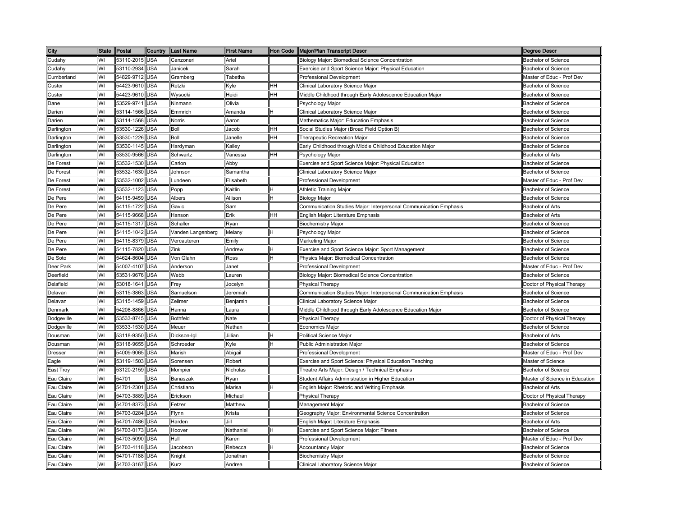| City           | State Postal |                | Country    | <b>Last Name</b>  | <b>First Name</b> |           | Hon Code   Major/Plan Transcript Descr                            | Degree Descr                   |
|----------------|--------------|----------------|------------|-------------------|-------------------|-----------|-------------------------------------------------------------------|--------------------------------|
| Cudahy         | WI           | 53110-2015 USA |            | Canzoneri         | Ariel             |           | Biology Major: Biomedical Science Concentration                   | <b>Bachelor of Science</b>     |
| Cudahy         | WI           | 53110-2934     | <b>USA</b> | Janicek           | Sarah             |           | Exercise and Sport Science Major: Physical Education              | <b>Bachelor of Science</b>     |
| Cumberland     | WI           | 54829-9712     | <b>USA</b> | Gramberg          | Tabetha           |           | Professional Development                                          | Master of Educ - Prof Dev      |
| Custer         | WI           | 54423-9610     | <b>USA</b> | Retzki            | Kyle              | HH        | Clinical Laboratory Science Major                                 | <b>Bachelor of Science</b>     |
| Custer         | WI           | 54423-9610     | <b>USA</b> | Wysocki           | Heidi             | <b>HH</b> | Middle Childhood through Early Adolescence Education Major        | <b>Bachelor of Science</b>     |
| Dane           | WI           | 53529-9741     | <b>USA</b> | Ninmann           | Olivia            |           | Psychology Major                                                  | <b>Bachelor of Science</b>     |
| Darien         | WI           | 53114-1566 USA |            | Emmrich           | Amanda            | Η         | Clinical Laboratory Science Major                                 | <b>Bachelor of Science</b>     |
| Darien         | WI           | 53114-1568 USA |            | Norris            | Aaron             |           | Mathematics Major: Education Emphasis                             | <b>Bachelor of Science</b>     |
| Darlington     | WI           | 53530-1226 USA |            | Boll              | Jacob             | HН        | Social Studies Major (Broad Field Option B)                       | <b>Bachelor of Science</b>     |
| Darlington     | WI           | 53530-1226 USA |            | Boll              | Janelle           | HH        | Therapeutic Recreation Major                                      | <b>Bachelor of Science</b>     |
| Darlington     | WI           | 53530-1145 USA |            | Hardyman          | Kailey            |           | Early Childhood through Middle Childhood Education Major          | <b>Bachelor of Science</b>     |
| Darlington     | WI           | 53530-9566 USA |            | Schwartz          | Vanessa           | HH        | Psychology Major                                                  | <b>Bachelor of Arts</b>        |
| De Forest      | WI           | 53532-1530 USA |            | Carlon            | Abby              |           | Exercise and Sport Science Major: Physical Education              | <b>Bachelor of Science</b>     |
| De Forest      | WI           | 53532-1630 USA |            | Johnson           | Samantha          |           | Clinical Laboratory Science Major                                 | <b>Bachelor of Science</b>     |
| De Forest      | WI           | 53532-1002 USA |            | Lundeen           | Elisabeth         |           | Professional Development                                          | Master of Educ - Prof Dev      |
| De Forest      | WI           | 53532-1123     | <b>USA</b> | Popp              | Kaitlin           | lн        | <b>Athletic Training Major</b>                                    | <b>Bachelor of Science</b>     |
| De Pere        | WI           | 54115-9459     | <b>USA</b> | Albers            | Allison           | н         | <b>Biology Major</b>                                              | <b>Bachelor of Science</b>     |
| De Pere        | WI           | 54115-1722     | <b>USA</b> | Gavic             | Sam               |           | Communication Studies Major: Interpersonal Communication Emphasis | Bachelor of Arts               |
| De Pere        | WI           | 54115-9668     | <b>USA</b> | Hanson            | Erik              | HH        | English Major: Literature Emphasis                                | Bachelor of Arts               |
| De Pere        | WI           | 54115-1317     | <b>USA</b> | Schaller          | Ryan              |           | <b>Biochemistry Major</b>                                         | <b>Bachelor of Science</b>     |
| De Pere        | WI           | 54115-1042     | <b>USA</b> | Vanden Langenberg | Melany            | Η         | Psychology Major                                                  | <b>Bachelor of Science</b>     |
| De Pere        | WI           | 54115-8379     | <b>USA</b> | Vercauteren       | Emily             |           | Marketing Major                                                   | <b>Bachelor of Science</b>     |
| De Pere        | WI           | 54115-7820     | <b>USA</b> | Zink              | Andrew            | н         | Exercise and Sport Science Major: Sport Management                | <b>Bachelor of Science</b>     |
| De Soto        | WI           | 54624-8604     | <b>USA</b> | Von Glahn         | Ross              |           | Physics Major: Biomedical Concentration                           | <b>Bachelor of Science</b>     |
| Deer Park      | WI           | 54007-4107 USA |            | Anderson          | Janet             |           | Professional Development                                          | Master of Educ - Prof Dev      |
| Deerfield      | WI           | 53531-9676 USA |            | Webb              | Lauren            |           | Biology Major: Biomedical Science Concentration                   | <b>Bachelor of Science</b>     |
| Delafield      | WI           | 53018-1641 USA |            | Frey              | Jocelyn           |           | Physical Therapy                                                  | Doctor of Physical Therapy     |
| Delavan        | WI           | 53115-3863     | <b>USA</b> | Samuelson         | Jeremiah          |           | Communication Studies Major: Interpersonal Communication Emphasis | <b>Bachelor of Science</b>     |
| Delavan        | WI           | 53115-1459 USA |            | Zellmer           | Benjamin          |           | Clinical Laboratory Science Major                                 | <b>Bachelor of Science</b>     |
| Denmark        | WI           | 54208-8866 USA |            | Hanna             | Laura             |           | Middle Childhood through Early Adolescence Education Major        | <b>Bachelor of Science</b>     |
| Dodgeville     | WI           | 53533-8745 USA |            | <b>Bothfeld</b>   | Nate              |           | <b>Physical Therapy</b>                                           | Doctor of Physical Therapy     |
| Dodgeville     | WI           | 53533-1530 USA |            | Meuer             | Nathan            |           | Economics Major                                                   | <b>Bachelor of Science</b>     |
| Dousman        | WI           | 53118-9350 USA |            | Dickson-Igl       | Jillian           | lн        | Political Science Major                                           | <b>Bachelor of Arts</b>        |
| Dousman        | WI           | 53118-9655 USA |            | Schroeder         | Kyle              | н         | Public Administration Major                                       | <b>Bachelor of Science</b>     |
| <b>Dresser</b> | WI           | 54009-9065     | <b>USA</b> | Marish            | Abigail           |           | <b>Professional Development</b>                                   | Master of Educ - Prof Dev      |
| Eagle          | WI           | 53119-1503     | <b>USA</b> | Sorensen          | Robert            |           | Exercise and Sport Science: Physical Education Teaching           | Master of Science              |
| East Troy      | WI           | 53120-2159     | <b>USA</b> | Mompier           | Nicholas          |           | Theatre Arts Major: Design / Technical Emphasis                   | <b>Bachelor of Science</b>     |
| Eau Claire     | WI           | 54701          | <b>USA</b> | Banaszak          | Ryan              |           | Student Affairs Administration in Higher Education                | Master of Science in Education |
| Eau Claire     | WI           | 54701-2301 USA |            | Christiano        | Marisa            | Η         | English Major: Rhetoric and Writing Emphasis                      | <b>Bachelor of Arts</b>        |
| Eau Claire     | WI           | 54703-3889 USA |            | Erickson          | Michael           |           | <b>Physical Therapy</b>                                           | Doctor of Physical Therapy     |
| Eau Claire     | WI           | 54701-8373     | <b>USA</b> | Fetzer            | Matthew           |           | Management Major                                                  | <b>Bachelor of Science</b>     |
| Eau Claire     | WI           | 54703-0284     | <b>USA</b> | Flynn             | Krista            |           | Geography Major: Environmental Science Concentration              | <b>Bachelor of Science</b>     |
| Eau Claire     | WI           | 54701-7486     | <b>USA</b> | Harden            | Jill              |           | English Major: Literature Emphasis                                | <b>Bachelor of Arts</b>        |
| Eau Claire     | WI           | 54703-0173     | <b>USA</b> | Hoover            | Nathaniel         | н         | <b>Exercise and Sport Science Major: Fitness</b>                  | <b>Bachelor of Science</b>     |
| Eau Claire     | WI           | 54703-5090     | <b>USA</b> | Hull              | Karen             |           | Professional Development                                          | Master of Educ - Prof Dev      |
| Eau Claire     | WI           | 54703-4118 USA |            | Jacobson          | Rebecca           | н         | <b>Accountancy Major</b>                                          | <b>Bachelor of Science</b>     |
| Eau Claire     | WI           | 54701-7188     | <b>USA</b> | Knight            | Jonathan          |           | <b>Biochemistry Major</b>                                         | <b>Bachelor of Science</b>     |
| Eau Claire     | WI           | 54703-3167 USA |            | Kurz              | Andrea            |           | Clinical Laboratory Science Major                                 | Bachelor of Science            |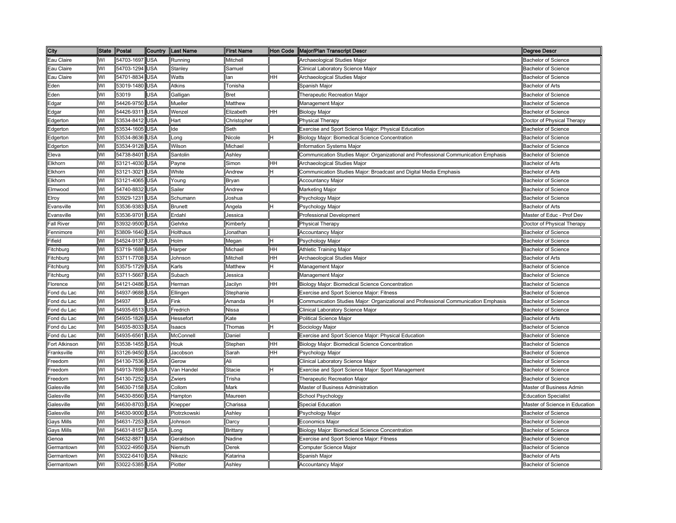| City                    | <b>State</b> | Postal     | Country    | Last Name      | <b>First Name</b> |           | Hon Code   Major/Plan Transcript Descr                                              | <b>Degree Descr</b>            |
|-------------------------|--------------|------------|------------|----------------|-------------------|-----------|-------------------------------------------------------------------------------------|--------------------------------|
| Eau Claire              | WI           | 54703-1697 | USA        | Running        | Mitchell          |           | Archaeological Studies Major                                                        | <b>Bachelor of Science</b>     |
| Eau Claire              | WI           | 54703-1294 | <b>JSA</b> | Stanley        | Samuel            |           | Clinical Laboratory Science Major                                                   | <b>Bachelor of Science</b>     |
| Eau Claire              | WI           | 54701-8834 | <b>JSA</b> | Watts          | an                | HH        | Archaeological Studies Major                                                        | <b>Bachelor of Science</b>     |
| Eden                    | WI           | 53019-1480 | USA        | Atkins         | <b>Tonisha</b>    |           | Spanish Major                                                                       | <b>Bachelor of Arts</b>        |
| ∃den                    | WI           | 53019      | JSA        | Galligan       | Bret              |           | Therapeutic Recreation Maior                                                        | <b>Bachelor of Science</b>     |
| Edgar                   | WI           | 54426-9750 | <b>JSA</b> | Mueller        | Matthew           |           | Management Major                                                                    | <b>Bachelor of Science</b>     |
| Edgar                   | WI           | 54426-9311 | USA        | Wenzel         | Elizabeth         | <b>HH</b> | <b>Biology Major</b>                                                                | <b>Bachelor of Science</b>     |
| Edgerton                | WI           | 53534-8412 | <b>JSA</b> | Hart           | Christopher       |           | Physical Therapy                                                                    | Doctor of Physical Therapy     |
| Edgerton                | WI           | 53534-1605 | USA        | lde            | Seth              |           | Exercise and Sport Science Major: Physical Education                                | <b>Bachelor of Science</b>     |
| Edgerton                | WI           | 53534-8636 | JSA        | Long           | Nicole            |           | Biology Major: Biomedical Science Concentration                                     | <b>Bachelor of Science</b>     |
| Edgerton                | WI           | 53534-9128 | USA        | Wilson         | Michael           |           | Information Systems Major                                                           | <b>Bachelor of Science</b>     |
| Eleva                   | WI           | 54738-8401 | USA        | Santolin       | Ashley            |           | Communication Studies Major: Organizational and Professional Communication Emphasis | <b>Bachelor of Science</b>     |
| Elkhorn                 | WI           | 53121-4030 | USA        | Payne          | Simon             | HH        | Archaeological Studies Major                                                        | <b>Bachelor of Arts</b>        |
| Elkhorn                 | WI           | 53121-3021 | USA        | White          | Andrew            |           | Communication Studies Major: Broadcast and Digital Media Emphasis                   | <b>Bachelor of Arts</b>        |
| Elkhorn                 | WI           | 53121-4065 | <b>JSA</b> | Youna          | Bryan             |           | <b>Accountancy Major</b>                                                            | <b>Bachelor of Science</b>     |
| Elmwood                 | WI           | 54740-8832 | USA        | Sailer         | Andrew            |           | Marketing Major                                                                     | <b>Bachelor of Science</b>     |
| Elroy                   | WI           | 53929-1231 | USA        | Schumann       | Joshua            |           | Psychology Major                                                                    | <b>Bachelor of Science</b>     |
| Evansville              | WI           | 53536-9383 | USA        | <b>Brunett</b> | Angela            |           | Psychology Major                                                                    | Bachelor of Arts               |
| Evansville              | WI           | 53536-9701 | USA        | Erdahl         | Jessica           |           | Professional Development                                                            | Master of Educ - Prof Dev      |
| Fall River              | WI           | 53932-9500 | USA        | Gehrke         | Kimberly          |           | <b>Physical Therapy</b>                                                             | Doctor of Physical Therapy     |
| Fennimore               | WI           | 53809-1640 | USA        | Holthaus       | Jonathan          |           | <b>Accountancy Major</b>                                                            | <b>Bachelor of Science</b>     |
| Fifield                 | WI           | 54524-9137 | USA        | Holm           | Megan             |           | Psychology Major                                                                    | <b>Bachelor of Science</b>     |
| Fitchburg               | WI           | 53719-1688 | <b>JSA</b> | Harper         | Michael           | HH        | Athletic Training Major                                                             | <b>Bachelor of Science</b>     |
| Fitchburg               | WI           | 53711-7708 | <b>JSA</b> | Johnson        | Mitchell          | HH        | Archaeological Studies Major                                                        | <b>Bachelor of Arts</b>        |
| Fitchburg               | WI           | 53575-1729 | USA        | Karls          | Matthew           |           | Management Major                                                                    | <b>Bachelor of Science</b>     |
| Fitchburg               | WI           | 53711-5667 | <b>JSA</b> | Subach         | lessica           |           | Management Major                                                                    | <b>Bachelor of Science</b>     |
| Florence                | WI           | 54121-0486 | <b>JSA</b> | Herman         | Jacilyn           | HН        | Biology Major: Biomedical Science Concentration                                     | <b>Bachelor of Science</b>     |
| Fond du Lac             | WI           | 54937-9688 | USA        | Ellingen       | Stephanie         |           | Exercise and Sport Science Major: Fitness                                           | <b>Bachelor of Science</b>     |
| ond du Lac              | WI           | 54937      | <b>JSA</b> | Fink           | Amanda            |           | Communication Studies Major: Organizational and Professional Communication Emphasis | <b>Bachelor of Science</b>     |
| Fond du Lac             | WI           | 54935-6513 | USA        | Fredrich       | Nissa             |           | Clinical Laboratory Science Major                                                   | <b>Bachelor of Science</b>     |
| ond du Lac <sup>-</sup> | WI           | 54935-1826 | <b>JSA</b> | Hessefort      | Kate              |           | Political Science Major                                                             | <b>Bachelor of Arts</b>        |
| Fond du Lac             | WI           | 54935-8033 | USA        | Isaacs         | Thomas            |           | Sociology Major                                                                     | <b>Bachelor of Science</b>     |
| Fond du Lac             | WI           | 54935-6561 | USA        | McConnell      | Daniel            |           | Exercise and Sport Science Major: Physical Education                                | <b>Bachelor of Science</b>     |
| Fort Atkinson           | WI           | 53538-1455 | USA        | Houk           | Stephen           | HH        | <b>Biology Major: Biomedical Science Concentration</b>                              | <b>Bachelor of Science</b>     |
| Franksville             | WI           | 53126-9450 | USA        | Jacobson       | Sarah             | HH        | Psychology Major                                                                    | <b>Bachelor of Science</b>     |
| Freedom                 | WI           | 54130-7536 | USA        | Gerow          | Ali               |           | Clinical Laboratory Science Major                                                   | <b>Bachelor of Science</b>     |
| Freedom                 | WI           | 54913-7898 | USA        | Van Handel     | Stacie            |           | Exercise and Sport Science Major: Sport Management                                  | <b>Bachelor of Science</b>     |
| Freedom                 | WI           | 54130-7252 | USA        | Zwiers         | Trisha            |           | Therapeutic Recreation Major                                                        | <b>Bachelor of Science</b>     |
| Galesville              | WI           | 54630-7158 | USA        | Collom         | Mark              |           | Master of Business Administration                                                   | Master of Business Admin       |
| Galesville              | WI           | 54630-8560 | USA        | Hampton        | Maureen           |           | School Psychology                                                                   | <b>Education Specialist</b>    |
| Galesville              | WI           | 54630-8703 | USA        | Knepper        | Charissa          |           | <b>Special Education</b>                                                            | Master of Science in Education |
| Galesville              | WI           | 54630-9000 | USA        | Piotrzkowski   | Ashley            |           | Psychology Major                                                                    | <b>Bachelor of Science</b>     |
| Gays Mills              | WI           | 54631-7253 | USA        | Johnson        | Darcy             |           | Economics Major                                                                     | <b>Bachelor of Science</b>     |
| <b>Gays Mills</b>       | WI           | 54631-8157 | USA        | .ong           | Brittany          |           | Biology Major: Biomedical Science Concentration                                     | <b>Bachelor of Science</b>     |
| Genoa                   | WI           | 54632-8871 | JSA        | Geraldson      | Nadine            |           | <b>Exercise and Sport Science Major: Fitness</b>                                    | <b>Bachelor of Science</b>     |
| 3ermantown              | WI           | 53022-4950 | <b>JSA</b> | Niemuth        | Derek             |           | Computer Science Major                                                              | <b>Bachelor of Science</b>     |
| Germantown              | WI           | 53022-6410 | <b>JSA</b> | Nikezic        | Katarina          |           | Spanish Major                                                                       | <b>Bachelor of Arts</b>        |
| Germantown              | WI           | 53022-5385 | <b>JSA</b> | Piotter        | Ashlev            |           | <b>Accountancy Major</b>                                                            | <b>Bachelor of Science</b>     |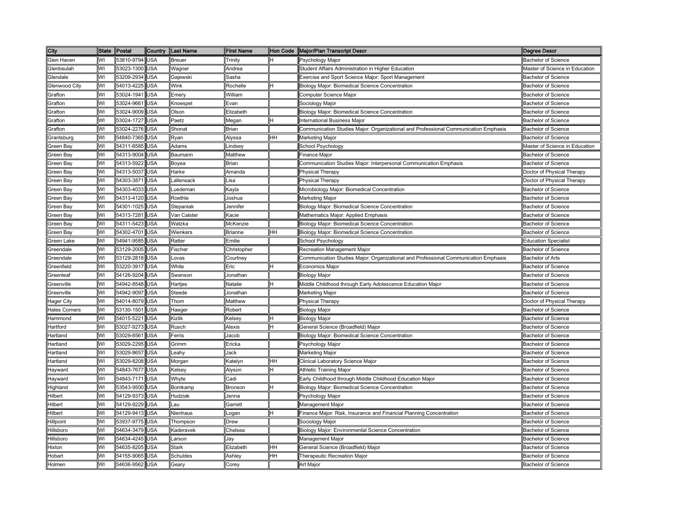| City                 | <b>State</b> | Postal         | Country    | <b>Last Name</b> | <b>First Name</b> | Hon Code | Major/Plan Transcript Descr                                                         | Degree Descr                   |
|----------------------|--------------|----------------|------------|------------------|-------------------|----------|-------------------------------------------------------------------------------------|--------------------------------|
| Glen Haven           | WI           | 53810-9794 USA |            | <b>Breuer</b>    | Trinity           | H        | Psychology Major                                                                    | <b>Bachelor of Science</b>     |
| Glenbeulah           | WI           | 53023-1300     | <b>USA</b> | Wagner           | Andrea            |          | Student Affairs Administration in Higher Education                                  | Master of Science in Education |
| Glendale             | WI           | 53209-2934     | <b>USA</b> | Gajewski         | Sasha             |          | Exercise and Sport Science Major: Sport Management                                  | Bachelor of Science            |
| Glenwood City        | WI           | 54013-4225     | <b>USA</b> | Wink             | Rochelle          | н        | Biology Major: Biomedical Science Concentration                                     | <b>Bachelor of Science</b>     |
| Grafton              | WI           | 53024-1941     | <b>USA</b> | Emery            | William           |          | Computer Science Major                                                              | <b>Bachelor of Science</b>     |
| Grafton              | WI           | 53024-9661     | <b>USA</b> | Knoespel         | Evan              |          | Sociology Major                                                                     | <b>Bachelor of Science</b>     |
| Grafton              | WI           | 53024-9009     | <b>USA</b> | Olson            | Elizabeth         |          | Biology Major: Biomedical Science Concentration                                     | <b>Bachelor of Science</b>     |
| Grafton              | WI           | 53024-1727     | <b>USA</b> | Paetz            | Megan             | Η        | nternational Business Major                                                         | <b>Bachelor of Science</b>     |
| Grafton              | WI           | 53024-2276 USA |            | Shonat           | Brian             |          | Communication Studies Major: Organizational and Professional Communication Emphasis | <b>Bachelor of Science</b>     |
| Grantsburg           | WI           | 54840-7365     | <b>USA</b> | Ryan             | Alyssa            | HH       | Marketing Major                                                                     | Bachelor of Science            |
| Green Bay            | WI           | 54311-6585 USA |            | Adams            | Lindsey           |          | School Psychology                                                                   | Master of Science in Education |
| Green Bay            | WI           | 54313-9004     | <b>USA</b> | Baumann          | Matthew           |          | Finance Major                                                                       | Bachelor of Science            |
| Green Bay            | WI           | 54313-5922 USA |            | Boyea            | <b>Brian</b>      |          | Communication Studies Major: Interpersonal Communication Emphasis                   | Bachelor of Science            |
| Green Bay            | WI           | 54313-5037 USA |            | Harke            | Amanda            |          | Physical Therapy                                                                    | Doctor of Physical Therapy     |
| Green Bay            | WI           | 54303-3871 USA |            | Lallensack       | isa               |          | <b>Physical Therapy</b>                                                             | Doctor of Physical Therapy     |
| Green Bay            | WI           | 54303-4033 USA |            | Luedeman         | Kayla             |          | Microbiology Major: Biomedical Concentration                                        | <b>Bachelor of Science</b>     |
| Green Bay            | WI           | 54313-4120 USA |            | Roethle          | Joshua            |          | Marketing Major                                                                     | <b>Bachelor of Science</b>     |
| Green Bay            | WI           | 54301-1025     | <b>USA</b> | Stepaniak        | Jennifer          |          | Biology Major: Biomedical Science Concentration                                     | <b>Bachelor of Science</b>     |
| Green Bay            | WI           | 54313-7281     | <b>USA</b> | Van Calster      | Kacie             |          | Mathematics Major: Applied Emphasis                                                 | <b>Bachelor of Science</b>     |
| Green Bay            | WI           | 54311-5423     | <b>USA</b> | Watzka           | McKenzie          |          | Biology Major: Biomedical Science Concentration                                     | <b>Bachelor of Science</b>     |
| Green Bay            | W١           | 54302-4701     | <b>USA</b> | Wienkers         | <b>Brianne</b>    | HН       | Biology Major: Biomedical Science Concentration                                     | Bachelor of Science            |
| Green Lake           | WI           | 54941-9585     | <b>USA</b> | Ratter           | Emilie            |          | School Psychology                                                                   | <b>Education Specialist</b>    |
| Greendale            | WI           | 53129-2005     | <b>USA</b> | Fischer          | Christopher       |          | Recreation Management Major                                                         | <b>Bachelor of Science</b>     |
| Greendale            | WI           | 53129-2818     | <b>USA</b> | Lovas            | Courtney          |          | Communication Studies Major: Organizational and Professional Communication Emphasis | <b>Bachelor of Arts</b>        |
| Greenfield           | WI           | 53220-3917     | <b>USA</b> | White            | Eric              | lн       | Economics Major                                                                     | Bachelor of Science            |
| Greenleaf            | WI           | 54126-9204     | <b>USA</b> | Swanson          | Jonathan          |          | <b>Biology Major</b>                                                                | <b>Bachelor of Science</b>     |
| Greenville           | WI           | 54942-8548     | <b>USA</b> | Hartjes          | Natalie           |          | Middle Childhood through Early Adolescence Education Major                          | <b>Bachelor of Science</b>     |
| Greenville           | WI           | 54942-9097     | <b>USA</b> | Steede           | Jonathan          |          | Marketing Major                                                                     | <b>Bachelor of Science</b>     |
| Hager City           | WI           | 54014-8079     | <b>USA</b> | Thom             | Matthew           |          | <sup>2</sup> hysical Therapy                                                        | Doctor of Physical Therapy     |
| <b>Hales Corners</b> | W١           | 53130-1501     | <b>USA</b> | Haeger           | Robert            |          | <b>Biology Major</b>                                                                | <b>Bachelor of Science</b>     |
| Hammond              | WI           | 54015-5221     | <b>USA</b> | Kizlik           | Kelsey            | н        | <b>Biology Major</b>                                                                | <b>Bachelor of Science</b>     |
| Hartford             | WI           | 53027-9273     | <b>USA</b> | Rusch            | Alexis            | н        | General Science (Broadfield) Major                                                  | <b>Bachelor of Science</b>     |
| Hartland             | WI           | 53029-8561 USA |            | Ferris           | Jacob             |          | Biology Major: Biomedical Science Concentration                                     | <b>Bachelor of Science</b>     |
| Hartland             | WI           | 53029-2295 USA |            | Grimm            | Ericka            |          | Psychology Major                                                                    | <b>Bachelor of Science</b>     |
| Hartland             | WI           | 53029-8657     | <b>USA</b> | Leahy            | Jack              |          | Marketing Major                                                                     | <b>Bachelor of Science</b>     |
| Hartland             | WI           | 53029-8208 USA |            | Morgan           | Katelyn           | HН       | Clinical Laboratory Science Major                                                   | <b>Bachelor of Science</b>     |
| Hayward              | WI           | 54843-7677     | <b>USA</b> | Kelsey           | Alyson            | н        | Athletic Training Major                                                             | <b>Bachelor of Science</b>     |
| Hayward              | WI           | 54843-7171 USA |            | Whyte            | Cadi              |          | Early Childhood through Middle Childhood Education Major                            | <b>Bachelor of Science</b>     |
| Highland             | WI           | 53543-9500 USA |            | Bomkamp          | Bronson           | H        | Biology Major: Biomedical Science Concentration                                     | <b>Bachelor of Science</b>     |
| Hilbert              | WI           | 54129-9373     | <b>USA</b> | Hudziak          | Jenna             |          | Psychology Major                                                                    | <b>Bachelor of Science</b>     |
| Hilbert              | WI           | 54129-9229     | <b>USA</b> | Lau              | Garrett           |          | Management Major                                                                    | <b>Bachelor of Science</b>     |
| Hilbert              | W١           | 54129-9413     | <b>USA</b> | Nienhaus         | Logan             | н        | Finance Major: Risk, Insurance and Financial Planning Concentration                 | <b>Bachelor of Science</b>     |
| Hillpoint            | WI           | 53937-9775     | <b>USA</b> | Thompson         | Drew              |          | Sociology Major                                                                     | <b>Bachelor of Science</b>     |
| Hillsboro            | WI           | 54634-3479     | <b>USA</b> | Kaderavek        | Chelsea           |          | Biology Major: Environmental Science Concentration                                  | <b>Bachelor of Science</b>     |
| Hillsboro            | WI           | 54634-4245     | <b>USA</b> | Larson           | Jay               |          | Management Major                                                                    | <b>Bachelor of Science</b>     |
| Hixton               | WI           | 54635-8205     | <b>USA</b> | Stark            | Elizabeth         | HН       | General Science (Broadfield) Major                                                  | <b>Bachelor of Science</b>     |
| Hobart               | WI           | 54155-9065     | <b>USA</b> | Schuldes         | Ashley            | HН       | <b>Therapeutic Recreation Major</b>                                                 | <b>Bachelor of Science</b>     |
| Holmen               | WI           | 54636-9562     | <b>USA</b> | Gearv            | Corey             |          | Art Major                                                                           | <b>Bachelor of Science</b>     |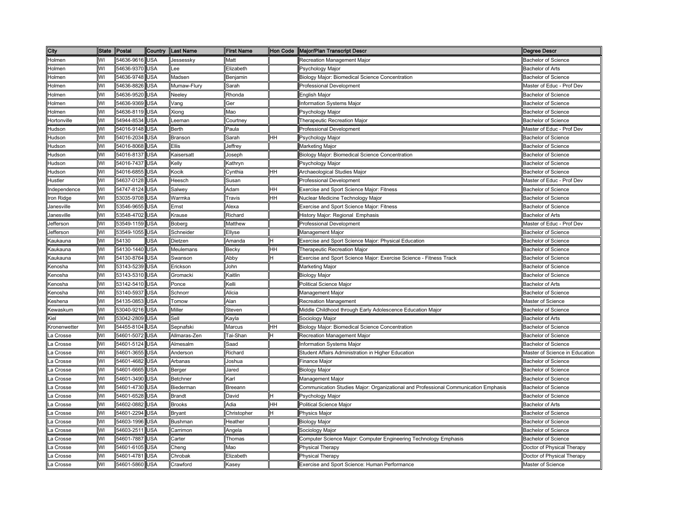| City                                                                                                                                                                                                                 | <b>State</b> | Postal     | Country    | <b>Last Name</b> | <b>First Name</b>                                                                      |    | Hon Code   Major/Plan Transcript Descr                                              | <b>Degree Descr</b>            |
|----------------------------------------------------------------------------------------------------------------------------------------------------------------------------------------------------------------------|--------------|------------|------------|------------------|----------------------------------------------------------------------------------------|----|-------------------------------------------------------------------------------------|--------------------------------|
| Holmen                                                                                                                                                                                                               | WI           | 54636-9616 | USA        | Jessessky        | Matt                                                                                   |    | Recreation Management Major                                                         | <b>Bachelor of Science</b>     |
| Holmen                                                                                                                                                                                                               | WI           | 54636-9370 | USA        | ee               | Elizabeth                                                                              |    | Psychology Major                                                                    | <b>Bachelor of Arts</b>        |
| Holmen                                                                                                                                                                                                               | WI           | 54636-9748 | <b>JSA</b> | Madsen           | Benjamin                                                                               |    | Biology Major: Biomedical Science Concentration                                     | <b>Bachelor of Science</b>     |
| Holmen                                                                                                                                                                                                               | WI           | 54636-8826 | USA        | Mumaw-Flury      | Sarah                                                                                  |    | Professional Development                                                            | Master of Educ - Prof Dev      |
| Holmen                                                                                                                                                                                                               | WI           | 54636-9520 | USA        | Neelev           | Rhonda                                                                                 |    | English Major                                                                       | <b>Bachelor of Science</b>     |
| Holmen                                                                                                                                                                                                               | WI           | 54636-9369 | <b>JSA</b> | Vang             | Ger                                                                                    |    | Information Systems Major                                                           | <b>Bachelor of Science</b>     |
| Holmen                                                                                                                                                                                                               | WI           | 54636-8119 | USA        | Xiong            | Mao                                                                                    |    | Psychology Major                                                                    | <b>Bachelor of Science</b>     |
| <b>Hortonville</b>                                                                                                                                                                                                   | WI           | 54944-8534 | <b>JSA</b> | eeman            | Courtney                                                                               |    | Therapeutic Recreation Major                                                        | <b>Bachelor of Science</b>     |
| Hudson                                                                                                                                                                                                               | WI           | 54016-9148 | USA        | <b>Berth</b>     | Paula                                                                                  |    | <b>Professional Development</b>                                                     | Master of Educ - Prof Dev      |
| Hudson                                                                                                                                                                                                               | WI           | 54016-2034 | <b>JSA</b> | Branson          | Sarah                                                                                  | HH | Psychology Major                                                                    | <b>Bachelor of Science</b>     |
| Hudson                                                                                                                                                                                                               | WI           | 54016-8068 | USA        | Ellis            | Jeffrey                                                                                |    | Marketing Major                                                                     | <b>Bachelor of Science</b>     |
| Hudson                                                                                                                                                                                                               | WI           | 54016-8137 | USA        | Kaisersatt       | loseph                                                                                 |    | Biology Major: Biomedical Science Concentration                                     | <b>Bachelor of Science</b>     |
| Hudson                                                                                                                                                                                                               | WI           | 54016-7437 | USA        | Kelly            | <b>Kathryn</b>                                                                         |    | Psychology Major                                                                    | <b>Bachelor of Science</b>     |
| Hudson                                                                                                                                                                                                               | WI           | 54016-6855 | <b>JSA</b> | Kocik            | Cynthia                                                                                | HH | Archaeological Studies Major                                                        | <b>Bachelor of Science</b>     |
| Hustler                                                                                                                                                                                                              | W            | 54637-0128 | USA        | Heesch           | Susan                                                                                  |    | <b>Professional Development</b>                                                     | Master of Educ - Prof Dev      |
| ndependence                                                                                                                                                                                                          | WI           | 54747-8124 | USA        | Salwey           | Adam                                                                                   | HH | Exercise and Sport Science Major: Fitness                                           | <b>Bachelor of Science</b>     |
| ron Ridge                                                                                                                                                                                                            | WI           | 53035-9708 | USA        | Warmka           | Travis                                                                                 | HH | Nuclear Medicine Technology Major                                                   | Bachelor of Science            |
| Janesville                                                                                                                                                                                                           | WI           | 53546-9655 | USA        | Ernst            | Alexa                                                                                  |    | <b>Exercise and Sport Science Major: Fitness</b>                                    | Bachelor of Science            |
| Janesville                                                                                                                                                                                                           | WI           | 53548-4702 | USA        | Krause           | Richard                                                                                |    | History Major: Regional Emphasis                                                    | Bachelor of Arts               |
| Jefferson                                                                                                                                                                                                            | WI           | 53549-1159 | <b>JSA</b> | Boberg           | Matthew                                                                                |    | <b>Professional Development</b>                                                     | Master of Educ - Prof Dev      |
| Jefferson                                                                                                                                                                                                            | WI           | 53549-1055 | USA        | Schneider        | Ellyse                                                                                 |    | Management Major                                                                    | <b>Bachelor of Science</b>     |
| Kaukauna                                                                                                                                                                                                             | WI           | 54130      | <b>JSA</b> | Dietzen          | Amanda                                                                                 |    | Exercise and Sport Science Major: Physical Education                                | <b>Bachelor of Science</b>     |
| Kaukauna                                                                                                                                                                                                             | WI           | 54130-1440 | USA        | Meulemans        | Becky                                                                                  | HH | <b>Therapeutic Recreation Major</b>                                                 | <b>Bachelor of Science</b>     |
| Kaukauna                                                                                                                                                                                                             | WI           | 54130-8764 | USA        | Swanson          | Abby                                                                                   |    | Exercise and Sport Science Major: Exercise Science - Fitness Track                  | <b>Bachelor of Science</b>     |
| Kenosha                                                                                                                                                                                                              | WI           | 53143-5239 | USA        | Erickson         | John                                                                                   |    | Marketing Major                                                                     | <b>Bachelor of Science</b>     |
| Kenosha                                                                                                                                                                                                              | WI           | 53143-5310 | USA        | Gromacki         | Kaitlin                                                                                |    | <b>Biology Major</b>                                                                | <b>Bachelor of Science</b>     |
| Kenosha                                                                                                                                                                                                              | WI           | 53142-5410 | USA        | Ponce            | Kelli                                                                                  |    | Political Science Major                                                             | Bachelor of Arts               |
| Kenosha                                                                                                                                                                                                              | WI           | 53140-5937 | <b>JSA</b> | Schnorr          | Alicia                                                                                 |    | Management Major                                                                    | <b>Bachelor of Science</b>     |
| Keshena                                                                                                                                                                                                              | WI           | 54135-0853 | USA        | Tomow            | Alan                                                                                   |    | Recreation Management                                                               | Master of Science              |
| Kewaskum                                                                                                                                                                                                             | WI           | 53040-9216 | USA        | Miller           | Steven                                                                                 |    | Middle Childhood through Early Adolescence Education Major                          | Bachelor of Science            |
| Kiel                                                                                                                                                                                                                 | WI           | 53042-2809 | JSA        | Sell             | <aγla< td=""><td></td><td>Sociology Major</td><td><b>Bachelor of Arts</b></td></aγla<> |    | Sociology Major                                                                     | <b>Bachelor of Arts</b>        |
| <ronenwetter< td=""><td>WI</td><td>54455-8104</td><td>USA</td><td>Sepnafski</td><td>Marcus</td><td>HH</td><td>Biology Major: Biomedical Science Concentration</td><td><b>Bachelor of Science</b></td></ronenwetter<> | WI           | 54455-8104 | USA        | Sepnafski        | Marcus                                                                                 | HH | Biology Major: Biomedical Science Concentration                                     | <b>Bachelor of Science</b>     |
| La Crosse                                                                                                                                                                                                            | WI           | 54601-5072 | USA        | Allmaras-Zen     | Гаі-Shan                                                                               |    | Recreation Management Major                                                         | <b>Bachelor of Science</b>     |
| a Crosse                                                                                                                                                                                                             | WI           | 54601-5124 | USA        | Almesalm         | Saad                                                                                   |    | Information Systems Major                                                           | <b>Bachelor of Science</b>     |
| _a Crosse                                                                                                                                                                                                            | WI           | 54601-3655 | USA        | Anderson         | Richard                                                                                |    | Student Affairs Administration in Higher Education                                  | Master of Science in Education |
| a Crosse                                                                                                                                                                                                             | WI           | 54601-4682 | USA        | Arbanas          | Joshua                                                                                 |    | Finance Major                                                                       | <b>Bachelor of Science</b>     |
| _a Crosse                                                                                                                                                                                                            | WI           | 54601-6665 | USA        | Berger           | Jared                                                                                  |    | Biology Major                                                                       | <b>Bachelor of Science</b>     |
| a Crosse                                                                                                                                                                                                             | WI           | 54601-3490 | USA        | Betchner         | Karl                                                                                   |    | Management Major                                                                    | <b>Bachelor of Science</b>     |
| a Crosse.                                                                                                                                                                                                            | WI           | 54601-4730 | USA        | Biederman        | Breeann                                                                                |    | Communication Studies Major: Organizational and Professional Communication Emphasis | <b>Bachelor of Science</b>     |
| a Crosse                                                                                                                                                                                                             | WI           | 54601-6528 | <b>JSA</b> | <b>Brandt</b>    | David                                                                                  |    | Psychology Major                                                                    | Bachelor of Science            |
| a Crosse                                                                                                                                                                                                             | WI           | 54602-0882 | JSA        | <b>Brooks</b>    | Adia                                                                                   | HH | Political Science Major                                                             | <b>Bachelor of Arts</b>        |
| a Crosse                                                                                                                                                                                                             | WI           | 54601-2294 | USA        | Bryant           | Christopher                                                                            |    | Physics Major                                                                       | <b>Bachelor of Science</b>     |
| a Crosse.                                                                                                                                                                                                            | WI           | 54603-1996 | <b>JSA</b> | Bushman          | Heather                                                                                |    | <b>Biology Major</b>                                                                | <b>Bachelor of Science</b>     |
| a Crosse                                                                                                                                                                                                             | WI           | 54603-2511 | <b>JSA</b> | Carrimon         | Angela                                                                                 |    | Sociology Major                                                                     | <b>Bachelor of Science</b>     |
| a Crosse                                                                                                                                                                                                             | WI           | 54601-7887 | <b>JSA</b> | Carter           | Thomas                                                                                 |    | Computer Science Major: Computer Engineering Technology Emphasis                    | <b>Bachelor of Science</b>     |
| a Crosse                                                                                                                                                                                                             | WI           | 54601-6105 | <b>JSA</b> | Cheng            | Mao                                                                                    |    | Physical Therapy                                                                    | Doctor of Physical Therapy     |
| La Crosse                                                                                                                                                                                                            | WI           | 54601-4781 | USA        | Chrobak          | Elizabeth                                                                              |    | Physical Therapy                                                                    | Doctor of Physical Therapy     |
| La Crosse                                                                                                                                                                                                            | WI           | 54601-5860 | USA        | Crawford         | <b>Kasey</b>                                                                           |    | Exercise and Sport Science: Human Performance                                       | Master of Science              |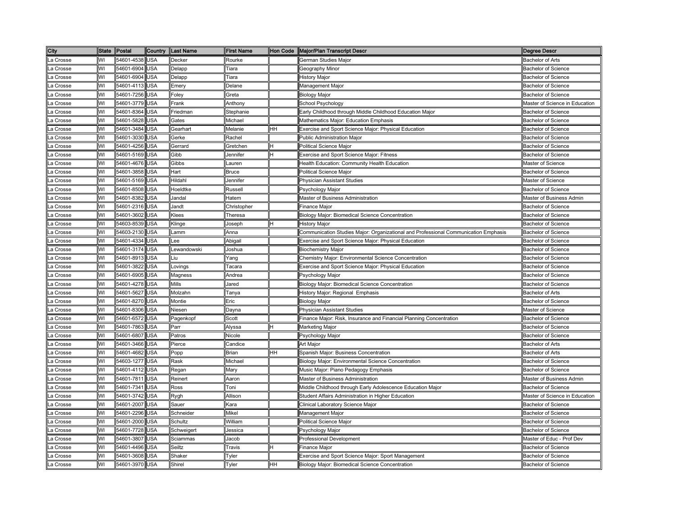| City      | State Postal |                | Country    | <b>Last Name</b> | <b>First Name</b> |    | Hon Code   Major/Plan Transcript Descr                                              | <b>Degree Descr</b>            |
|-----------|--------------|----------------|------------|------------------|-------------------|----|-------------------------------------------------------------------------------------|--------------------------------|
| La Crosse | WI           | 54601-4538 USA |            | Decker           | Rourke            |    | German Studies Major                                                                | <b>Bachelor of Arts</b>        |
| La Crosse | WI           | 54601-6904     | <b>USA</b> | Delapp           | Tiara             |    | <b>Geography Minor</b>                                                              | <b>Bachelor of Science</b>     |
| La Crosse | WI           | 54601-6904     | <b>USA</b> | Delapp           | Tiara             |    | <b>History Major</b>                                                                | <b>Bachelor of Science</b>     |
| La Crosse | WI           | 54601-4113 USA |            | Emerv            | Delane            |    | Management Major                                                                    | <b>Bachelor of Science</b>     |
| La Crosse | W١           | 54601-7256     | <b>USA</b> | Foley            | Greta             |    | <b>Biology Major</b>                                                                | <b>Bachelor of Science</b>     |
| La Crosse | WI           | 54601-3779     | <b>USA</b> | Frank            | Anthony           |    | School Psychology                                                                   | Master of Science in Education |
| La Crosse | WI           | 54601-8364     | <b>USA</b> | Friedman         | Stephanie         |    | Early Childhood through Middle Childhood Education Major                            | <b>Bachelor of Science</b>     |
| La Crosse | WI           | 54601-5828     | <b>USA</b> | Gates            | Michael           |    | Mathematics Major: Education Emphasis                                               | <b>Bachelor of Science</b>     |
| La Crosse | WI           | 54601-3484 USA |            | Gearhart         | Melanie           | HН | Exercise and Sport Science Major: Physical Education                                | <b>Bachelor of Science</b>     |
| ∟a Crosse | WI           | 54601-3030 USA |            | Gerke            | Rachel            |    | Public Administration Major                                                         | <b>Bachelor of Science</b>     |
| La Crosse | WI           | 54601-4256 USA |            | Gerrard          | Gretchen          | н  | Political Science Major                                                             | <b>Bachelor of Science</b>     |
| La Crosse | WI           | 54601-5169 USA |            | Gibb             | Jennifer          | Η  | Exercise and Sport Science Major: Fitness                                           | <b>Bachelor of Science</b>     |
| La Crosse | WI           | 54601-4676 USA |            | Gibbs            | Lauren            |    | Health Education: Community Health Education                                        | Master of Science              |
| La Crosse | WI           | 54601-3858     | <b>USA</b> | Hart             | Bruce             |    | Political Science Major                                                             | <b>Bachelor of Science</b>     |
| La Crosse | WI           | 54601-5169 USA |            | Hildahl          | Jennifer          |    | Physician Assistant Studies                                                         | Master of Science              |
| La Crosse | WI           | 54601-8508     | <b>USA</b> | Hoeldtke         | Russell           |    | Psychology Major                                                                    | <b>Bachelor of Science</b>     |
| La Crosse | WI           | 54601-8382     | USA        | Jandal           | Hatem             |    | Master of Business Administration                                                   | Master of Business Admin       |
| ∟a Crosse | WI           | 54601-2316     | <b>USA</b> | Jandt            | Christopher       |    | <b>Finance Major</b>                                                                | <b>Bachelor of Science</b>     |
| La Crosse | WI           | 54601-3602     | <b>USA</b> | Klees            | Theresa           |    | Biology Major: Biomedical Science Concentration                                     | <b>Bachelor of Science</b>     |
| La Crosse | WI           | 54603-8539     | <b>USA</b> | Klinge           | Joseph            | н  | History Major                                                                       | <b>Bachelor of Science</b>     |
| La Crosse | WI           | 54603-2130     | <b>USA</b> | Lamm             | Anna              |    | Communication Studies Major: Organizational and Professional Communication Emphasis | <b>Bachelor of Science</b>     |
| La Crosse | WI           | 54601-4334     | <b>USA</b> | Lee              | Abigail           |    | Exercise and Sport Science Major: Physical Education                                | <b>Bachelor of Science</b>     |
| La Crosse | WI           | 54601-3174     | <b>USA</b> | Lewandowski      | Joshua            |    | <b>Biochemistry Major</b>                                                           | <b>Bachelor of Science</b>     |
| La Crosse | WI           | 54601-8913     | <b>USA</b> | Liu              | Yang              |    | Chemistry Major: Environmental Science Concentration                                | <b>Bachelor of Science</b>     |
| La Crosse | WI           | 54601-3822     | <b>USA</b> | Lovings          | Tacara            |    | Exercise and Sport Science Major: Physical Education                                | <b>Bachelor of Science</b>     |
| La Crosse | W١           | 54601-6905     | <b>USA</b> | Magness          | Andrea            |    | Psychology Major                                                                    | <b>Bachelor of Science</b>     |
| La Crosse | WI           | 54601-4278 USA |            | Mills            | Jared             |    | Biology Major: Biomedical Science Concentration                                     | Bachelor of Science            |
| La Crosse | WI           | 54601-5627 USA |            | Molzahn          | Tanya             |    | History Major: Regional Emphasis                                                    | <b>Bachelor of Arts</b>        |
| La Crosse | WI           | 54601-8270 USA |            | Montie           | Eric              |    | <b>Biology Major</b>                                                                | <b>Bachelor of Science</b>     |
| La Crosse | WI           | 54601-8306 USA |            | Niesen           | Dayna             |    | <b>Physician Assistant Studies</b>                                                  | Master of Science              |
| ∟a Crosse | WI           | 54601-6572 USA |            | Pagenkopf        | Scott             |    | Finance Major: Risk, Insurance and Financial Planning Concentration                 | <b>Bachelor of Science</b>     |
| La Crosse | WI           | 54601-7863 USA |            | Parr             | Alyssa            | н  | <b>Marketing Major</b>                                                              | <b>Bachelor of Science</b>     |
| La Crosse | WI           | 54601-6807     | <b>USA</b> | Patros           | Nicole            |    | Psychology Major                                                                    | <b>Bachelor of Science</b>     |
| La Crosse | WI           | 54601-3466     | <b>USA</b> | Pierce           | Candice           |    | Art Major                                                                           | <b>Bachelor of Arts</b>        |
| La Crosse | WI           | 54601-4682     | <b>USA</b> | Popp             | <b>Brian</b>      | HH | Spanish Major: Business Concentration                                               | Bachelor of Arts               |
| La Crosse | W١           | 54603-1277     | <b>USA</b> | Rask             | Michael           |    | Biology Major: Environmental Science Concentration                                  | <b>Bachelor of Science</b>     |
| La Crosse | WI           | 54601-4112     | <b>USA</b> | Regan            | Mary              |    | Music Major: Piano Pedagogy Emphasis                                                | <b>Bachelor of Science</b>     |
| La Crosse | W١           | 54601-7811 USA |            | Reinert          | Aaron             |    | Master of Business Administration                                                   | Master of Business Admin       |
| La Crosse | WI           | 54601-7341     | <b>USA</b> | Ross             | Toni              |    | Middle Childhood through Early Adolescence Education Major                          | <b>Bachelor of Science</b>     |
| La Crosse | WI           | 54601-3742     | <b>USA</b> | Rygh             | Allison           |    | Student Affairs Administration in Higher Education                                  | Master of Science in Education |
| La Crosse | WI           | 54601-2007     | <b>USA</b> | Sauer            | Kara              |    | Clinical Laboratory Science Major                                                   | <b>Bachelor of Science</b>     |
| La Crosse | WI           | 54601-2296     | USA        | Schneider        | Mikel             |    | Management Major                                                                    | <b>Bachelor of Science</b>     |
| La Crosse | WI           | 54601-2000     | <b>USA</b> | Schultz          | William           |    | Political Science Major                                                             | <b>Bachelor of Science</b>     |
| ∟a Crosse | WI           | 54601-7728     | <b>USA</b> | Schweigert       | Jessica           |    | <sup>9</sup> sychology Major                                                        | <b>Bachelor of Science</b>     |
| La Crosse | WI           | 54601-3807     | <b>USA</b> | Sciammas         | Jacob             |    | Professional Development                                                            | Master of Educ - Prof Dev      |
| La Crosse | WI           | 54601-4496     | <b>USA</b> | Seiltz           | Travis            | н  | Finance Major                                                                       | <b>Bachelor of Science</b>     |
| La Crosse | WI           | 54601-3608     | <b>USA</b> | Shaker           | Tyler             |    | Exercise and Sport Science Major: Sport Management                                  | <b>Bachelor of Science</b>     |
| La Crosse | WI           | 54601-3970 USA |            | Shirel           | Tyler             | HH | Biology Major: Biomedical Science Concentration                                     | <b>Bachelor of Science</b>     |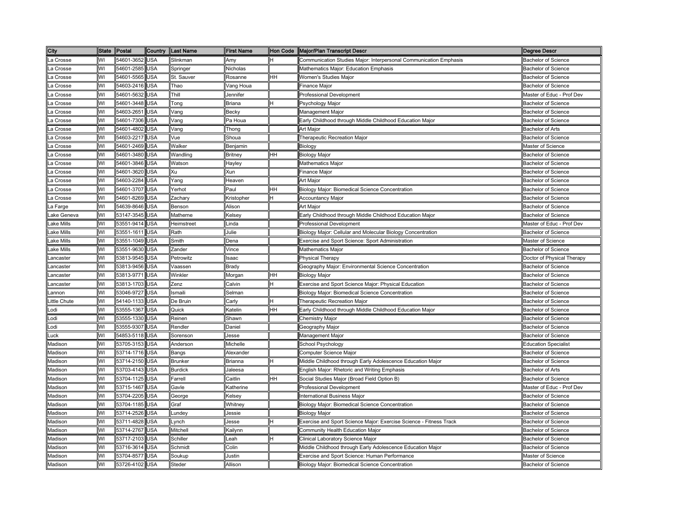| City         | <b>State</b> | Postal         | Country    | <b>Last Name</b> | <b>First Name</b> |    | Hon Code   Major/Plan Transcript Descr                             | Degree Descr                |
|--------------|--------------|----------------|------------|------------------|-------------------|----|--------------------------------------------------------------------|-----------------------------|
| La Crosse    | WI           | 54601-3652     | <b>USA</b> | Slinkman         | Amv               | н  | Communication Studies Major: Interpersonal Communication Emphasis  | <b>Bachelor of Science</b>  |
| La Crosse    | WI           | 54601-2585     | <b>USA</b> | Springer         | Nicholas          |    | Mathematics Major: Education Emphasis                              | <b>Bachelor of Science</b>  |
| La Crosse    | WI           | 54601-5565     | <b>USA</b> | St. Sauver       | Rosanne           | HH | <b>Nomen's Studies Major</b>                                       | <b>Bachelor of Science</b>  |
| La Crosse    | WI           | 54603-2416     | <b>USA</b> | Thao             | Vang Houa         |    | inance Major                                                       | <b>Bachelor of Science</b>  |
| La Crosse    | WI           | 54601-5632     | <b>USA</b> | Thill            | Jennifer          |    | Professional Development                                           | Master of Educ - Prof Dev   |
| La Crosse    | WI           | 54601-3448     | <b>USA</b> | Tong             | <b>Briana</b>     | н  | Psychology Major                                                   | <b>Bachelor of Science</b>  |
| La Crosse    | WI           | 54603-2651     | <b>USA</b> | Vang             | <b>Becky</b>      |    | Management Major                                                   | <b>Bachelor of Science</b>  |
| a Crosse     | WI           | 54601-7306     | <b>USA</b> | Vang             | Pa Houa           |    | Early Childhood through Middle Childhood Education Major           | <b>Bachelor of Science</b>  |
| La Crosse    | WI           | 54601-4802 USA |            | Vang             | Thong             |    | Art Major                                                          | <b>Bachelor of Arts</b>     |
| La Crosse    | WI           | 54603-2217 USA |            | Vue              | Shoua             |    | Therapeutic Recreation Major                                       | <b>Bachelor of Science</b>  |
| La Crosse    | WI           | 54601-2469 USA |            | Walker           | Benjamin          |    | Biology                                                            | Master of Science           |
| La Crosse    | WI           | 54601-3480 USA |            | Wandling         | <b>Britney</b>    | HH | <b>Biology Major</b>                                               | <b>Bachelor of Science</b>  |
| La Crosse    | WI           | 54601-3846 USA |            | Watson           | Hayley            |    | <b>Mathematics Major</b>                                           | <b>Bachelor of Science</b>  |
| La Crosse    | WI           | 54601-3620     | <b>USA</b> | Xu               | Xun               |    | Finance Major                                                      | <b>Bachelor of Science</b>  |
| La Crosse    | WI           | 54603-2284     | <b>USA</b> | Yang             | Heaven            |    | Art Major                                                          | <b>Bachelor of Science</b>  |
| La Crosse    | WI           | 54601-3707     | <b>USA</b> | Yerhot           | Paul              | HH | Biology Major: Biomedical Science Concentration                    | <b>Bachelor of Science</b>  |
| ∟a Crosse    | WI           | 54601-8269     | <b>USA</b> | Zachary          | Kristopher        | н  | <b>Accountancy Major</b>                                           | <b>Bachelor of Science</b>  |
| ∟a Farge     | WI           | 54639-8646     | <b>USA</b> | Benson           | Alison            |    | Art Major                                                          | <b>Bachelor of Science</b>  |
| Lake Geneva  | WI           | 53147-3545     | <b>USA</b> | Matherne         | Kelsey            |    | Early Childhood through Middle Childhood Education Major           | <b>Bachelor of Science</b>  |
| Lake Mills   | WI           | 53551-9414     | <b>USA</b> | Heimstreet       | Linda             |    | <b>Professional Development</b>                                    | Master of Educ - Prof Dev   |
| Lake Mills   | WI           | 53551-1611     | <b>USA</b> | Rath             | Julie             |    | Biology Major: Cellular and Molecular Biology Concentration        | <b>Bachelor of Science</b>  |
| Lake Mills   | WI           | 53551-1049     | <b>USA</b> | Smith            | Dena              |    | <b>Exercise and Sport Science: Sport Administration</b>            | Master of Science           |
| Lake Mills   | WI           | 53551-9630     | <b>USA</b> | Zander           | Vince             |    | Mathematics Major                                                  | <b>Bachelor of Science</b>  |
| Lancaster    | WI           | 53813-9545     | <b>USA</b> | Petrowitz        | saac              |    | Physical Therapy                                                   | Doctor of Physical Therapy  |
| Lancaster    | WI           | 53813-9456     | <b>USA</b> | Vaassen          | Brady             |    | Geography Major: Environmental Science Concentration               | <b>Bachelor of Science</b>  |
| Lancaster    | WI           | 53813-9771 USA |            | Winkler          | Morgan            | HH | <b>Biology Major</b>                                               | <b>Bachelor of Science</b>  |
| Lancaster    | WI           | 53813-1703 USA |            | Zenz             | Calvin            | н  | Exercise and Sport Science Major: Physical Education               | <b>Bachelor of Science</b>  |
| Lannon       | WI           | 53046-9727     | <b>USA</b> | Ismaili          | Selman            |    | Biology Major: Biomedical Science Concentration                    | Bachelor of Science         |
| Little Chute | WI           | 54140-1133 USA |            | De Bruin         | Carly             | Η  | Therapeutic Recreation Major                                       | <b>Bachelor of Science</b>  |
| Lodi         | WI           | 53555-1367 USA |            | Quick            | Katelin           | HH | Early Childhood through Middle Childhood Education Major           | Bachelor of Science         |
| Lodi         | WI           | 53555-1330 USA |            | Reinen           | Shawn             |    | Chemistry Major                                                    | <b>Bachelor of Science</b>  |
| Lodi         | WI           | 53555-9307 USA |            | Rendler          | Daniel            |    | Geography Major                                                    | <b>Bachelor of Science</b>  |
| Luck         | WI           | 54853-5118 USA |            | Sorenson         | Jesse             |    | Management Major                                                   | <b>Bachelor of Science</b>  |
| Madison      | WI           | 53705-3153 USA |            | Anderson         | Michelle          |    | School Psychology                                                  | <b>Education Specialist</b> |
| Madison      | WI           | 53714-1716 USA |            | Bangs            | Alexander         |    | Computer Science Major                                             | <b>Bachelor of Science</b>  |
| Madison      | WI           | 53714-2150 USA |            | <b>Brunker</b>   | Brianna           | н  | Middle Childhood through Early Adolescence Education Major         | Bachelor of Science         |
| Madison      | WI           | 53703-4143     | <b>USA</b> | <b>Burdick</b>   | Jaleesa           |    | English Major: Rhetoric and Writing Emphasis                       | <b>Bachelor of Arts</b>     |
| Madison      | WI           | 53704-1125     | <b>USA</b> | Farrell          | Caitlin           | HH | Social Studies Major (Broad Field Option B)                        | <b>Bachelor of Science</b>  |
| Madison      | WI           | 53715-1467     | <b>USA</b> | Gavle            | Katherine         |    | <b>Professional Development</b>                                    | Master of Educ - Prof Dev   |
| Madison      | WI           | 53704-2205     | <b>USA</b> | George           | Kelsey            |    | International Business Major                                       | <b>Bachelor of Science</b>  |
| Madison      | WI           | 53704-1185     | <b>USA</b> | Graf             | Whitney           |    | Biology Major: Biomedical Science Concentration                    | <b>Bachelor of Science</b>  |
| Madison      | WI           | 53714-2526     | <b>USA</b> | Lundey           | Jessie            |    | <b>Biology Major</b>                                               | <b>Bachelor of Science</b>  |
| Madison      | WI           | 53711-4828     | <b>USA</b> | Lynch            | Jesse             | н  | Exercise and Sport Science Major: Exercise Science - Fitness Track | <b>Bachelor of Science</b>  |
| Madison      | WI           | 53714-2767     | <b>USA</b> | Mitchell         | Kailynn           |    | Community Health Education Major                                   | <b>Bachelor of Science</b>  |
| Madison      | WI           | 53717-2103     | <b>USA</b> | Schiller         | .eah              |    | Clinical Laboratory Science Major                                  | <b>Bachelor of Science</b>  |
| Madison      | WI           | 53716-3614     | <b>USA</b> | Schmidt          | Colin             |    | Middle Childhood through Early Adolescence Education Major         | <b>Bachelor of Science</b>  |
| Madison      | WI           | 53704-8577     | <b>USA</b> | Soukup           | Justin            |    | Exercise and Sport Science: Human Performance                      | Master of Science           |
| Madison      | WI           | 53726-4102 USA |            | Steder           | Allison           |    | Biology Major: Biomedical Science Concentration                    | <b>Bachelor of Science</b>  |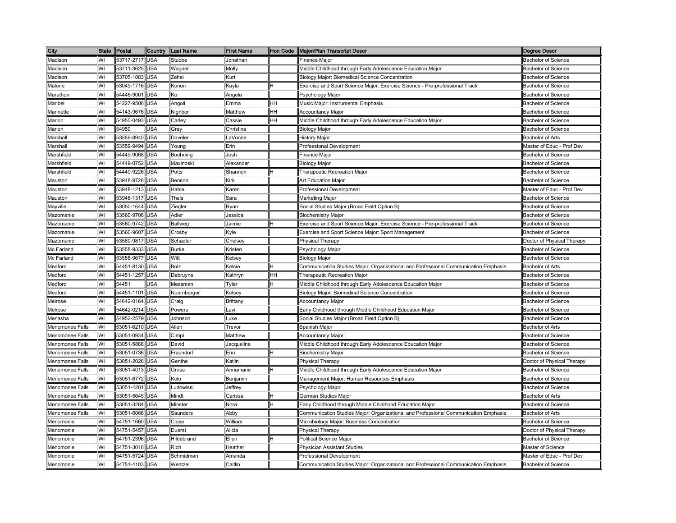| City            |    | State Postal   | Country    | Last Name    | <b>First Name</b> |    | Hon Code   Major/Plan Transcript Descr                                              | <b>Degree Descr</b>        |
|-----------------|----|----------------|------------|--------------|-------------------|----|-------------------------------------------------------------------------------------|----------------------------|
| Madison         | WI | 53717-2717 USA |            | Stubbe       | Jonathan          |    | <b>Finance Major</b>                                                                | <b>Bachelor of Science</b> |
| Madison         | WI | 53711-3625     | <b>USA</b> | Wagner       | Molly             |    | Middle Childhood through Early Adolescence Education Major                          | <b>Bachelor of Science</b> |
| Madison         | WI | 53705-1083     | <b>USA</b> | Zehel        | Kurt              |    | Biology Major: Biomedical Science Concentration                                     | <b>Bachelor of Science</b> |
| Malone          | WI | 53049-1716 USA |            | Konen        | Kayla             | H  | Exercise and Sport Science Major: Exercise Science - Pre-professional Track         | <b>Bachelor of Science</b> |
| Marathon        | WI | 54448-9001     | <b>USA</b> | Ko           | Angela            |    | Psychology Major                                                                    | <b>Bachelor of Science</b> |
| Maribel         | WI | 54227-9506     | <b>USA</b> | Angoli       | Emma              | HH | Music Major: Instrumental Emphasis                                                  | <b>Bachelor of Science</b> |
| Marinette       | WI | 54143-9676     | <b>USA</b> | Nighbor      | Matthew           | HH | <b>Accountancy Major</b>                                                            | <b>Bachelor of Science</b> |
| Marion          | WI | 54950-0493     | <b>USA</b> | Carley       | Cassie            | HH | Middle Childhood through Early Adolescence Education Major                          | <b>Bachelor of Science</b> |
| Marion          | WI | 54950          | <b>USA</b> | Gray         | Christina         |    | <b>Biology Major</b>                                                                | <b>Bachelor of Science</b> |
| Marshall        | WI | 53559-8940 USA |            | Daveler      | .aVonne           |    | History Major                                                                       | <b>Bachelor of Arts</b>    |
| Marshall        | WI | 53559-9494 USA |            | Young        | Erin              |    | Professional Development                                                            | Master of Educ - Prof Dev  |
| Marshfield      | WI | 54449-9068     | <b>USA</b> | Boehning     | Josh              |    | Finance Major                                                                       | <b>Bachelor of Science</b> |
| Marshfield      | WI | 54449-0752 USA |            | Maxinoski    | Alexander         |    | <b>Biology Major</b>                                                                | <b>Bachelor of Science</b> |
| Marshfield      | WI | 54449-9226     | <b>USA</b> | Potts        | Shannon           | Η  | <b>Therapeutic Recreation Major</b>                                                 | <b>Bachelor of Science</b> |
| Mauston         | WI | 53948-9726 USA |            | Benson       | Kirk              |    | Art Education Major                                                                 | <b>Bachelor of Science</b> |
| Mauston         | WI | 53948-1213     | <b>USA</b> | Hable        | Karen             |    | <b>Professional Development</b>                                                     | Master of Educ - Prof Dev  |
| Mauston         | WI | 53948-1317     | <b>USA</b> | Theis        | Sara              |    | Marketing Major                                                                     | <b>Bachelor of Science</b> |
| Mayville        | WI | 53050-1644     | <b>USA</b> | Ziegler      | Ryan              |    | Social Studies Major (Broad Field Option B)                                         | <b>Bachelor of Science</b> |
| Mazomanie       | WI | 53560-9706     | <b>USA</b> | Adler        | Jessica           |    | <b>Biochemistry Major</b>                                                           | <b>Bachelor of Science</b> |
| Mazomanie       | WI | 53560-9742     | USA        | Ballweg      | Jaimie            | н  | Exercise and Sport Science Major: Exercise Science - Pre-professional Track         | Bachelor of Science        |
| Mazomanie       | WI | 53560-9607     | <b>USA</b> | Crosby       | Kyle              |    | Exercise and Sport Science Major: Sport Management                                  | <b>Bachelor of Science</b> |
| Mazomanie       | WI | 53560-9817     | <b>USA</b> | Schadler     | Chelsey           |    | Physical Therapy                                                                    | Doctor of Physical Therapy |
| Mc Farland      | WI | 53558-9333     | <b>USA</b> | <b>Burke</b> | Kristen           |    | <sup>2</sup> sychology Major                                                        | <b>Bachelor of Science</b> |
| Mc Farland      | WI | 53558-9677     | <b>USA</b> | Witt         | Kelsey            |    | Biology Major                                                                       | <b>Bachelor of Science</b> |
| Medford         | WI | 54451-8130 USA |            | Bolz         | Kelsie            | н  | Communication Studies Major: Organizational and Professional Communication Emphasis | <b>Bachelor of Arts</b>    |
| Medford         | WI | 54451-1257 USA |            | Debruyne     | Kathryn           | HH | Therapeutic Recreation Major                                                        | <b>Bachelor of Science</b> |
| Medford         | WI | 54451          | USA        | Messman      | Tyler             | н  | Middle Childhood through Early Adolescence Education Major                          | Bachelor of Science        |
| Medford         | WI | 54451-1101 USA |            | Nuernberger  | Kelsey            |    | Biology Major: Biomedical Science Concentration                                     | <b>Bachelor of Science</b> |
| Melrose         | WI | 54642-0164 USA |            | Craig        | <b>Brittany</b>   |    | <b>Accountancy Major</b>                                                            | <b>Bachelor of Science</b> |
| Melrose         | W١ | 54642-0214 USA |            | Powers       | Levi              |    | Early Childhood through Middle Childhood Education Major                            | <b>Bachelor of Science</b> |
| Menasha         | WI | 54952-2579 USA |            | Johnson      | ∟uke              |    | Social Studies Major (Broad Field Option B)                                         | <b>Bachelor of Science</b> |
| Menomonee Falls | WI | 53051-6210 USA |            | Allen        | Trevor            |    | Spanish Major                                                                       | <b>Bachelor of Arts</b>    |
| Menomonee Falls | WI | 53051-0934     | <b>USA</b> | Cimpl        | Matthew           |    | <b>Accountancy Major</b>                                                            | <b>Bachelor of Science</b> |
| Menomonee Falls | WI | 53051-5868     | <b>USA</b> | David        | Jacqueline        |    | Middle Childhood through Early Adolescence Education Major                          | <b>Bachelor of Science</b> |
| Menomonee Falls | WI | 53051-0736     | <b>USA</b> | Fraundorf    | Erin              | н  | <b>Biochemistry Major</b>                                                           | <b>Bachelor of Science</b> |
| Menomonee Falls | W١ | 53051-2026     | <b>USA</b> | Genthe       | Katlin            |    | Physical Therapy                                                                    | Doctor of Physical Therapy |
| Menomonee Falls | WI | 53051-4013     | <b>USA</b> | Gross        | Annamarie         | Η  | Middle Childhood through Early Adolescence Education Major                          | <b>Bachelor of Science</b> |
| Menomonee Falls | WI | 53051-6772     | <b>USA</b> | Kolo         | Benjamin          |    | Management Major: Human Resources Emphasis                                          | <b>Bachelor of Science</b> |
| Menomonee Falls | WI | 53051-4281     | <b>USA</b> | Ludowissi    | Jeffrey           |    | Psychology Major                                                                    | <b>Bachelor of Science</b> |
| Menomonee Falls | WI | 53051-5645     | <b>USA</b> | Mindt        | Carissa           | lΗ | <b>German Studies Major</b>                                                         | Bachelor of Arts           |
| Menomonee Falls | WI | 53051-3284     | <b>USA</b> | Minster      | Nora              | lн | Early Childhood through Middle Childhood Education Major                            | <b>Bachelor of Science</b> |
| Menomonee Falls | WI | 53051-6066     | <b>USA</b> | Saunders     | Abby              |    | Communication Studies Major: Organizational and Professional Communication Emphasis | Bachelor of Arts           |
| Menomonie       | WI | 54751-1660     | <b>USA</b> | Close        | William           |    | Microbiology Major: Business Concentration                                          | <b>Bachelor of Science</b> |
| Menomonie       | WI | 54751-5457     | <b>USA</b> | Duerst       | Alicia            |    | <sup>2</sup> hysical Therapy                                                        | Doctor of Physical Therapy |
| Menomonie       | WI | 54751-2396     | <b>USA</b> | Hildebrand   | Ellen             |    | Political Science Major                                                             | <b>Bachelor of Science</b> |
| Menomonie       | WI | 54751-3016     | <b>USA</b> | Rich         | Heather           |    | Physician Assistant Studies                                                         | Master of Science          |
| Menomonie       | W١ | 54751-5724     | <b>USA</b> | Schmidman    | Amanda            |    | <b>Professional Development</b>                                                     | Master of Educ - Prof Dev  |
| Menomonie       | WI | 54751-4103 USA |            | Wentzel      | Caitlin           |    | Communication Studies Major: Organizational and Professional Communication Emphasis | Bachelor of Science        |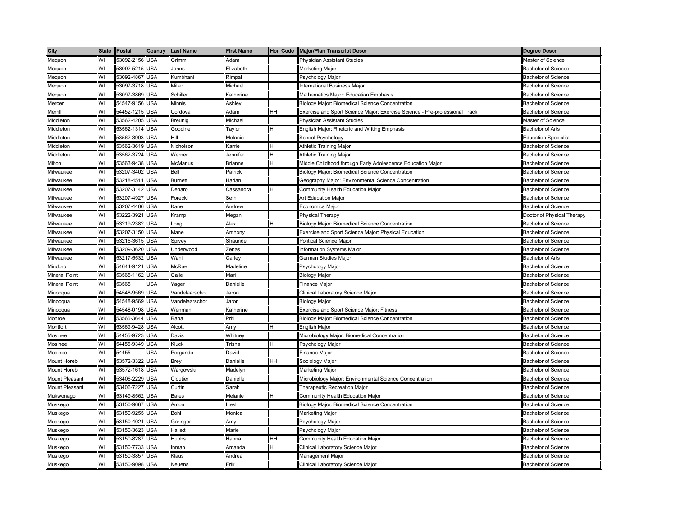| City                 | <b>State</b> | Postal         | Country    | Last Name      | <b>First Name</b> |    | Hon Code   Major/Plan Transcript Descr                                      | Degree Descr                |
|----------------------|--------------|----------------|------------|----------------|-------------------|----|-----------------------------------------------------------------------------|-----------------------------|
| Meguon               | WI           | 53092-2156 USA |            | Grimm          | Adam              |    | <b>Physician Assistant Studies</b>                                          | Master of Science           |
| Mequon               | WI           | 53092-5215     | <b>USA</b> | Johns          | Elizabeth         |    | Marketing Major                                                             | <b>Bachelor of Science</b>  |
| Mequon               | WI           | 53092-4867     | <b>USA</b> | Kumbhani       | Rimpal            |    | Psychology Major                                                            | <b>Bachelor of Science</b>  |
| Mequon               | WI           | 53097-3718 USA |            | Miller         | Michael           |    | nternational Business Major                                                 | <b>Bachelor of Science</b>  |
| Meguon               | WI           | 53097-3869     | <b>USA</b> | Schiller       | Katherine         |    | Mathematics Major: Education Emphasis                                       | <b>Bachelor of Science</b>  |
| Mercer               | WI           | 54547-9156     | <b>USA</b> | Minnis         | Ashley            |    | Biology Major: Biomedical Science Concentration                             | <b>Bachelor of Science</b>  |
| Merrill              | WI           | 54452-1215     | <b>USA</b> | Cordova        | Adam              | HН | Exercise and Sport Science Major: Exercise Science - Pre-professional Track | <b>Bachelor of Science</b>  |
| Middleton            | WI           | 53562-4205     | <b>USA</b> | Breunig        | Michael           |    | Physician Assistant Studies                                                 | Master of Science           |
| Middleton            | WI           | 53562-1314 USA |            | Goodine        | Taylor            | H  | English Major: Rhetoric and Writing Emphasis                                | <b>Bachelor of Arts</b>     |
| Middleton            | WI           | 53562-3903     | <b>USA</b> | Hill           | Melanie           |    | School Psychology                                                           | <b>Education Specialist</b> |
| Middleton            | WI           | 53562-3619 USA |            | Nicholson      | Karrie            | н  | Athletic Training Major                                                     | <b>Bachelor of Science</b>  |
| Middleton            | WI           | 53562-3724     | <b>USA</b> | Werner         | Jennifer          | н  | Athletic Training Major                                                     | <b>Bachelor of Science</b>  |
| Milton               | WI           | 53563-9438 USA |            | <b>McManus</b> | <b>Brianne</b>    | н  | Middle Childhood through Early Adolescence Education Major                  | <b>Bachelor of Science</b>  |
| Milwaukee            | WI           | 53207-3402 USA |            | Bell           | Patrick           |    | Biology Major: Biomedical Science Concentration                             | <b>Bachelor of Science</b>  |
| Milwaukee            | WI           | 53218-4511 USA |            | <b>Burnett</b> | Harlan            |    | Geography Major: Environmental Science Concentration                        | <b>Bachelor of Science</b>  |
| Milwaukee            | WI           | 53207-3142     | <b>USA</b> | Deharo         | Cassandra         | IΗ | Community Health Education Major                                            | <b>Bachelor of Science</b>  |
| Milwaukee            | WI           | 53207-4927     | <b>USA</b> | Forecki        | Seth              |    | Art Education Major                                                         | <b>Bachelor of Science</b>  |
| Milwaukee            | WI           | 53207-4406     | <b>USA</b> | Kane           | Andrew            |    | Economics Major                                                             | <b>Bachelor of Science</b>  |
| Milwaukee            | WI           | 53222-3921     | <b>USA</b> | Kramp          | Megan             |    | Physical Therapy                                                            | Doctor of Physical Therapy  |
| Milwaukee            | WI           | 53219-2382     | <b>USA</b> | Long           | Alex              | Η  | Biology Major: Biomedical Science Concentration                             | <b>Bachelor of Science</b>  |
| Milwaukee            | WI           | 53207-3150     | <b>USA</b> | Mane           | Anthony           |    | Exercise and Sport Science Major: Physical Education                        | <b>Bachelor of Science</b>  |
| Milwaukee            | WI           | 53216-3615     | <b>USA</b> | Spivey         | Shaundel          |    | Political Science Major                                                     | <b>Bachelor of Science</b>  |
| Milwaukee            | WI           | 53209-3620     | <b>USA</b> | Underwood      | Zenas             |    | nformation Systems Major                                                    | <b>Bachelor of Science</b>  |
| Milwaukee            | WI           | 53217-5532     | <b>USA</b> | Wahl           | Carley            |    | <b>German Studies Major</b>                                                 | <b>Bachelor of Arts</b>     |
| Mindoro              | WI           | 54644-9121 USA |            | McRae          | Madeline          |    | <sup>2</sup> sychology Major                                                | <b>Bachelor of Science</b>  |
| <b>Mineral Point</b> | WI           | 53565-1162     | <b>USA</b> | Galle          | Mari              |    | Biology Major                                                               | <b>Bachelor of Science</b>  |
| <b>Mineral Point</b> | WI           | 53565          | USA        | Yager          | Danielle          |    | Finance Major                                                               | <b>Bachelor of Science</b>  |
| Minocqua             | WI           | 54548-9569     | <b>USA</b> | Vandelaarschot | Jaron             |    | Clinical Laboratory Science Major                                           | <b>Bachelor of Science</b>  |
| Minocqua             | W١           | 54548-9569     | <b>USA</b> | Vandelaarschot | Jaron             |    | <b>Biology Major</b>                                                        | <b>Bachelor of Science</b>  |
| Minocqua             | WI           | 54548-0198     | <b>USA</b> | Wenman         | Katherine         |    | Exercise and Sport Science Major: Fitness                                   | <b>Bachelor of Science</b>  |
| Monroe               | WI           | 53566-3644     | <b>USA</b> | Rana           | Priti             |    | Biology Major: Biomedical Science Concentration                             | Bachelor of Science         |
| Montfort             | WI           | 53569-9428 USA |            | Alcott         | Amy               | н  | <b>English Major</b>                                                        | <b>Bachelor of Science</b>  |
| Mosinee              | WI           | 54455-9723     | <b>USA</b> | Davis          | Whitney           |    | Microbiology Major: Biomedical Concentration                                | <b>Bachelor of Science</b>  |
| Mosinee              | WI           | 54455-9349 USA |            | Kluck          | Trisha            | н  | Psychology Major                                                            | <b>Bachelor of Science</b>  |
| Mosinee              | WI           | 54455          | <b>USA</b> | Pergande       | David             |    | <sup>=</sup> inance Major                                                   | <b>Bachelor of Science</b>  |
| Mount Horeb          | WI           | 53572-3322 USA |            | Brey           | Danielle          | HH | Sociology Major                                                             | Bachelor of Science         |
| Mount Horeb          | WI           | 53572-1618     | <b>USA</b> | Wargowski      | Madelyn           |    | Marketing Major                                                             | <b>Bachelor of Science</b>  |
| Mount Pleasant       | WI           | 53406-2229     | <b>USA</b> | Cloutier       | Danielle          |    | Microbiology Major: Environmental Science Concentration                     | <b>Bachelor of Science</b>  |
| Mount Pleasant       | WI           | 53406-7227     | <b>USA</b> | Curtin         | Sarah             |    | Therapeutic Recreation Major                                                | <b>Bachelor of Science</b>  |
| Mukwonago            | WI           | 53149-8562     | <b>USA</b> | <b>Bates</b>   | Melanie           | H  | Community Health Education Major                                            | <b>Bachelor of Science</b>  |
| Muskego              | WI           | 53150-9667     | <b>USA</b> | Amon           | Liesl             |    | Biology Major: Biomedical Science Concentration                             | <b>Bachelor of Science</b>  |
| Muskego              | WI           | 53150-9255     | <b>USA</b> | Bohl           | Monica            |    | Marketing Major                                                             | <b>Bachelor of Science</b>  |
| Muskego              | WI           | 53150-4021     | <b>USA</b> | Garinger       | Amy               |    | Psychology Major                                                            | <b>Bachelor of Science</b>  |
| Muskego              | WI           | 53150-3623     | <b>USA</b> | Hallett        | Marie             |    | <sup>2</sup> sychology Major                                                | <b>Bachelor of Science</b>  |
| Muskego              | WI           | 53150-8287     | <b>USA</b> | <b>Hubbs</b>   | Hanna             | HH | Community Health Education Major                                            | <b>Bachelor of Science</b>  |
| Muskego              | WI           | 53150-7733     | <b>USA</b> | Inman          | Amanda            |    | Clinical Laboratory Science Major                                           | <b>Bachelor of Science</b>  |
| Muskego              | WI           | 53150-3857     | <b>USA</b> | Klaus          | Andrea            |    | Management Major                                                            | <b>Bachelor of Science</b>  |
| Muskego              | WI           | 53150-9098     | <b>USA</b> | Neuens         | Erik              |    | Clinical Laboratory Science Major                                           | <b>Bachelor of Science</b>  |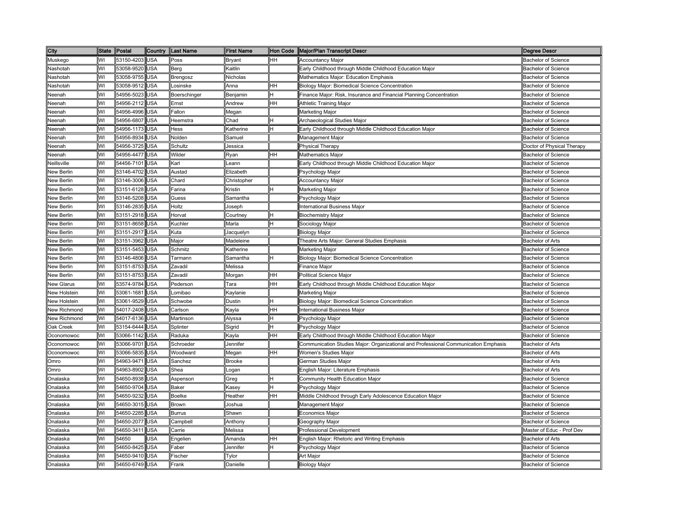| City              | <b>State</b> | Postal         | Country    | Last Name     | <b>First Name</b> |    | Hon Code   Major/Plan Transcript Descr                                              | Degree Descr               |
|-------------------|--------------|----------------|------------|---------------|-------------------|----|-------------------------------------------------------------------------------------|----------------------------|
| Muskego           | WI           | 53150-4203     | <b>USA</b> | Poss          | <b>Bryant</b>     | HН | <b>Accountancy Major</b>                                                            | <b>Bachelor of Science</b> |
| Nashotah          | WI           | 53058-9520     | <b>USA</b> | Berg          | Kaitlin           |    | Early Childhood through Middle Childhood Education Major                            | <b>Bachelor of Science</b> |
| Nashotah          | WI           | 53058-9755     | <b>USA</b> | Brengosz      | Nicholas          |    | Mathematics Major: Education Emphasis                                               | <b>Bachelor of Science</b> |
| Nashotah          | WI           | 53058-9512     | <b>USA</b> | Losinske      | Anna              | HH | Biology Major: Biomedical Science Concentration                                     | <b>Bachelor of Science</b> |
| Neenah            | WI           | 54956-5023     | <b>USA</b> | Boerschinger  | Benjamin          | н  | Finance Maior: Risk, Insurance and Financial Planning Concentration                 | <b>Bachelor of Science</b> |
| Neenah            | WI           | 54956-2112     | <b>USA</b> | Ernst         | Andrew            | HH | Athletic Training Major                                                             | <b>Bachelor of Science</b> |
| Neenah            | WI           | 54956-4996     | <b>USA</b> | Fallon        | Megan             |    | Marketing Major                                                                     | <b>Bachelor of Science</b> |
| Neenah            | WI           | 54956-6807     | <b>USA</b> | Heemstra      | Chad              | н  | Archaeological Studies Major                                                        | <b>Bachelor of Science</b> |
| Neenah            | WI           | 54956-1173 USA |            | Hess          | Katherine         | H  | Early Childhood through Middle Childhood Education Major                            | <b>Bachelor of Science</b> |
| Neenah            | WI           | 54956-8934     | <b>USA</b> | Nolden        | Samuel            |    | Management Major                                                                    | <b>Bachelor of Science</b> |
| Neenah            | WI           | 54956-3725     | <b>USA</b> | Schultz       | Jessica           |    | <b>Physical Therapy</b>                                                             | Doctor of Physical Therapy |
| Neenah            | WI           | 54956-4477     | <b>USA</b> | Wilder        | Ryan              | HH | <b>Mathematics Major</b>                                                            | <b>Bachelor of Science</b> |
| Neillsville       | WI           | 54456-7101 USA |            | Karl          | Leann             |    | Early Childhood through Middle Childhood Education Major                            | <b>Bachelor of Science</b> |
| New Berlin        | WI           | 53146-4702 USA |            | Austad        | Elizabeth         |    | Psychology Major                                                                    | <b>Bachelor of Science</b> |
| New Berlin        | WI           | 53146-3006 USA |            | Chard         | Christopher       |    | <b>Accountancy Major</b>                                                            | <b>Bachelor of Science</b> |
| New Berlin        | WI           | 53151-6128     | <b>USA</b> | Farina        | Kristin           | H  | Marketing Major                                                                     | <b>Bachelor of Science</b> |
| New Berlin        | WI           | 53146-5208     | <b>USA</b> | Guess         | Samantha          |    | <sup>2</sup> sychology Major                                                        | Bachelor of Science        |
| New Berlin        | WI           | 53146-2835     | <b>USA</b> | Holtz         | Joseph            |    | International Business Major                                                        | <b>Bachelor of Science</b> |
| New Berlin        | WI           | 53151-2918     | <b>USA</b> | Horvat        | Courtney          | Η  | <b>Biochemistry Major</b>                                                           | <b>Bachelor of Science</b> |
| <b>New Berlin</b> | WI           | 53151-8658     | <b>USA</b> | Kuchler       | Marla             | Η  | Sociology Major                                                                     | <b>Bachelor of Science</b> |
| New Berlin        | WI           | 53151-2917     | <b>USA</b> | Kuta          | Jacquelyn         |    | <b>Biology Major</b>                                                                | <b>Bachelor of Science</b> |
| New Berlin        | WI           | 53151-3962     | <b>USA</b> | Major         | Madeleine         |    | Theatre Arts Major: General Studies Emphasis                                        | <b>Bachelor of Arts</b>    |
| New Berlin        | WI           | 53151-5453     | <b>USA</b> | Schmitz       | Katherine         |    | Marketing Major                                                                     | <b>Bachelor of Science</b> |
| New Berlin        | WI           | 53146-4806     | <b>USA</b> | Tarmann       | Samantha          | lн | Biology Major: Biomedical Science Concentration                                     | <b>Bachelor of Science</b> |
| New Berlin        | WI           | 53151-8753     | <b>USA</b> | Zavadil       | Melissa           |    | inance Major                                                                        | <b>Bachelor of Science</b> |
| <b>New Berlin</b> | WI           | 53151-8753     | <b>USA</b> | Zavadil       | Morgan            | HH | Political Science Major                                                             | <b>Bachelor of Science</b> |
| New Glarus        | WI           | 53574-9784     | <b>USA</b> | Pederson      | Tara              | HH | Early Childhood through Middle Childhood Education Major                            | <b>Bachelor of Science</b> |
| New Holstein      | WI           | 53061-1681     | <b>USA</b> | Lomibao       | Kaylanie          |    | <b>Marketing Major</b>                                                              | <b>Bachelor of Science</b> |
| New Holstein      | WI           | 53061-9529     | <b>USA</b> | Schwobe       | Dustin            | н  | Biology Major: Biomedical Science Concentration                                     | <b>Bachelor of Science</b> |
| New Richmond      | WI           | 54017-2408     | <b>USA</b> | Carlson       | Kayla             | HН | International Business Major                                                        | <b>Bachelor of Science</b> |
| New Richmond      | WI           | 54017-6136 USA |            | Martinson     | Alyssa            | Η  | Psychology Major                                                                    | Bachelor of Science        |
| Oak Creek         | WI           | 53154-6444 USA |            | Splinter      | Sigrid            | H  | Psychology Major                                                                    | <b>Bachelor of Science</b> |
| Oconomowoc        | WI           | 53066-1142 USA |            | Raduka        | Kayla             | HH | Early Childhood through Middle Childhood Education Major                            | <b>Bachelor of Science</b> |
| Oconomowoc        | WI           | 53066-9701 USA |            | Schroeder     | Jennifer          |    | Communication Studies Major: Organizational and Professional Communication Emphasis | <b>Bachelor of Arts</b>    |
| Oconomowoc        | WI           | 53066-5835     | <b>USA</b> | Woodward      | Megan             | HH | Women's Studies Major                                                               | <b>Bachelor of Arts</b>    |
| Omro              | WI           | 54963-9471     | <b>USA</b> | Sanchez       | <b>Brooke</b>     |    | German Studies Major                                                                | <b>Bachelor of Arts</b>    |
| Omro              | WI           | 54963-8902     | <b>USA</b> | Shea          | ogan              |    | English Major: Literature Emphasis                                                  | <b>Bachelor of Arts</b>    |
| Onalaska          | WI           | 54650-8938     | <b>USA</b> | Aspenson      | Greg              | н  | Community Health Education Major                                                    | <b>Bachelor of Science</b> |
| Onalaska          | WI           | 54650-9704     | <b>USA</b> | <b>Baker</b>  | Kasey             | lн | Psychology Major                                                                    | <b>Bachelor of Science</b> |
| Onalaska          | WI           | 54650-9232     | <b>USA</b> | <b>Boelke</b> | Heather           | HH | Middle Childhood through Early Adolescence Education Major                          | <b>Bachelor of Science</b> |
| Onalaska          | WI           | 54650-3015     | <b>USA</b> | Brown         | Joshua            |    | Management Major                                                                    | <b>Bachelor of Science</b> |
| Onalaska          | WI           | 54650-2285     | <b>USA</b> | <b>Burrus</b> | Shawn             |    | Economics Major                                                                     | <b>Bachelor of Science</b> |
| Onalaska          | WI           | 54650-2077     | <b>USA</b> | Campbell      | Anthony           |    | Geography Major                                                                     | <b>Bachelor of Science</b> |
| Onalaska          | WI           | 54650-3411     | <b>USA</b> | Carrie        | Melissa           |    | Professional Development                                                            | Master of Educ - Prof Dev  |
| Onalaska          | WI           | 54650          | USA        | Engelien      | Amanda            | HН | English Major: Rhetoric and Writing Emphasis                                        | Bachelor of Arts           |
| Onalaska          | WI           | 54650-8425     | <b>USA</b> | Faber         | Jennifer          |    | <sup>2</sup> sychology Major                                                        | <b>Bachelor of Science</b> |
| Onalaska          | WI           | 54650-9410     | <b>USA</b> | Fischer       | Tylor             |    | Art Major                                                                           | <b>Bachelor of Science</b> |
| Onalaska          | WI           | 54650-6749     | <b>USA</b> | Frank         | Danielle          |    | Biology Major                                                                       | <b>Bachelor of Science</b> |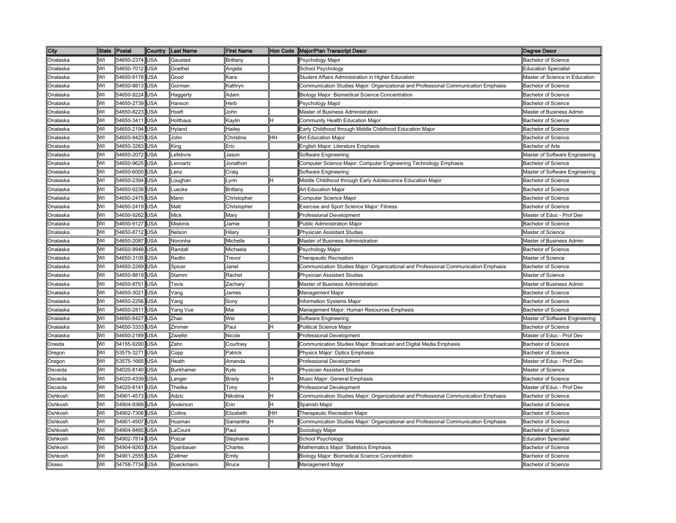| City            | <b>State</b> | Postal     | Country    | Last Name                                                                                                            | <b>First Name</b>                                                                                            | Hon Code | Major/Plan Transcript Descr                                                         | <b>Degree Descr</b>            |
|-----------------|--------------|------------|------------|----------------------------------------------------------------------------------------------------------------------|--------------------------------------------------------------------------------------------------------------|----------|-------------------------------------------------------------------------------------|--------------------------------|
| Onalaska        | WI           | 54650-2374 | USA        | Gaustad                                                                                                              | Brittany                                                                                                     |          | Psychology Major                                                                    | <b>Bachelor of Science</b>     |
| <b>Onalaska</b> | WI           | 54650-7012 | <b>JSA</b> | Goethel                                                                                                              | <b>Ingela</b>                                                                                                |          | School Psychology                                                                   | <b>Education Specialist</b>    |
| <b>Onalaska</b> | WI           | 54650-9178 | <b>JSA</b> | Good                                                                                                                 | ∖ara                                                                                                         |          | Student Affairs Administration in Higher Education                                  | Master of Science in Education |
| <b>Onalaska</b> | WI           | 54650-8813 | USA        | Gorman                                                                                                               | <b>Kathryn</b>                                                                                               |          | Communication Studies Major: Organizational and Professional Communication Emphasis | <b>Bachelor of Science</b>     |
| Onalaska        | W١           | 54650-9224 | JSA        | Haggerty                                                                                                             | Adam                                                                                                         |          | <b>Biology Major: Biomedical Science Concentration</b>                              | <b>Bachelor of Science</b>     |
| )nalaska        | WI           | 54650-2739 | <b>JSA</b> | Hanson                                                                                                               | Herb                                                                                                         |          | Psychology Major                                                                    | <b>Bachelor of Science</b>     |
| <b>Onalaska</b> | WI           | 54650-8223 | JSA        | Hoeft                                                                                                                | John                                                                                                         |          | Master of Business Administration                                                   | Master of Business Admin       |
| Onalaska        | WI           | 54650-3411 | JSA        | Holthaus                                                                                                             | <aylin< td=""><td></td><td>Community Health Education Major</td><td><b>Bachelor of Science</b></td></aylin<> |          | Community Health Education Major                                                    | <b>Bachelor of Science</b>     |
| <b>Onalaska</b> | WI           | 54650-2194 | USA        | Hyland                                                                                                               | Hailey                                                                                                       |          | Early Childhood through Middle Childhood Education Major                            | <b>Bachelor of Science</b>     |
| Onalaska        | WI           | 54650-8423 | JSA        | John                                                                                                                 | Christina                                                                                                    | HH       | Art Education Major                                                                 | <b>Bachelor of Science</b>     |
| Onalaska        | WI           | 54650-3263 | USA        | <ing< td=""><td>Eric</td><td></td><td>English Major: Literature Emphasis</td><td><b>Bachelor of Arts</b></td></ing<> | Eric                                                                                                         |          | English Major: Literature Emphasis                                                  | <b>Bachelor of Arts</b>        |
| Onalaska        | WI           | 54650-2072 | JSA        | _efebvre                                                                                                             | Jason                                                                                                        |          | Software Engineering                                                                | Master of Software Engineering |
| Onalaska        | WI           | 54650-9625 | USA        | _ennartz                                                                                                             | Jonathon                                                                                                     |          | Computer Science Major: Computer Engineering Technology Emphasis                    | <b>Bachelor of Science</b>     |
| Onalaska        | WI           | 54650-6000 | USA        | _enz                                                                                                                 | Craig                                                                                                        |          | Software Engineering                                                                | Master of Software Engineering |
| Onalaska        | WI           | 54650-2394 | USA        | oughan_                                                                                                              | .ynn                                                                                                         |          | Middle Childhood through Early Adolescence Education Major                          | <b>Bachelor of Science</b>     |
| Onalaska        | WI           | 54650-9238 | USA        | _uecke                                                                                                               | Brittany                                                                                                     |          | Art Education Major                                                                 | <b>Bachelor of Science</b>     |
| <b>Onalaska</b> | WI           | 54650-2475 | USA        | Mann                                                                                                                 | Christopher                                                                                                  |          | Computer Science Major                                                              | Bachelor of Science            |
| Onalaska        | WI           | 54650-2419 | USA        | Matt                                                                                                                 | Christopher                                                                                                  |          | Exercise and Sport Science Major: Fitness                                           | <b>Bachelor of Science</b>     |
| Onalaska        | WI           | 54650-9262 | <b>JSA</b> | Mick                                                                                                                 | Mary                                                                                                         |          | Professional Development                                                            | Master of Educ - Prof Dev      |
| Onalaska        | WI           | 54650-9127 | USA        | <b>Miskinis</b>                                                                                                      | Jamie                                                                                                        |          | <b>Public Administration Major</b>                                                  | <b>Bachelor of Science</b>     |
| Onalaska        | WI           | 54650-8712 | <b>JSA</b> | Nelson                                                                                                               | Hilary                                                                                                       |          | Physician Assistant Studies                                                         | Master of Science              |
| Onalaska        | WI           | 54650-2087 | JSA        | Noronha                                                                                                              | Michelle                                                                                                     |          | Master of Business Administration                                                   | Master of Business Admin       |
| )nalaska        | WI           | 54650-8948 | <b>JSA</b> | Randall                                                                                                              | Michaela                                                                                                     |          | Psychology Major                                                                    | <b>Bachelor of Science</b>     |
| )nalaska        | WI           | 54650-3105 | <b>JSA</b> | Redlin                                                                                                               | revor                                                                                                        |          | Therapeutic Recreation                                                              | Master of Science              |
| <b>Dnalaska</b> | WI           | 54650-2269 | <b>JSA</b> | Spicer                                                                                                               | Janel                                                                                                        |          | Communication Studies Major: Organizational and Professional Communication Emphasis | <b>Bachelor of Science</b>     |
| Onalaska        | WI           | 54650-8819 | <b>JSA</b> | Stamm                                                                                                                | Rachel                                                                                                       |          | <b>Physician Assistant Studies</b>                                                  | Master of Science              |
| <b>Onalaska</b> | WI           | 54650-8751 | <b>JSA</b> | Tevis                                                                                                                | Zachary                                                                                                      |          | Master of Business Administration                                                   | Master of Business Admin       |
| <b>Onalaska</b> | WI           | 54650-3021 | JSA        | Vang                                                                                                                 | James                                                                                                        |          | Management Major                                                                    | <b>Bachelor of Science</b>     |
| <b>Dnalaska</b> | WI           | 54650-2256 | <b>JSA</b> | Yang                                                                                                                 | Sony                                                                                                         |          | Information Systems Major                                                           | <b>Bachelor of Science</b>     |
| <b>Onalaska</b> | WI           | 54650-2811 | USA        | Yang Vue                                                                                                             | Mai                                                                                                          |          | Management Major: Human Resources Emphasis                                          | <b>Bachelor of Science</b>     |
| <b>Onalaska</b> | WI           | 54650-8427 | <b>JSA</b> | Zhao                                                                                                                 | Wei                                                                                                          |          | Software Engineering                                                                | Master of Software Engineering |
| Onalaska        | WI           | 54650-3333 | <b>JSA</b> | Zimmer                                                                                                               | Paul                                                                                                         |          | <b>Political Science Major</b>                                                      | <b>Bachelor of Science</b>     |
| Onalaska        | WI           | 54650-2189 | <b>JSA</b> | Zwiefel                                                                                                              | Nicole                                                                                                       |          | Professional Development                                                            | Master of Educ - Prof Dev      |
| Oneida          | WI           | 54155-9290 | USA        | Zahn                                                                                                                 | Courtney                                                                                                     |          | Communication Studies Major: Broadcast and Digital Media Emphasis                   | <b>Bachelor of Science</b>     |
| Oregon          | WI           | 53575-3271 | USA        | Сорр                                                                                                                 | Patrick                                                                                                      |          | Physics Major: Optics Emphasis                                                      | <b>Bachelor of Science</b>     |
| Oregon          | WI           | 53575-1665 | USA        | Heath                                                                                                                | Amanda                                                                                                       |          | <b>Professional Development</b>                                                     | Master of Educ - Prof Dev      |
| Osceola         | WI           | 54020-8140 | USA        | <b>Burkhamer</b>                                                                                                     | <yle< td=""><td></td><td>Physician Assistant Studies</td><td>Master of Science</td></yle<>                   |          | Physician Assistant Studies                                                         | Master of Science              |
| Osceola         | W١           | 54020-4339 | USA        | _anger                                                                                                               | Brady                                                                                                        |          | Music Major: General Emphasis                                                       | <b>Bachelor of Science</b>     |
| Osceola         | WI           | 54020-8141 | USA        | Thielke                                                                                                              | Tony                                                                                                         |          | Professional Development                                                            | Master of Educ - Prof Dev      |
| Oshkosh         | WI           | 54901-4573 | JSA        | Adzic                                                                                                                | Nikolina                                                                                                     | н        | Communication Studies Major: Organizational and Professional Communication Emphasis | <b>Bachelor of Science</b>     |
| Oshkosh         | WI           | 54904-9369 | JSA        | Anderson                                                                                                             | Erin                                                                                                         | н        | Spanish Major                                                                       | <b>Bachelor of Science</b>     |
| Oshkosh         | WI           | 54902-7306 | <b>JSA</b> | Collins                                                                                                              | Elizabeth                                                                                                    | HН       | <b>Therapeutic Recreation Major</b>                                                 | <b>Bachelor of Science</b>     |
| <b>Oshkosh</b>  | WI           | 54901-4507 | USA        | Husman                                                                                                               | Samantha                                                                                                     |          | Communication Studies Major: Organizational and Professional Communication Emphasis | <b>Bachelor of Science</b>     |
| <b>)shkosh</b>  | WI           | 54904-8465 | <b>JSA</b> | .aCount                                                                                                              | Paul                                                                                                         |          | Sociology Major                                                                     | <b>Bachelor of Science</b>     |
| Oshkosh         | WI           | 54902-7814 | JSA        | Polzar                                                                                                               | Stephanie                                                                                                    |          | School Psychology                                                                   | <b>Education Specialist</b>    |
| <b>Oshkosh</b>  | WI           | 54904-9263 | <b>JSA</b> | Spanbauer                                                                                                            | harles:                                                                                                      |          | Mathematics Major: Statistics Emphasis                                              | Bachelor of Science            |
| Oshkosh         | WI           | 54901-2555 | <b>JSA</b> | Zellmer                                                                                                              | Emily                                                                                                        |          | Biology Major: Biomedical Science Concentration                                     | <b>Bachelor of Science</b>     |
| Osseo           | WI           | 54758-7734 | <b>JSA</b> | Boeckmann                                                                                                            | <b>Bruce</b>                                                                                                 |          | Management Major                                                                    | <b>Bachelor of Science</b>     |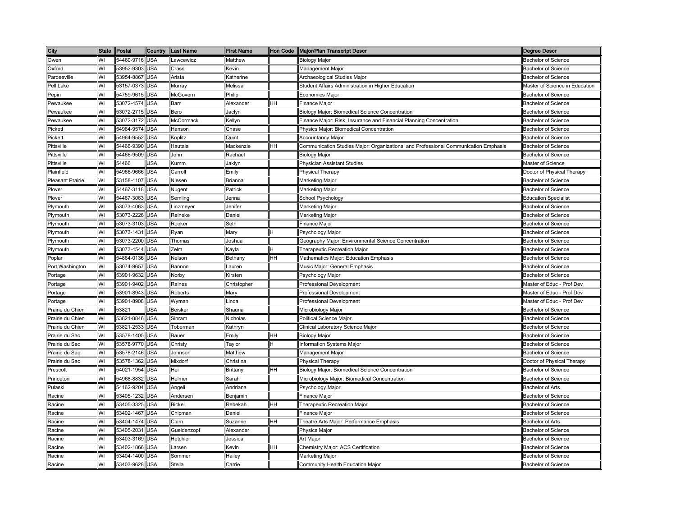| City                   | <b>State</b> | Postal     | Country    | <b>Last Name</b>   | <b>First Name</b> | <b>Hon Code</b> | <b>Major/Plan Transcript Descr</b>                                                  | Degree Descr                   |
|------------------------|--------------|------------|------------|--------------------|-------------------|-----------------|-------------------------------------------------------------------------------------|--------------------------------|
| Owen                   | WI           | 54460-9716 | <b>USA</b> | _awcewicz          | Matthew           |                 | <b>Biology Major</b>                                                                | <b>Bachelor of Science</b>     |
| Oxford                 | WI           | 53952-9303 | <b>JSA</b> | Crass              | (evin             |                 | Management Major                                                                    | <b>Bachelor of Science</b>     |
| Pardeeville            | WI           | 53954-8867 | USA        | Arista             | ≺atherine         |                 | Archaeological Studies Major                                                        | <b>Bachelor of Science</b>     |
| Pell Lake              | WI           | 53157-0373 | <b>JSA</b> | Murrav             | Melissa           |                 | Student Affairs Administration in Higher Education                                  | Master of Science in Education |
| Pepin                  | WI           | 54759-9615 | <b>JSA</b> | McGovern           | Philip            |                 | Economics Major                                                                     | <b>Bachelor of Science</b>     |
| Pewaukee               | WI           | 53072-4574 | <b>JSA</b> | Barr               | Nexander          | HH              | inance Major                                                                        | <b>Bachelor of Science</b>     |
| Pewaukee               | WI           | 53072-2715 | USA        | Bero               | laclyn            |                 | <b>Biology Major: Biomedical Science Concentration</b>                              | <b>Bachelor of Science</b>     |
| Pewaukee               | WI           | 53072-3172 | JSA        | McCormack          | <b>Kellyn</b>     |                 | Finance Major: Risk, Insurance and Financial Planning Concentration                 | <b>Bachelor of Science</b>     |
| Pickett                | WI           | 54964-9574 | JSA        | Hanson             | Chase             |                 | Physics Major: Biomedical Concentration                                             | <b>Bachelor of Science</b>     |
| Pickett                | WI           | 54964-9552 | <b>JSA</b> | Koplitz            | Quint             |                 | Accountancy Major                                                                   | Bachelor of Science            |
| Pittsville             | WI           | 54466-9390 | USA        | Hautala            | Mackenzie         | HH              | Communication Studies Major: Organizational and Professional Communication Emphasis | <b>Bachelor of Science</b>     |
| Pittsville             | WI           | 54466-9509 | <b>JSA</b> | John               | Rachael           |                 | <b>Biology Major</b>                                                                | <b>Bachelor of Science</b>     |
| Pittsville             | WI           | 54466      | JSA        | Kumm               | Jaklyn            |                 | Physician Assistant Studies                                                         | Master of Science              |
| <sup>o</sup> lainfield | WI           | 54966-9666 | USA        | Carroll            | Emily             |                 | Physical Therapy                                                                    | Doctor of Physical Therapy     |
| Pleasant Prairie       | WI           | 53158-4107 | USA        | Niesen             | Brianna           |                 | Marketing Major                                                                     | <b>Bachelor of Science</b>     |
| Plover                 | WI           | 54467-3118 | USA        | Nugent             | Patrick           |                 | Marketing Major                                                                     | <b>Bachelor of Science</b>     |
| Plover                 | WI           | 54467-3063 | USA        | Semling            | Jenna             |                 | School Psychology                                                                   | <b>Education Specialist</b>    |
| Plymouth               | WI           | 53073-4063 | USA        | _inzmeyer          | Jenifer           |                 | Marketing Major                                                                     | <b>Bachelor of Science</b>     |
| Plymouth               | WI           | 53073-2226 | USA        | Reineke            | Daniel            |                 | Marketing Major                                                                     | <b>Bachelor of Science</b>     |
| Plymouth               | WI           | 53073-3103 | USA        | Rooker             | Seth              |                 | Finance Major                                                                       | <b>Bachelor of Science</b>     |
| Plymouth               | WI           | 53073-1431 | USA        | Ryan               | Mary              | н               | Psychology Major                                                                    | <b>Bachelor of Science</b>     |
| Plymouth               | WI           | 53073-2200 | USA        | Thomas             | Joshua            |                 | Geography Major: Environmental Science Concentration                                | <b>Bachelor of Science</b>     |
| Plymouth               | WI           | 53073-4544 | <b>JSA</b> | Zelm               | (ayla             |                 | Therapeutic Recreation Major                                                        | <b>Bachelor of Science</b>     |
| Poplar                 | WI           | 54864-0136 | <b>JSA</b> | Nelson             | Bethany           | HH              | Mathematics Major: Education Emphasis                                               | <b>Bachelor of Science</b>     |
| Port Washington        | WI           | 53074-9657 | <b>JSA</b> | Bannon             | auren.            |                 | Music Major: General Emphasis                                                       | <b>Bachelor of Science</b>     |
| Portage                | WI           | 53901-9632 | <b>JSA</b> | Norby              | <b>Kirsten</b>    |                 | Psychology Major                                                                    | <b>Bachelor of Science</b>     |
| Portage                | WI           | 53901-9402 | <b>JSA</b> | Raines             | Christopher       |                 | Professional Development                                                            | Master of Educ - Prof Dev      |
| Portage                | WI           | 53901-8943 | <b>JSA</b> | Roberts            | Mary              |                 | <b>Professional Development</b>                                                     | Master of Educ - Prof Dev      |
| Portage                | WI           | 53901-8908 | <b>JSA</b> | Wyman              | .inda             |                 | Professional Development                                                            | Master of Educ - Prof Dev      |
| Prairie du Chien       | WI           | 53821      | <b>JSA</b> | <b>Beisker</b>     | Shauna            |                 | Microbiology Major                                                                  | <b>Bachelor of Science</b>     |
| Prairie du Chien       | WI           | 53821-8846 | USA        | Sinram             | Nicholas          |                 | Political Science Major                                                             | Bachelor of Science            |
| Prairie du Chien       | WI           | 53821-2533 | USA        | Toberman           | Kathryn           |                 | Clinical Laboratory Science Major                                                   | Bachelor of Science            |
| Prairie du Sac         | WI           | 53578-1405 | JSA        | Bauer              | Emily             | HH              | Biology Major                                                                       | <b>Bachelor of Science</b>     |
| Prairie du Sac         | WI           | 53578-9770 | USA        | Christy            | Taylor            |                 | Information Systems Major                                                           | <b>Bachelor of Science</b>     |
| Prairie du Sac         | WI           | 53578-2146 | USA        | Johnson            | Matthew           |                 | Management Major                                                                    | <b>Bachelor of Science</b>     |
| Prairie du Sac         | WI           | 53578-1362 | USA        | Mixdorf            | Christina         |                 | Physical Therapy                                                                    | Doctor of Physical Therapy     |
| Prescott               | WI           | 54021-1954 | USA        | Hei                | Brittany          | HH              | Biology Major: Biomedical Science Concentration                                     | <b>Bachelor of Science</b>     |
| Princeton              | WI           | 54968-8832 | USA        | Helmer             | Sarah             |                 | Microbiology Major: Biomedical Concentration                                        | <b>Bachelor of Science</b>     |
| Pulaski                | WI           | 54162-9204 | USA        | Angeli             | Andriana          |                 | Psychology Major                                                                    | <b>Bachelor of Arts</b>        |
| Racine                 | WI           | 53405-1232 | USA        | Andersen           | Benjamin          |                 | Finance Major                                                                       | Bachelor of Science            |
| Racine                 | WI           | 53405-3325 | USA        | <b>Bickel</b>      | Rebekah           | HH              | Therapeutic Recreation Major                                                        | <b>Bachelor of Science</b>     |
| Racine                 | WI           | 53402-1467 | USA        | Chipman            | Daniel            |                 | Finance Major                                                                       | Bachelor of Science            |
| Racine                 | WI           | 53404-1474 | USA        | Clum               | Suzanne           | HH              | Theatre Arts Major: Performance Emphasis                                            | <b>Bachelor of Arts</b>        |
| Racine                 | WI           | 53405-2031 | <b>JSA</b> | <b>Gueldenzopf</b> | Alexander         |                 | Physics Major                                                                       | <b>Bachelor of Science</b>     |
| Racine                 | WI           | 53403-3169 | <b>JSA</b> | Hetchler           | lessica           |                 | Art Major                                                                           | <b>Bachelor of Science</b>     |
| Racine                 | WI           | 53402-1866 | <b>JSA</b> | arsen.             | Kevin             | HH              | Chemistry Major: ACS Certification                                                  | <b>Bachelor of Science</b>     |
| Racine                 | WI           | 53404-1400 | <b>JSA</b> | Sommer             | Hailey            |                 | Marketing Major                                                                     | <b>Bachelor of Science</b>     |
| Racine                 | WI           | 53403-9628 | <b>JSA</b> | Stella             | Carrie            |                 | Community Health Education Major                                                    | <b>Bachelor of Science</b>     |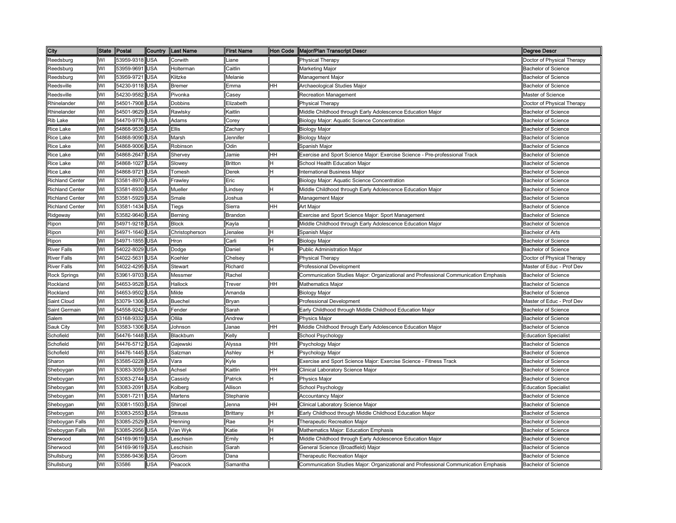| City                   | <b>State</b> | Postal         | Country    | <b>Last Name</b> | <b>First Name</b> |     | Hon Code   Major/Plan Transcript Descr                                              | <b>Degree Descr</b>         |
|------------------------|--------------|----------------|------------|------------------|-------------------|-----|-------------------------------------------------------------------------------------|-----------------------------|
| Reedsburg              | WI           | 53959-9318     | <b>USA</b> | Corwith          | ∟iane             |     | <b>Physical Therapy</b>                                                             | Doctor of Physical Therapy  |
| Reedsburg              | WI           | 53959-9691     | <b>USA</b> | Holterman        | Caitlin           |     | Marketing Major                                                                     | <b>Bachelor of Science</b>  |
| Reedsburg              | WI           | 53959-9721     | <b>USA</b> | Klitzke          | Melanie           |     | Management Major                                                                    | <b>Bachelor of Science</b>  |
| Reedsville             | WI           | 54230-9118 USA |            | Bremer           | Emma              | Iнн | Archaeological Studies Major                                                        | <b>Bachelor of Science</b>  |
| Reedsville             | W١           | 54230-9582     | <b>USA</b> | Pivonka          | Casev             |     | <b>Recreation Management</b>                                                        | Master of Science           |
| Rhinelander            | WI           | 54501-7908     | <b>USA</b> | <b>Dobbins</b>   | Elizabeth         |     | <b>Physical Therapy</b>                                                             | Doctor of Physical Therapy  |
| Rhinelander            | WI           | 54501-9629 USA |            | Rawlsky          | Kaitlin           |     | Middle Childhood through Early Adolescence Education Major                          | <b>Bachelor of Science</b>  |
| Rib Lake               | WI           | 54470-9776 USA |            | Adams            | Corev             |     | Biology Major: Aquatic Science Concentration                                        | <b>Bachelor of Science</b>  |
| <b>Rice Lake</b>       | WI           | 54868-9535 USA |            | Ellis            | Zachary           |     | <b>Biology Major</b>                                                                | <b>Bachelor of Science</b>  |
| Rice Lake              | WI           | 54868-9090     | <b>USA</b> | Marsh            | Jennifer          |     | <b>Biology Major</b>                                                                | <b>Bachelor of Science</b>  |
| Rice Lake              | WI           | 54868-9006     | <b>USA</b> | Robinson         | Odin              |     | Spanish Major                                                                       | <b>Bachelor of Science</b>  |
| <b>Rice Lake</b>       | WI           | 54868-2647     | <b>USA</b> | Shervey          | Jamie             | HH  | Exercise and Sport Science Major: Exercise Science - Pre-professional Track         | <b>Bachelor of Science</b>  |
| <b>Rice Lake</b>       | WI           | 54868-1027 USA |            | Slowey           | <b>Britton</b>    | н   | School Health Education Major                                                       | <b>Bachelor of Science</b>  |
| <b>Rice Lake</b>       | WI           | 54868-9721     | <b>USA</b> | Tomesh           | Derek             | lн  | <b>International Business Major</b>                                                 | <b>Bachelor of Science</b>  |
| <b>Richland Center</b> | WI           | 53581-8970     | <b>USA</b> | Frawley          | Eric              |     | Biology Major: Aquatic Science Concentration                                        | <b>Bachelor of Science</b>  |
| <b>Richland Center</b> | WI           | 53581-8930     | <b>USA</b> | Mueller          | Lindsey           | lΗ  | Middle Childhood through Early Adolescence Education Major                          | Bachelor of Science         |
| <b>Richland Center</b> | WI           | 53581-5929     | <b>USA</b> | Smale            | Joshua            |     | Management Major                                                                    | <b>Bachelor of Science</b>  |
| <b>Richland Center</b> | WI           | 53581-1434     | <b>USA</b> | Tiegs            | Sierra            | HH  | Art Major                                                                           | <b>Bachelor of Science</b>  |
| Ridgeway               | WI           | 53582-9640     | <b>USA</b> | Berning          | Brandon           |     | Exercise and Sport Science Major: Sport Management                                  | <b>Bachelor of Science</b>  |
| Ripon                  | WI           | 54971-9218     | <b>USA</b> | <b>Block</b>     | Kayla             |     | Middle Childhood through Early Adolescence Education Major                          | <b>Bachelor of Science</b>  |
| Ripon                  | WI           | 54971-1640     | <b>USA</b> | Christopherson   | Jenalee           | H   | Spanish Major                                                                       | <b>Bachelor of Arts</b>     |
| Ripon                  | WI           | 54971-1855     | <b>USA</b> | Hron             | Carli             | H   | Biology Major                                                                       | <b>Bachelor of Science</b>  |
| <b>River Falls</b>     | WI           | 54022-8029     | <b>USA</b> | Dodge            | Daniel            | н   | Public Administration Major                                                         | <b>Bachelor of Science</b>  |
| <b>River Falls</b>     | WI           | 54022-5631     | <b>USA</b> | Koehler          | Chelsey           |     | Physical Therapy                                                                    | Doctor of Physical Therapy  |
| <b>River Falls</b>     | WI           | 54022-4295     | <b>USA</b> | Stewart          | Richard           |     | Professional Development                                                            | Master of Educ - Prof Dev   |
| <b>Rock Springs</b>    | WI           | 53961-9703     | <b>USA</b> | Messmer          | Rachel            |     | Communication Studies Major: Organizational and Professional Communication Emphasis | <b>Bachelor of Science</b>  |
| Rockland               | WI           | 54653-9528 USA |            | Hallock          | Trever            | HН  | Mathematics Major                                                                   | <b>Bachelor of Science</b>  |
| Rockland               | WI           | 54653-9502 USA |            | Milde            | Amanda            |     | <b>Biology Major</b>                                                                | <b>Bachelor of Science</b>  |
| Saint Cloud            | WI           | 53079-1306 USA |            | <b>Buechel</b>   | Bryan             |     | Professional Development                                                            | Master of Educ - Prof Dev   |
| Saint Germain          | WI           | 54558-9242 USA |            | Fender           | Sarah             |     | Early Childhood through Middle Childhood Education Major                            | <b>Bachelor of Science</b>  |
| Salem                  | WI           | 53168-9332 USA |            | Ollila           | Andrew            |     | Physics Major                                                                       | <b>Bachelor of Science</b>  |
| Sauk City              | WI           | 53583-1306 USA |            | Johnson          | Janae             | HН  | Middle Childhood through Early Adolescence Education Major                          | <b>Bachelor of Science</b>  |
| Schofield              | WI           | 54476-1448     | <b>USA</b> | Blackburn        | Kelly             |     | School Psychology                                                                   | <b>Education Specialist</b> |
| Schofield              | WI           | 54476-5712     | <b>USA</b> | Gajewski         | Alyssa            | HH  | Psychology Major                                                                    | <b>Bachelor of Science</b>  |
| Schofield              | WI           | 54476-1445     | <b>USA</b> | Salzman          | Ashley            | Η   | <sup>P</sup> sychology Major                                                        | <b>Bachelor of Science</b>  |
| Sharon                 | WI           | 53585-0228     | <b>USA</b> | Vara             | Kyle              |     | Exercise and Sport Science Major: Exercise Science - Fitness Track                  | <b>Bachelor of Science</b>  |
| Sheboygan              | WI           | 53083-3059     | <b>USA</b> | Achsel           | Kaitlin           | HH  | Clinical Laboratory Science Major                                                   | Bachelor of Science         |
| Sheboygan              | WI           | 53083-2744     | <b>USA</b> | Cassidy          | Patrick           | н   | Physics Major                                                                       | <b>Bachelor of Science</b>  |
| Sheboygan              | WI           | 53083-2091     | <b>USA</b> | Kolberg          | Allison           |     | School Psychology                                                                   | <b>Education Specialist</b> |
| Sheboygan              | WI           | 53081-7211 USA |            | Martens          | Stephanie         |     | <b>Accountancy Major</b>                                                            | <b>Bachelor of Science</b>  |
| Sheboygan              | WI           | 53081-1503     | <b>USA</b> | Shircel          | Jenna             | HH  | Clinical Laboratory Science Major                                                   | <b>Bachelor of Science</b>  |
| Sheboygan              | WI           | 53083-2553     | <b>USA</b> | <b>Strauss</b>   | Brittany          | н   | Early Childhood through Middle Childhood Education Major                            | <b>Bachelor of Science</b>  |
| Sheboygan Falls        | WI           | 53085-2529     | <b>USA</b> | Henning          | Rae               | н   | Therapeutic Recreation Major                                                        | <b>Bachelor of Science</b>  |
| Sheboygan Falls        | WI           | 53085-2956     | <b>USA</b> | Van Wyk          | Katie             |     | Mathematics Major: Education Emphasis                                               | <b>Bachelor of Science</b>  |
| Sherwood               | WI           | 54169-9619 USA |            | Leschisin        | Emily             | н   | Middle Childhood through Early Adolescence Education Major                          | Bachelor of Science         |
| Sherwood               | WI           | 54169-9619     | <b>USA</b> | Leschisin        | Sarah             |     | General Science (Broadfield) Major                                                  | <b>Bachelor of Science</b>  |
| Shullsburg             | WI           | 53586-9436 USA |            | Groom            | Dana              |     | Therapeutic Recreation Major                                                        | <b>Bachelor of Science</b>  |
| Shullsburg             | WI           | 53586          | <b>USA</b> | Peacock          | Samantha          |     | Communication Studies Major: Organizational and Professional Communication Emphasis | <b>Bachelor of Science</b>  |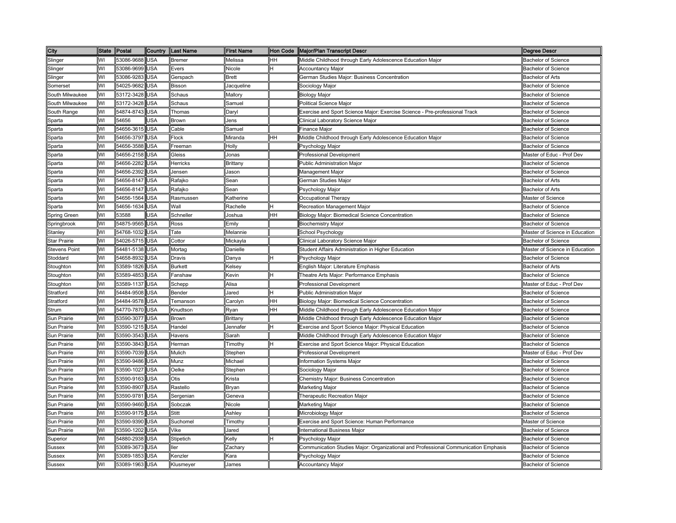| City                 | <b>State</b> | Postal     | Country    | <b>ILast Name</b> | <b>First Name</b>                                                                          |    | Hon Code   Major/Plan Transcript Descr                                              | <b>Degree Descr</b>            |
|----------------------|--------------|------------|------------|-------------------|--------------------------------------------------------------------------------------------|----|-------------------------------------------------------------------------------------|--------------------------------|
| Slinger              | WI           | 53086-9688 | USA        | <b>Bremer</b>     | Melissa                                                                                    | HH | Middle Childhood through Early Adolescence Education Major                          | <b>Bachelor of Science</b>     |
| Slinger              | WI           | 53086-9699 | <b>JSA</b> | Evers             | Vicole                                                                                     |    | <b>Accountancy Major</b>                                                            | <b>Bachelor of Science</b>     |
| Slinger              | WI           | 53086-9283 | <b>JSA</b> | Gerspach          | Brett                                                                                      |    | German Studies Major: Business Concentration                                        | <b>Bachelor of Arts</b>        |
| Somerset             | WI           | 54025-9682 | USA        | Bisson            | lacqueline                                                                                 |    | Sociology Major                                                                     | <b>Bachelor of Science</b>     |
| South Milwaukee      | WI           | 53172-3428 | USA        | Schaus            | Mallory                                                                                    |    | <b>Biology Major</b>                                                                | <b>Bachelor of Science</b>     |
| South Milwaukee      | WI           | 53172-3428 | <b>JSA</b> | Schaus            | Samuel                                                                                     |    | Political Science Major                                                             | <b>Bachelor of Science</b>     |
| South Range          | WI           | 54874-8743 | USA        | Thomas            | Daryl                                                                                      |    | Exercise and Sport Science Major: Exercise Science - Pre-professional Track         | <b>Bachelor of Science</b>     |
| Sparta               | WI           | 54656      | <b>JSA</b> | Brown             | lens                                                                                       |    | Clinical Laboratory Science Major                                                   | <b>Bachelor of Science</b>     |
| Sparta               | WI           | 54656-3615 | USA        | Cable             | Samuel                                                                                     |    | <b>Finance Major</b>                                                                | <b>Bachelor of Science</b>     |
| Sparta               | WI           | 54656-3797 | USA        | Flock             | Miranda                                                                                    | HH | Middle Childhood through Early Adolescence Education Major                          | <b>Bachelor of Science</b>     |
| Sparta               | WI           | 54656-3588 | USA        | Freeman           | Holly                                                                                      |    | Psychology Major                                                                    | <b>Bachelor of Science</b>     |
| Sparta               | WI           | 54656-2158 | USA        | Gleiss            | Jonas                                                                                      |    | Professional Development                                                            | Master of Educ - Prof Dev      |
| Sparta               | WI           | 54656-2282 | USA        | Herricks          | Brittany                                                                                   |    | <b>Public Administration Major</b>                                                  | <b>Bachelor of Science</b>     |
| Sparta               | WI           | 54656-2392 | USA        | Jensen            | Jason                                                                                      |    | Management Major                                                                    | <b>Bachelor of Science</b>     |
| Sparta               | WI           | 54656-8147 | USA        | Rafajko           | Sean                                                                                       |    | German Studies Major                                                                | <b>Bachelor of Arts</b>        |
| Sparta               | WI           | 54656-8147 | USA        | Rafajko           | Sean                                                                                       |    | Psychology Major                                                                    | <b>Bachelor of Arts</b>        |
| Sparta               | WI           | 54656-1564 | USA        | Rasmussen         | Katherine                                                                                  |    | Occupational Therapy                                                                | Master of Science              |
| Sparta               | WI           | 54656-1634 | USA        | Wall              | Rachelle                                                                                   |    | Recreation Management Major                                                         | <b>Bachelor of Science</b>     |
| Spring Green         | WI           | 53588      | <b>JSA</b> | Schneller         | Joshua                                                                                     | HH | Biology Major: Biomedical Science Concentration                                     | Bachelor of Science            |
| Springbrook          | WI           | 54875-9565 | USA        | Ross              | Emily                                                                                      |    | <b>Biochemistry Major</b>                                                           | <b>Bachelor of Science</b>     |
| Stanley              | WI           | 54768-1032 | USA        | Tate              | Melannie                                                                                   |    | School Psychology                                                                   | Master of Science in Education |
| Star Prairie         | WI           | 54026-5715 | JSA        | Cottor            | Mickayla                                                                                   |    | Clinical Laboratory Science Major                                                   | <b>Bachelor of Science</b>     |
| <b>Stevens Point</b> | WI           | 54481-5138 | <b>JSA</b> | Mortag            | Danielle                                                                                   |    | Student Affairs Administration in Higher Education                                  | Master of Science in Education |
| Stoddard             | WI           | 54658-8932 | <b>JSA</b> | Dravis            | Danya                                                                                      |    | Psychology Major                                                                    | <b>Bachelor of Science</b>     |
| Stoughton            | WI           | 53589-1826 | USA        | <b>Burkett</b>    | <b>Kelsey</b>                                                                              |    | English Major: Literature Emphasis                                                  | <b>Bachelor of Arts</b>        |
| Stoughton            | WI           | 53589-4853 | <b>JSA</b> | Fanshaw           | (evin                                                                                      |    | Theatre Arts Major: Performance Emphasis                                            | <b>Bachelor of Science</b>     |
| Stoughton            | WI           | 53589-1137 | USA        | Schepp            | Alisa                                                                                      |    | Professional Development                                                            | Master of Educ - Prof Dev      |
| Stratford            | WI           | 54484-9508 | USA        | Bender            | Jared                                                                                      |    | <b>Public Administration Major</b>                                                  | <b>Bachelor of Science</b>     |
| Stratford            | WI           | 54484-9578 | <b>JSA</b> | Temanson          | Carolyn                                                                                    | HH | Biology Major: Biomedical Science Concentration                                     | <b>Bachelor of Science</b>     |
| Strum                | WI           | 54770-7870 | USA        | Knudtson          | Ryan                                                                                       | HH | Middle Childhood through Early Adolescence Education Major                          | <b>Bachelor of Science</b>     |
| Sun Prairie          | WI           | 53590-3077 | <b>JSA</b> | Brown             | Brittany                                                                                   |    | Middle Childhood through Early Adolescence Education Major                          | <b>Bachelor of Science</b>     |
| Sun Prairie          | WI           | 53590-1215 | USA        | Handel            | Jennafer                                                                                   |    | Exercise and Sport Science Major: Physical Education                                | <b>Bachelor of Science</b>     |
| Sun Prairie          | WI           | 53590-3543 | USA        | Havens            | Sarah                                                                                      |    | Middle Childhood through Early Adolescence Education Major                          | <b>Bachelor of Science</b>     |
| Sun Prairie          | WI           | 53590-3843 | USA        | Herman            | Timothy                                                                                    |    | Exercise and Sport Science Major: Physical Education                                | <b>Bachelor of Science</b>     |
| Sun Prairie          | WI           | 53590-7039 | USA        | Mulich            | Stephen                                                                                    |    | Professional Development                                                            | Master of Educ - Prof Dev      |
| Sun Prairie          | WI           | 53590-9486 | USA        | Munz              | Michael                                                                                    |    | Information Systems Major                                                           | Bachelor of Science            |
| Sun Prairie          | WI           | 53590-1027 | USA        | Oelke             | Stephen                                                                                    |    | Sociology Major                                                                     | <b>Bachelor of Science</b>     |
| Sun Prairie          | WI           | 53590-9163 | USA        | Otis              | Krista                                                                                     |    | Chemistry Major: Business Concentration                                             | <b>Bachelor of Science</b>     |
| Sun Prairie          | WI           | 53590-8907 | USA        | Rastello          | Bryan                                                                                      |    | Marketing Major                                                                     | <b>Bachelor of Science</b>     |
| Sun Prairie          | WI           | 53590-9781 | USA        | Sergenian         | Geneva                                                                                     |    | Therapeutic Recreation Major                                                        | Bachelor of Science            |
| Sun Prairie          | WI           | 53590-9460 | USA        | Sobczak           | Nicole                                                                                     |    | Marketing Major                                                                     | <b>Bachelor of Science</b>     |
| Sun Prairie          | WI           | 53590-9175 | USA        | Stitt             | Ashley                                                                                     |    | Microbiology Major                                                                  | <b>Bachelor of Science</b>     |
| Sun Prairie          | WI           | 53590-9390 | USA        | Suchomel          | Timothy                                                                                    |    | Exercise and Sport Science: Human Performance                                       | Master of Science              |
| Sun Prairie          | WI           | 53590-1202 | <b>JSA</b> | Vike              | Jared                                                                                      |    | nternational Business Major                                                         | <b>Bachelor of Science</b>     |
| Superior             | WI           | 54880-2938 | JSA        | Stipetich         | <elly< td=""><td></td><td>Psychology Major</td><td><b>Bachelor of Science</b></td></elly<> |    | Psychology Major                                                                    | <b>Bachelor of Science</b>     |
| Sussex               | WI           | 53089-3673 | <b>JSA</b> | ller              | 'achar∖                                                                                    |    | Communication Studies Major: Organizational and Professional Communication Emphasis | Bachelor of Science            |
| Sussex               | WI           | 53089-1853 | <b>JSA</b> | Kenzler           | Kara                                                                                       |    | Psychology Major                                                                    | <b>Bachelor of Science</b>     |
| Sussex               | WI           | 53089-1963 | <b>JSA</b> | Klusmeyer         | James                                                                                      |    | <b>Accountancy Major</b>                                                            | <b>Bachelor of Science</b>     |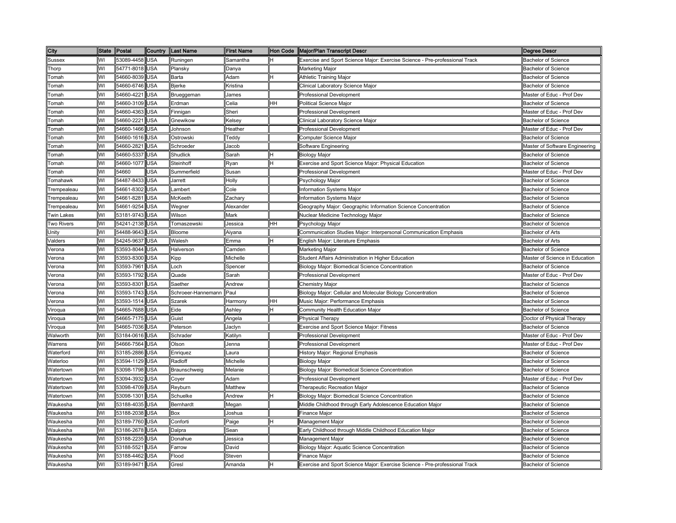| City              | <b>State</b> | Postal         | Country    | Last Name          | <b>First Name</b> |    | Hon Code   Major/Plan Transcript Descr                                      | Degree Descr                   |
|-------------------|--------------|----------------|------------|--------------------|-------------------|----|-----------------------------------------------------------------------------|--------------------------------|
| Sussex            | WI           | 53089-4458     | <b>USA</b> | Runingen           | Samantha          | н  | Exercise and Sport Science Major: Exercise Science - Pre-professional Track | <b>Bachelor of Science</b>     |
| Thorp             | WI           | 54771-8018     | <b>USA</b> | Plansky            | Danya             |    | Marketing Major                                                             | <b>Bachelor of Science</b>     |
| Tomah             | WI           | 54660-8039     | <b>USA</b> | Barta              | Adam              | H  | Athletic Training Major                                                     | <b>Bachelor of Science</b>     |
| Гоmah             | WI           | 54660-6746     | <b>USA</b> | Bjerke             | Kristina          |    | Clinical Laboratory Science Major                                           | <b>Bachelor of Science</b>     |
| Гоmаh             | W١           | 54660-4221     | <b>USA</b> | Brueggeman         | James             |    | Professional Development                                                    | Master of Educ - Prof Dev      |
| Tomah             | WI           | 54660-3109 USA |            | Erdman             | Celia             | HН | Political Science Major                                                     | <b>Bachelor of Science</b>     |
| Tomah             | WI           | 54660-4363     | <b>USA</b> | Finnigan           | Sheri             |    | Professional Development                                                    | Master of Educ - Prof Dev      |
| Tomah             | WI           | 54660-2221 USA |            | Gnewikow           | Kelsey            |    | Clinical Laboratory Science Major                                           | <b>Bachelor of Science</b>     |
| Tomah             | WI           | 54660-1466 USA |            | Johnson            | Heather           |    | <b>Professional Development</b>                                             | Master of Educ - Prof Dev      |
| Tomah             | WI           | 54660-1616 USA |            | Ostrowski          | Teddy             |    | Computer Science Major                                                      | <b>Bachelor of Science</b>     |
| Tomah             | WI           | 54660-2821 USA |            | Schroeder          | Jacob             |    | Software Engineering                                                        | Master of Software Engineering |
| Гоmah             | WI           | 54660-5337     | <b>USA</b> | Shudlick           | Sarah             | н  | Biology Major                                                               | <b>Bachelor of Science</b>     |
| Гоmah             | WI           | 54660-1077     | <b>USA</b> | Steinhoff          | Ryan              | н  | Exercise and Sport Science Major: Physical Education                        | <b>Bachelor of Science</b>     |
| Tomah             | WI           | 54660          | USA        | Summerfield        | Susan             |    | Professional Development                                                    | Master of Educ - Prof Dev      |
| Tomahawk          | WI           | 54487-8433 USA |            | Jarrett            | Holly             |    | Psychology Major                                                            | <b>Bachelor of Science</b>     |
| Trempealeau       | WI           | 54661-8302     | <b>USA</b> | Lambert            | Cole              |    | Information Systems Major                                                   | <b>Bachelor of Science</b>     |
| Trempealeau       | WI           | 54661-8281     | <b>USA</b> | McKeeth            | Zachary           |    | nformation Systems Major                                                    | <b>Bachelor of Science</b>     |
| Trempealeau       | WI           | 54661-9254     | <b>USA</b> | Wegner             | Alexander         |    | Geography Major: Geographic Information Science Concentration               | <b>Bachelor of Science</b>     |
| <b>Twin Lakes</b> | WI           | 53181-9743     | <b>USA</b> | Wilson             | Mark              |    | Nuclear Medicine Technology Major                                           | <b>Bachelor of Science</b>     |
| Two Rivers        | WI           | 54241-2138     | <b>USA</b> | Tomaszewski        | Jessica           | HH | Psychology Major                                                            | <b>Bachelor of Science</b>     |
| Unity             | WI           | 54488-9643     | <b>USA</b> | Bloome             | Aiyana            |    | Communication Studies Major: Interpersonal Communication Emphasis           | <b>Bachelor of Arts</b>        |
| Valders           | WI           | 54245-9637     | <b>USA</b> | Walesh             | Emma              | н  | English Major: Literature Emphasis                                          | <b>Bachelor of Arts</b>        |
| Verona            | WI           | 53593-8044     | <b>USA</b> | Halverson          | Camden            |    | Marketing Major                                                             | <b>Bachelor of Science</b>     |
| /erona            | WI           | 53593-8300     | <b>USA</b> | Kipp               | Michelle          |    | Student Affairs Administration in Higher Education                          | Master of Science in Education |
| Verona            | WI           | 53593-7961     | <b>USA</b> | Loch               | Spencer           |    | Biology Major: Biomedical Science Concentration                             | <b>Bachelor of Science</b>     |
| Verona            | WI           | 53593-1792     | <b>USA</b> | Quade              | Sarah             |    | Professional Development                                                    | Master of Educ - Prof Dev      |
| Verona            | WI           | 53593-8301 USA |            | Saether            | Andrew            |    | Chemistry Major                                                             | <b>Bachelor of Science</b>     |
| Verona            | WI           | 53593-1743     | <b>USA</b> | Schroeer-Hannemann | Paul              |    | Biology Major: Cellular and Molecular Biology Concentration                 | Bachelor of Science            |
| Verona            | WI           | 53593-1514 USA |            | Szarek             | Harmony           | HH | Music Major: Performance Emphasis                                           | Bachelor of Science            |
| Viroqua           | WI           | 54665-7688 USA |            | Eide               | Ashley            | н  | Community Health Education Major                                            | Bachelor of Science            |
| Viroqua           | WI           | 54665-7175 USA |            | Guist              | Angela            |    | <b>Physical Therapy</b>                                                     | Doctor of Physical Therapy     |
| Viroqua           | WI           | 54665-7036 USA |            | Peterson           | Jaclyn            |    | Exercise and Sport Science Major: Fitness                                   | <b>Bachelor of Science</b>     |
| Walworth          | WI           | 53184-0616 USA |            | Schrader           | Katilyn           |    | Professional Development                                                    | Master of Educ - Prof Dev      |
| Warrens           | WI           | 54666-7564     | <b>USA</b> | Olson              | Jenna             |    | Professional Development                                                    | Master of Educ - Prof Dev      |
| Waterford         | WI           | 53185-2886     | <b>USA</b> | Enriquez           | Laura             |    | History Major: Regional Emphasis                                            | <b>Bachelor of Science</b>     |
| Waterloo          | WI           | 53594-1129     | <b>USA</b> | Radloff            | Michelle          |    | <b>Biology Major</b>                                                        | <b>Bachelor of Science</b>     |
| Watertown         | WI           | 53098-1798     | <b>USA</b> | Braunschweig       | Melanie           |    | Biology Major: Biomedical Science Concentration                             | <b>Bachelor of Science</b>     |
| Watertown         | WI           | 53094-3932     | <b>USA</b> | Coyer              | Adam              |    | Professional Development                                                    | Master of Educ - Prof Dev      |
| Watertown         | WI           | 53098-4709     | <b>USA</b> | Reyburn            | Matthew           |    | <b>Therapeutic Recreation Major</b>                                         | <b>Bachelor of Science</b>     |
| Watertown         | WI           | 53098-1301 USA |            | Schuelke           | Andrew            | Η  | Biology Major: Biomedical Science Concentration                             | <b>Bachelor of Science</b>     |
| Waukesha          | WI           | 53188-4035     | <b>USA</b> | Bernhardt          | Megan             |    | Middle Childhood through Early Adolescence Education Major                  | <b>Bachelor of Science</b>     |
| Waukesha          | WI           | 53188-2038     | <b>USA</b> | Box                | Joshua            |    | Finance Major                                                               | <b>Bachelor of Science</b>     |
| Waukesha          | WI           | 53189-7760     | <b>USA</b> | Conforti           | Paige             | н  | Management Major                                                            | <b>Bachelor of Science</b>     |
| Waukesha          | WI           | 53186-2678     | <b>USA</b> | Dalpra             | Sean              |    | Early Childhood through Middle Childhood Education Major                    | <b>Bachelor of Science</b>     |
| Waukesha          | WI           | 53188-2235     | <b>USA</b> | Donahue            | Jessica           |    | Management Major                                                            | <b>Bachelor of Science</b>     |
| Waukesha          | WI           | 53188-5521     | <b>USA</b> | Farrow             | David             |    | Biology Major: Aquatic Science Concentration                                | <b>Bachelor of Science</b>     |
| Waukesha          | W١           | 53188-4462     | <b>USA</b> | Flood              | Steven            |    | Finance Maior                                                               | <b>Bachelor of Science</b>     |
| Waukesha          | WI           | 53189-9471 USA |            | Gresl              | Amanda            | н  | Exercise and Sport Science Major: Exercise Science - Pre-professional Track | <b>Bachelor of Science</b>     |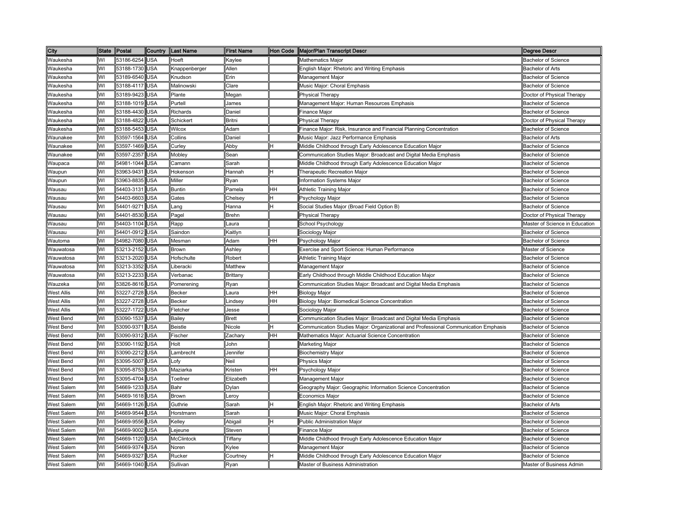| City              | <b>State</b> | Postal     | Country    | <b>Last Name</b>                                                                                                                                  | <b>First Name</b> | <b>Hon Code</b> | <b>Major/Plan Transcript Descr</b>                                                  | Degree Descr                   |
|-------------------|--------------|------------|------------|---------------------------------------------------------------------------------------------------------------------------------------------------|-------------------|-----------------|-------------------------------------------------------------------------------------|--------------------------------|
| Waukesha          | WI           | 53186-6254 | <b>USA</b> | Hoeft                                                                                                                                             | Kaylee            |                 | <b>Mathematics Major</b>                                                            | <b>Bachelor of Science</b>     |
| Naukesha          | WI           | 53188-1730 | USA        | <nappenberger< td=""><td>Allen</td><td></td><td>English Major: Rhetoric and Writing Emphasis</td><td><b>Bachelor of Arts</b></td></nappenberger<> | Allen             |                 | English Major: Rhetoric and Writing Emphasis                                        | <b>Bachelor of Arts</b>        |
| Waukesha          | WI           | 53189-6540 | USA        | Knudson                                                                                                                                           | Erin              |                 | Management Major                                                                    | <b>Bachelor of Science</b>     |
| Naukesha          | WI           | 53188-4117 | <b>JSA</b> | Malinowski                                                                                                                                        | Clare             |                 | Music Major: Choral Emphasis                                                        | <b>Bachelor of Science</b>     |
| Naukesha          | WI           | 53189-9423 | <b>JSA</b> | Plante                                                                                                                                            | Megan             |                 | Physical Therapy                                                                    | Doctor of Physical Therapy     |
| Naukesha          | WI           | 53188-1019 | <b>JSA</b> | Purtell                                                                                                                                           | James             |                 | Management Major: Human Resources Emphasis                                          | <b>Bachelor of Science</b>     |
| Naukesha          | WI           | 53188-4430 | USA        | Richards                                                                                                                                          | Daniel            |                 | Finance Major                                                                       | <b>Bachelor of Science</b>     |
| Waukesha          | WI           | 53188-4822 | JSA        | Schickert                                                                                                                                         | Britni            |                 | <b>Physical Therapy</b>                                                             | Doctor of Physical Therapy     |
| Waukesha          | WI           | 53188-5453 | <b>JSA</b> | Wilcox                                                                                                                                            | Adam              |                 | Finance Major: Risk, Insurance and Financial Planning Concentration                 | <b>Bachelor of Science</b>     |
| Waunakee          | WI           | 53597-1564 | USA        | Collins                                                                                                                                           | Daniel            |                 | Music Major: Jazz Performance Emphasis                                              | <b>Bachelor of Arts</b>        |
| Waunakee          | WI           | 53597-1469 | USA        | Curley                                                                                                                                            | Abby              |                 | Middle Childhood through Early Adolescence Education Major                          | <b>Bachelor of Science</b>     |
| Waunakee          | WI           | 53597-2357 | USA        | Mobley                                                                                                                                            | Sean              |                 | Communication Studies Major: Broadcast and Digital Media Emphasis                   | <b>Bachelor of Science</b>     |
| Waupaca           | WI           | 54981-1044 | <b>USA</b> | Camann                                                                                                                                            | Sarah             |                 | Middle Childhood through Early Adolescence Education Major                          | <b>Bachelor of Science</b>     |
| Waupun            | WI           | 53963-9431 | USA        | Hokenson                                                                                                                                          | Hannah            |                 | Therapeutic Recreation Major                                                        | <b>Bachelor of Science</b>     |
| Waupun            | WI           | 53963-8835 | USA        | Miller                                                                                                                                            | Ryan              |                 | Information Systems Major                                                           | <b>Bachelor of Science</b>     |
| Wausau            | WI           | 54403-3131 | USA        | <b>Buntin</b>                                                                                                                                     | Pamela            | HH              | Athletic Training Major                                                             | <b>Bachelor of Science</b>     |
| Nausau            | WI           | 54403-6603 | USA        | Gates                                                                                                                                             | Chelsey           |                 | Psychology Major                                                                    | <b>Bachelor of Science</b>     |
| Wausau            | WI           | 54401-9271 | USA        | _ang                                                                                                                                              | Hanna             |                 | Social Studies Major (Broad Field Option B)                                         | <b>Bachelor of Science</b>     |
| Wausau            | WI           | 54401-8530 | USA        | Pagel                                                                                                                                             | Brehn             |                 | Physical Therapy                                                                    | Doctor of Physical Therapy     |
| Wausau            | WI           | 54403-1104 | USA        | Rapp                                                                                                                                              | .aura             |                 | School Psychology                                                                   | Master of Science in Education |
| Wausau            | WI           | 54401-0912 | USA        | Saindon                                                                                                                                           | Kaitlyn           |                 | Sociology Major                                                                     | <b>Bachelor of Science</b>     |
| Wautoma           | WI           | 54982-7080 | USA        | Mesman                                                                                                                                            | Adam              | HН              | Psychology Major                                                                    | <b>Bachelor of Science</b>     |
| Wauwatosa         | WI           | 53213-2152 | <b>JSA</b> | Brown                                                                                                                                             | Ashley            |                 | Exercise and Sport Science: Human Performance                                       | Master of Science              |
| Wauwatosa         | WI           | 53213-2020 | <b>JSA</b> | <b>Hofschulte</b>                                                                                                                                 | Robert            |                 | <b>Athletic Training Major</b>                                                      | <b>Bachelor of Science</b>     |
| Wauwatosa         | WI           | 53213-3352 | <b>JSA</b> | Liberacki                                                                                                                                         | Matthew           |                 | Management Major                                                                    | <b>Bachelor of Science</b>     |
| Nauwatosa         | WI           | 53213-2233 | <b>JSA</b> | /erbanac                                                                                                                                          | Brittany          |                 | Early Childhood through Middle Childhood Education Major                            | <b>Bachelor of Science</b>     |
| Wauzeka           | WI           | 53826-8616 | USA        | Pomerening                                                                                                                                        | Ryan              |                 | Communication Studies Major: Broadcast and Digital Media Emphasis                   | <b>Bachelor of Science</b>     |
| West Allis        | WI           | 53227-2728 | USA        | <b>Becker</b>                                                                                                                                     | .aura             | HΗ              | <b>Biology Major</b>                                                                | <b>Bachelor of Science</b>     |
| <b>Nest Allis</b> | WI           | 53227-2728 | <b>JSA</b> | Becker                                                                                                                                            | .indsey           | HH              | Biology Major: Biomedical Science Concentration                                     | <b>Bachelor of Science</b>     |
| West Allis        | WI           | 53227-1722 | <b>JSA</b> | Fletcher                                                                                                                                          | Jesse             |                 | Sociology Major                                                                     | <b>Bachelor of Science</b>     |
| West Bend         | WI           | 53090-1537 | JSA        | Bailey                                                                                                                                            | Brett             |                 | Communication Studies Major: Broadcast and Digital Media Emphasis                   | <b>Bachelor of Science</b>     |
| West Bend         | WI           | 53090-9371 | USA        | <b>Beistle</b>                                                                                                                                    | Nicole            |                 | Communication Studies Major: Organizational and Professional Communication Emphasis | Bachelor of Science            |
| West Bend         | WI           | 53090-9312 | JSA        | Fischer                                                                                                                                           | Zachary           | HH              | Mathematics Major: Actuarial Science Concentration                                  | <b>Bachelor of Science</b>     |
| West Bend         | WI           | 53090-1192 | USA        | Holt                                                                                                                                              | John              |                 | Marketing Major                                                                     | <b>Bachelor of Science</b>     |
| West Bend         | WI           | 53090-2212 | USA        | .ambrecht                                                                                                                                         | Jennifer          |                 | <b>Biochemistry Major</b>                                                           | <b>Bachelor of Science</b>     |
| West Bend         | WI           | 53095-5007 | USA        | _ofy                                                                                                                                              | Neil              |                 | Physics Major                                                                       | Bachelor of Science            |
| West Bend         | WI           | 53095-8753 | USA        | Maziarka                                                                                                                                          | Kristen           | HH              | Psychology Major                                                                    | <b>Bachelor of Science</b>     |
| West Bend         | WI           | 53095-4704 | USA        | Toellner                                                                                                                                          | Elizabeth         |                 | Management Major                                                                    | <b>Bachelor of Science</b>     |
| West Salem        | WI           | 54669-1233 | USA        | Bahr                                                                                                                                              | Dylan             |                 | Geography Major: Geographic Information Science Concentration                       | <b>Bachelor of Science</b>     |
| West Salem        | WI           | 54669-1618 | USA        | <b>Brown</b>                                                                                                                                      | eroy-             |                 | Economics Major                                                                     | Bachelor of Science            |
| West Salem        | WI           | 54669-1126 | USA        | Guthrie                                                                                                                                           | Sarah             |                 | English Major: Rhetoric and Writing Emphasis                                        | <b>Bachelor of Arts</b>        |
| West Salem        | WI           | 54669-9544 | USA        | Horstmann                                                                                                                                         | Sarah             |                 | Music Major: Choral Emphasis                                                        | <b>Bachelor of Science</b>     |
| West Salem        | WI           | 54669-9556 | USA        | Kelley                                                                                                                                            | Abigail           |                 | <b>Public Administration Major</b>                                                  | <b>Bachelor of Science</b>     |
| <b>Nest Salem</b> | WI           | 54669-9002 | <b>JSA</b> | ejeune                                                                                                                                            | Steven            |                 | Finance Major                                                                       | <b>Bachelor of Science</b>     |
| West Salem        | WI           | 54669-1120 | <b>JSA</b> | McClintock                                                                                                                                        | Tiffany           |                 | Middle Childhood through Early Adolescence Education Major                          | <b>Bachelor of Science</b>     |
| West Salem        | WI           | 54669-9374 | <b>JSA</b> | Noren                                                                                                                                             | (ylee             |                 | Management Major                                                                    | <b>Bachelor of Science</b>     |
| West Salem        | WI           | 54669-932  | <b>JSA</b> | Rucker                                                                                                                                            | courtney          |                 | Middle Childhood through Early Adolescence Education Major                          | <b>Bachelor of Science</b>     |
| West Salem        | WI           | 54669-1040 | <b>JSA</b> | Sullivan                                                                                                                                          | Ryan              |                 | Master of Business Administration                                                   | Master of Business Admin       |